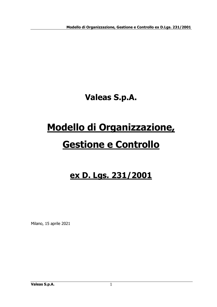**Valeas S.p.A.**

# **Modello di Organizzazione,**

# **Gestione e Controllo**

## **ex D. Lgs. 231/2001**

Milano, 15 aprile 2021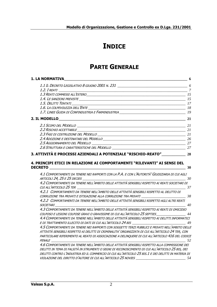## **INDICE**

## **PARTE GENERALE**

| <b>1. LA NORMATIVA</b>                                                                                                                                                                                                                                                                                                                                                                                                                                       |     |
|--------------------------------------------------------------------------------------------------------------------------------------------------------------------------------------------------------------------------------------------------------------------------------------------------------------------------------------------------------------------------------------------------------------------------------------------------------------|-----|
|                                                                                                                                                                                                                                                                                                                                                                                                                                                              |     |
| 1.2. I REATI                                                                                                                                                                                                                                                                                                                                                                                                                                                 |     |
| 1.3 REATI COMMESSI ALL'ESTERO<br>15                                                                                                                                                                                                                                                                                                                                                                                                                          |     |
|                                                                                                                                                                                                                                                                                                                                                                                                                                                              |     |
|                                                                                                                                                                                                                                                                                                                                                                                                                                                              |     |
|                                                                                                                                                                                                                                                                                                                                                                                                                                                              |     |
|                                                                                                                                                                                                                                                                                                                                                                                                                                                              |     |
|                                                                                                                                                                                                                                                                                                                                                                                                                                                              |     |
|                                                                                                                                                                                                                                                                                                                                                                                                                                                              |     |
|                                                                                                                                                                                                                                                                                                                                                                                                                                                              |     |
|                                                                                                                                                                                                                                                                                                                                                                                                                                                              |     |
|                                                                                                                                                                                                                                                                                                                                                                                                                                                              |     |
|                                                                                                                                                                                                                                                                                                                                                                                                                                                              |     |
|                                                                                                                                                                                                                                                                                                                                                                                                                                                              |     |
| 4. PRINCIPI ETICI IN RELAZIONE AI COMPORTAMENTI "RILEVANTI" AI SENSI DEL<br><b>DECRETO</b><br>$\overline{30}$<br>4.1 COMPORTAMENTI DA TENERE NEI RAPPORTI CON LA P.A. E CON L'AUTORITÀ 'GIUDIZIARIA DI CUI AGLI<br>4.2 COMPORTAMENTI DA TENERE NELL'AMBITO DELLE ATTIVITÀ SENSIBILI RISPETTO AI REATI SOCIETARI DI<br>cui all'articolo 25 ter<br>$\frac{37}{2}$<br>4.2.1 COMPORTAMENTI DA TENERE NELL'AMBITO DELLE ATTIVITÀ SENSIBILI RISPETTO AL DELITTO DI |     |
| 4.2.2 COMPORTAMENTI DA TENERE NELL'AMBITO DELLE ATTIVITÀ SENSIBILI RISPETTO AGLI ALTRI REATI<br>$\overline{40}$<br>SOCIETARI                                                                                                                                                                                                                                                                                                                                 |     |
| 4.3 COMPORTAMENTI DA TENERE NELL'AMBITO DELLE ATTIVITÀ SENSIBILI RISPETTO AI REATI DI OMICIDIO<br>COLPOSO E LESIONI COLPOSE GRAVI O GRAVISSIME DI CUI ALL'ARTICOLO 25 SEPTIES____________________ 44<br>4.4 COMPORTAMENTI DA TENERE NELL'AMBITO DELLE ATTIVITÀ SENSIBILI RISPETTO AI DELITTI INFORMATICI                                                                                                                                                     |     |
| 4.5 COMPORTAMENTI DA TENERE NEI RAPPORTI CON SOGGETTI TERZI PUBBLICI E PRIVATI NELL'AMBITO DELLE<br>ATTIVITÀ SENSIBILI RISPETTO AI DELITTI DI CRIMINALITA' ORGANIZZATA DI CUI ALL'ARTICOLO 24 TER, CON<br>PARTICOLARE RIFERIMENTO AL REATO DI ASSOCIAZIONE A DELINOUERE DI CUI ALL'ARTICOLO 416 DEL CODICE<br>PENALE<br>52                                                                                                                                   |     |
| 4.6 COMPORTAMENTI DA TENERE NELL'AMBITO DELLE ATTIVITÀ SENSIBILI RISPETTO ALLA COMMISSIONE DEI<br>DELITTI IN TEMA DI FALSITÀ IN STRUMENTI O SEGNI DI RICONOSCIMENTO DI CUI ALL'ARTICOLO 25 BIS, DEI<br>DELITTI CONTRO L'INDUSTRIA ED IL COMMERCIO DI CUI ALL'ARTICOLO 25 BIS. 1 E DEI DELITTI IN MATERIA DI<br>VIOLAZIONE DEL DIRITTO D'AUTORE DI CUI ALL'ARTICOLO 25 NOVIES                                                                                 | -54 |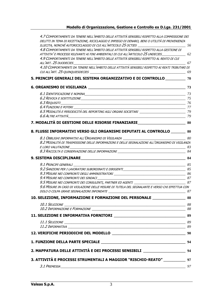| 4.7 COMPORTAMENTI DA TENERE NELL'AMBITO DELLE ATTIVITÀ SENSIBILI RISPETTO ALLA COMMISSIONE DEI<br>DELITTI IN TEMA DI RICETTAZIONE, RICICLAGGIO E IMPIEGO DI DENARO, BENI O UTILITÀ DI PROVENIENZA<br>ILLECITA, NONCHÉ AUTORICICLAGGIO DI CUI ALL'ARTICOLO 25 OCTIES ________________________________56 |    |
|--------------------------------------------------------------------------------------------------------------------------------------------------------------------------------------------------------------------------------------------------------------------------------------------------------|----|
| 4.8 COMPORTAMENTI DA TENERE NELL'AMBITO DELLE ATTIVITÀ SENSIBILI RISPETTO ALLA GESTIONE DI<br>ATTIVITA' E PROCESSI RILEVANTI AI FINI AMBIENTALI DI CUI ALL'ARTICOLO 25 UNDECIES _______________ 62                                                                                                     |    |
| 4.9 COMPORTAMENTI DA TENERE NELL'AMBITO DELLE ATTIVITÀ SENSIBILI RISPETTO AL REATO DI CUI                                                                                                                                                                                                              |    |
| 4.10 COMPORTAMENTI DA TENERE NELL'AMBITO DELLE ATTIVITÀ SENSIBILI RISPETTO AI REATI TRIBUTARI DI                                                                                                                                                                                                       |    |
| 5. PRINCIPI GENERALI DEL SISTEMA ORGANIZZATIVO E DI CONTROLLO ____________ 70                                                                                                                                                                                                                          |    |
|                                                                                                                                                                                                                                                                                                        |    |
|                                                                                                                                                                                                                                                                                                        |    |
|                                                                                                                                                                                                                                                                                                        |    |
|                                                                                                                                                                                                                                                                                                        |    |
|                                                                                                                                                                                                                                                                                                        |    |
|                                                                                                                                                                                                                                                                                                        |    |
| 7. MODALITÀ DI GESTIONE DELLE RISORSE FINANZIARIE_______________________________ 80                                                                                                                                                                                                                    |    |
| 8. FLUSSI INFORMATIVI VERSO GLI ORGANISMI DEPUTATI AL CONTROLLO _________ 80                                                                                                                                                                                                                           |    |
|                                                                                                                                                                                                                                                                                                        |    |
| 8.2 MODALITÀ DI TRASMISSIONE DELLE INFORMAZIONI E DELLE SEGNALAZIONI ALL'ORGANISMO DI VIGILANZA                                                                                                                                                                                                        |    |
|                                                                                                                                                                                                                                                                                                        |    |
|                                                                                                                                                                                                                                                                                                        |    |
|                                                                                                                                                                                                                                                                                                        |    |
|                                                                                                                                                                                                                                                                                                        | 85 |
|                                                                                                                                                                                                                                                                                                        |    |
|                                                                                                                                                                                                                                                                                                        |    |
|                                                                                                                                                                                                                                                                                                        |    |
| 9.6 MISURE IN CASO DI VIOLAZIONE DELLE MISURE DI TUTELA DEL SEGNALANTE E VERSO CHI EFFETTUA CON                                                                                                                                                                                                        |    |
|                                                                                                                                                                                                                                                                                                        |    |
| 10. SELEZIONE, INFORMAZIONE E FORMAZIONE DEL PERSONALE ________________________88                                                                                                                                                                                                                      |    |
|                                                                                                                                                                                                                                                                                                        |    |
|                                                                                                                                                                                                                                                                                                        |    |
|                                                                                                                                                                                                                                                                                                        |    |
|                                                                                                                                                                                                                                                                                                        |    |
|                                                                                                                                                                                                                                                                                                        |    |
|                                                                                                                                                                                                                                                                                                        |    |
|                                                                                                                                                                                                                                                                                                        |    |
| 2. MAPPATURA DELLE ATTIVITÀ E DEI PROCESSI SENSIBILI __________________________94                                                                                                                                                                                                                      |    |
| 3. ATTIVITÀ E PROCESSI STRUMENTALI A MAGGIOR "RISCHIO-REATO" _____________ 97                                                                                                                                                                                                                          |    |
|                                                                                                                                                                                                                                                                                                        |    |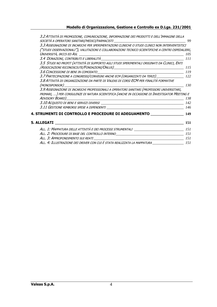| 3.2 ATTIVITÀ DI PROMOZIONE, COMUNICAZIONE, INFORMAZIONE DEI PRODOTTI E DELL'IMMAGINE DELLA                                                                                                  |     |
|---------------------------------------------------------------------------------------------------------------------------------------------------------------------------------------------|-----|
| SOCIETÀ A OPERATORI SANITARI/MEDICI/FARMACISTI _________________________________                                                                                                            | 99  |
| 3.3 Assegnazione di incarichi per sperimentazioni cliniche o studi clinici non interventistici                                                                                              |     |
| ("STUDI OSSERVAZIONALI"), VALUTAZIONI E COLLABORAZIONI TECNICO SCIENTIFICHE A CENTRI OSPEDALIERI,                                                                                           |     |
|                                                                                                                                                                                             | 105 |
|                                                                                                                                                                                             | 111 |
| 3.5 STUDI NO PROFIT (ATTIVITÀ DI SUPPORTO AGLI STUDI SPERIMENTALI ORIGINATI DA CLINICI, ENTI                                                                                                | 115 |
|                                                                                                                                                                                             |     |
| 3.7 PARTECIPAZIONE A CONGRESSI/CONVEGNI ANCHE ECM (ORGANIZZATI DA TERZI) [122]                                                                                                              |     |
| 3.8 ATTIVITÀ DI ORGANIZZAZIONE DA PARTE DI VALEAS DI CORSI ECM PER FINALITÀ FORMATIVE<br>(MONOSPONSOR)                                                                                      | 130 |
| 3.9 ASSEGNAZIONE DI INCARICHI PROFESSIONALI A OPERATORI SANITARI (PROFESSORI UNIVERSITARI,<br>PRIMARI, ) PER CONSULENZE DI NATURA SCIENTIFICA (ANCHE IN OCCASIONE DI INVESTIGATOR MEETING E | 138 |
|                                                                                                                                                                                             |     |
|                                                                                                                                                                                             | 146 |
| 4. STRUMENTI DI CONTROLLO E PROCEDURE DI ADEGUAMENTO                                                                                                                                        | 149 |
| 5. ALLEGATI                                                                                                                                                                                 | 151 |
| ALL. 1: MAPPATURA DELLE ATTIVITÀ E DEI PROCESSI STRUMENTALI _____________________                                                                                                           | 151 |
| ALL. 2: Procedure di base del controllo interno                                                                                                                                             |     |
|                                                                                                                                                                                             |     |
| ALL. 4: ILLUSTRAZIONE DEI DRIVER CON CUI È STATA REALIZZATA LA MAPPATURA ____________________ 151                                                                                           |     |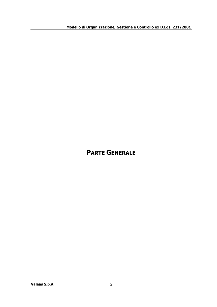## **PARTE GENERALE**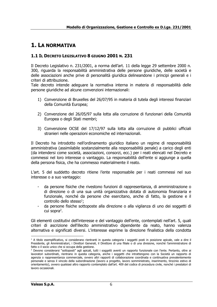### <span id="page-5-0"></span>**1. LA NORMATIVA**

#### <span id="page-5-1"></span>**1.1 IL DECRETO LEGISLATIVO 8 GIUGNO 2001 N. 231**

Il Decreto Legislativo n. 231/2001, a norma dell'art. 11 della legge 29 settembre 2000 n. 300, riguarda la responsabilità amministrativa delle persone giuridiche, delle società e delle associazioni anche prive di personalità giuridica delineandone i principi generali e i criteri di attribuzione.

Tale decreto intende adeguare la normativa interna in materia di responsabilità delle persone giuridiche ad alcune convenzioni internazionali:

- 1) Convenzione di Bruxelles del 26/07/95 in materia di tutela degli interessi finanziari della Comunità Europea;
- 2) Convenzione del 26/05/97 sulla lotta alla corruzione di funzionari della Comunità Europea o degli Stati membri;
- 3) Convenzione OCSE del 17/12/97 sulla lotta alla corruzione di pubblici ufficiali stranieri nelle operazioni economiche ed internazionali.

Il Decreto ha introdotto nell'ordinamento giuridico italiano un regime di responsabilità amministrativa (assimilabile sostanzialmente alla responsabilità penale) a carico degli enti (da intendersi come società, associazioni, consorzi, ecc.) per i reati elencati nel Decreto e commessi nel loro interesse o vantaggio. La responsabilità dell'ente si aggiunge a quella della persona fisica, che ha commesso materialmente il reato.

L'art. 5 del suddetto decreto ritiene l'ente responsabile per i reati commessi nel suo interesse o a suo vantaggio:

- da persone fisiche che rivestono funzioni di rappresentanza, di amministrazione o di direzione o di una sua unità organizzativa dotata di autonomia finanziaria e funzionale, nonché da persone che esercitano, anche di fatto, la gestione e il  $control$ <sub>;</sub>
- da persone fisiche sottoposte alla direzione o alla vigilanza di uno dei soggetti di cui sopra<sup>2</sup>.

Gli elementi costitutivi dell'interesse e del vantaggio dell'ente, contemplati nell'art. 5, quali criteri di ascrizione dell'illecito amministrativo dipendente da reato, hanno valenza alternativa e significati diversi. L'interesse esprime la direzione finalistica della condotta

<sup>1</sup> A titolo esemplificativo, si considerano rientranti in questa categoria i soggetti posti in posizione apicale, vale a dire il Presidente, gli Amministratori, i Direttori Generali, il Direttore di una filiale o di una divisione, nonché l'amministratore di fatto o il socio unico che si occupa della gestione.

<sup>2</sup> Devono considerarsi "sottoposti" agli apicali, tutti i soggetti aventi un rapporto funzionale con l'ente. Pertanto, oltre ai lavoratori subordinati, rientrano in questa categoria, anche i soggetti che intrattengono con la Società un rapporto di agenzia o rappresentanza commerciale, ovvero altri rapporti di collaborazione coordinata e continuativa prevalentemente personale e senza il vincolo della subordinazione (lavoro a progetto, lavoro somministrato, inserimento, tirocinio estivo di orientamento), ovvero qualsiasi altro rapporto contemplato dall'art. 409 del codice di procedura civile, nonché i prestatori di lavoro occasionali.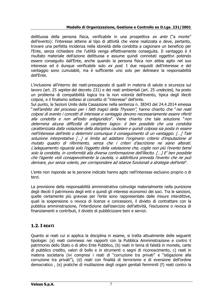delittuosa della persona fisica, verificabile in una prospettiva ex ante ("a monte" dell'evento): l'interesse attiene al tipo di attività che viene realizzata e deve, pertanto, trovare una perfetta incidenza nella idoneità della condotta a cagionare un beneficio per l'Ente, senza richiedere che l'utilità venga effettivamente conseguita. Il vantaggio è il risultato materiale dell'azione delittuosa e assume quindi connotati oggettivi potendo essere conseguito dall'Ente, anche quando la persona fisica non abbia agito nel suo interesse ed è dunque verificabile solo ex post. I due requisiti dell'interesse e del vantaggio sono cumulabili, ma è sufficiente uno solo per delineare la responsabilità dell'Ente.

L'inclusione all'interno dei reati-presupposto di quelli in materia di salute e sicurezza sul lavoro (art. 25 septies del decreto 231) e dei reati ambientali (art. 25 undecies), ha posto un problema di compatibilità logica tra la non volontà dell'evento, tipica degli illeciti colposi, e il finalismo sotteso al concetto di "interesse" dell'ente.

Sul punto, le Sezioni Unite della Cassazione nella sentenza n. 38343 del 24.4.2014 emessa "nell'ambito del processo per i fatti tragici della Thyssen", hanno chiarito che "nei reati colposi di evento i concetti di interesse e vantaggio devono necessariamente essere riferiti alla condotta e non all'esito antigiuridico". Viene chiarito che tale soluzione "non determina alcuna difficoltà di carattere logico: è ben possibile che una condotta caratterizzata dalla violazione della disciplina cautelare e quindi colposa sia posta in essere nell'interesse dell'ente o determini comunque il conseguimento di un vantaggio. […] Tale soluzione interpretativa […] si limita ad adattare l'originario criterio d'imputazione al mutato quadro di riferimento, senza che i criteri d'ascrizione ne siano alterati. L'adeguamento riguarda solo l'oggetto della valutazione che, coglie non più l'evento bensì solo la condotta, in conformità alla diversa conformazione dell'illecito. […] E' ben possibile che l'agente violi consapevolmente la cautela, o addirittura preveda l'evento che ne può derivare, pur senza volerlo, per corrispondere ad istanze funzionali a strategie dell'ente".

L'ente non risponde se le persone indicate hanno agito nell'interesse esclusivo proprio o di terzi.

La previsione della responsabilità amministrativa coinvolge materialmente nella punizione degli illeciti il patrimonio degli enti e quindi gli interessi economici dei soci. Tra le sanzioni, quelle certamente più gravose per l'ente sono rappresentate dalle misure interdittive, quali la sospensione o revoca di licenze e concessioni, il divieto di contrattare con la pubblica amministrazione, l'interdizione dall'esercizio dell'attività, l'esclusione o revoca di finanziamenti e contributi, il divieto di pubblicizzare beni e servizi.

#### <span id="page-6-0"></span>**1.2. I REATI**

Quanto ai reati cui si applica la disciplina in esame, si tratta attualmente delle seguenti tipologie: (a) reati commessi nei rapporti con la Pubblica Amministrazione e contro il patrimonio dello Stato o di altro Ente Pubblico, (b) reati in tema di falsità in monete, carte di pubblico credito, valori di bollo e in strumenti o segni di riconoscimento, c) reati in materia societaria (ivi compresi i reati di "corruzione tra privati" e "istigazione alla corruzione tra privati"), (d) reati con finalità di terrorismo e di eversione dell'ordine democratico , (e) pratiche di mutilazione degli organi genitali femminili (f) reati contro la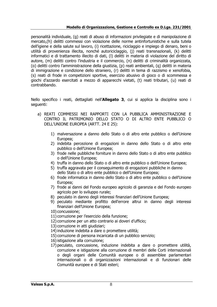personalità individuale, (g) reati di abuso di informazioni privilegiate e di manipolazione di mercato,(h) delitti commessi con violazione delle norme antinfortunistiche e sulla tutela dell'igiene e della salute sul lavoro, (i) ricettazione, riciclaggio e impiego di denaro, beni o utilità di provenienza illecita, nonché autoriciclaggio, (j) reati transnazionali, (k) delitti informatici e di trattamento illecito di dati, (l) delitti in materia di violazione del diritto di autore, (m) delitti contro l'industria e il commercio, (n) delitti di criminalità organizzata, (o) delitti contro l'amministrazione della giustizia, (p) reati ambientali, (q) delitti in materia di immigrazione e condizione dello straniero, (r) delitti in tema di razzismo e xenofobia, (s) reati di frode in competizioni sportive, esercizio abusivo di gioco o di scommessa e giochi d'azzardo esercitati a mezzo di apparecchi vietati, (t) reati tributari, (u) reati di contrabbando.

Nello specifico i reati, dettagliati nell'**Allegato 3**, cui si applica la disciplina sono i seguenti:

- a) REATI COMMESSI NEI RAPPORTI CON LA PUBBLICA AMMINISTRAZIONE E CONTRO IL PATRIMONIO DELLO STATO O DI ALTRO ENTE PUBBLICO O DELL'UNIONE EUROPEA (ARTT. 24 E 25):
	- 1) malversazione a danno dello Stato o di altro ente pubblico o dell'Unione Europea;
	- 2) indebita percezione di erogazioni in danno dello Stato o di altro ente pubblico o dell'Unione Europea;
	- 3) frode nelle pubbliche forniture in danno dello Stato o di altro ente pubblico o dell'Unione Europea;
	- 4) truffa in danno dello Stato o di altro ente pubblico o dell'Unione Europea;
	- 5) truffa aggravata per il conseguimento di erogazioni pubbliche in danno dello Stato o di altro ente pubblico o dell'Unione Europea;
	- 6) frode informatica in danno dello Stato o di altro ente pubblico o dell'Unione Europea;
	- 7) frode ai danni del Fondo europeo agricolo di garanzia e del Fondo europeo agricolo per lo sviluppo rurale;
	- 8) peculato in danno degli interessi finanziari dell'Unione Europea;
	- 9) peculato mediante profitto dell'errore altrui in danno degli interessi finanziari dell'Unione Europea;
	- 10) concussione;
	- 11) corruzione per l'esercizio della funzione;
	- 12) corruzione per un atto contrario ai doveri d'ufficio;
	- 13) corruzione in atti giudiziari;
	- 14) induzione indebita a dare o promettere utilità;
	- 15) corruzione di persona incaricata di un pubblico servizio;
	- 16)istigazione alla corruzione;
	- 17) peculato, concussione, induzione indebita a dare o promettere utilità, corruzione e istigazione alla corruzione di membri delle Corti internazionali o degli organi delle Comunità europee o di assemblee parlamentari internazionali o di organizzazioni internazionali e di funzionari delle Comunità europee e di Stati esteri;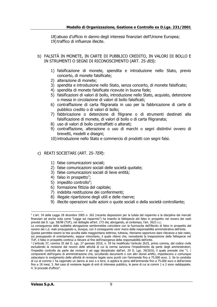18) abuso d'ufficio in danno degli interessi finanziari dell'Unione Europea; 19)traffico di influenze illecite.

- b) FALSITÀ IN MONETE, IN CARTE DI PUBBLICO CREDITO, IN VALORI DI BOLLO E IN STRUMENTI O SEGNI DI RICONOSCIMENTO (ART. 25-BIS):
	- 1) falsificazione di monete, spendita e introduzione nello Stato, previo concerto, di monete falsificate;
	- 2) alterazione di monete;
	- 3) spendita e introduzione nello Stato, senza concerto, di monete falsificate;
	- 4) spendita di monete falsificate ricevute in buona fede;
	- 5) falsificazioni di valori di bollo, introduzione nello Stato, acquisto, detenzione o messa in circolazione di valori di bollo falsificati;
	- 6) contraffazione di carta filigranata in uso per la fabbricazione di carte di pubblico credito o di valori di bollo;
	- 7) fabbricazione o detenzione di filigrane o di strumenti destinati alla falsificazione di monete, di valori di bollo o di carta filigranata;
	- 8) uso di valori di bollo contraffatti o alterati;
	- 9) contraffazione, alterazione o uso di marchi o segni distintivi ovvero di brevetti, modelli e disegni;
	- 10)introduzione nello Stato e commercio di prodotti con segni falsi.

#### c) REATI SOCIETARI (ART. 25-TER):

- 1) false comunicazioni sociali;
- 2) false comunicazioni sociali delle società quotate;
- 3) false comunicazioni sociali di lieve entità;
- 4) falso in prospetto<sup>3</sup>;
- 5) impedito controllo<sup>4</sup>;
- 6) formazione fittizia del capitale;
- 7) indebita restituzione dei conferimenti;
- 8) illegale ripartizione degli utili e delle riserve;
- 9) illecite operazioni sulle azioni o quote sociali o della società controllante;

<sup>3</sup> L'art. 34 della Legge 28 dicembre 2005 n. 262 (recante disposizioni per la tutela del risparmio e la disciplina dei mercati finanziari ed anche nota come "Legge sul risparmio") ha inserito la fattispecie del falso in prospetto nel novero dei reati previsti dal D. Lgs. 58/98 (TUF), nel dettaglio all'art. 173-bis, abrogando, al contempo, l'art. 2623 c.c.

La conseguenza della suddetta abrogazione sembrerebbe coincidere con la fuoriuscita dell'illecito di falso in prospetto dal novero dei c.d. reati presupposto e, dunque, con il conseguente venir meno della responsabilità amministrativa dell'ente.

Questa parrebbe essere la tesi accolta dalla maggioritaria dottrina; tuttavia, riteniamo opportuno dare rilevanza a tale reato, sul presupposto di orientamento, seppur minoritario, il quale ritiene che, nonostante la trasposizione della fattispecie nel TUF, il falso in prospetto continui a rilevare al fine dell'insorgenza della responsabilità dell'ente.

<sup>4</sup> L'articolo 37, comma 35 del D. Lgs. 27 gennaio 2010, n. 39 ha modificato l'articolo 2625, primo comma, del codice civile escludendo la revisione dal novero delle attività di cui la norma sanziona l'impedimento da parte degli amministratori; l'impedito controllo da parte dei revisori è ad oggi disciplinato dall'art. 29 D. Lgs. 39/2010, il quale prevede che "1. i componenti dell'organo di amministrazione che, occultando documenti o con altri idonei artifici, impediscono o comunque ostacolano lo svolgimento delle attività di revisione legale sono puniti con l'ammenda fino a 75.000 euro. 2. Se la condotta di cui al comma 1 ha cagionato un danno ai soci o a terzi, si applica la pena dell'ammenda fino a 75.000 euro e dell'arresto fino a 18 mesi, 3. Nel caso di revisione legale di enti di interesse pubblico, le pene di cui ai commi 1 e 2 sono raddoppiate. 4. Si procede d'ufficio".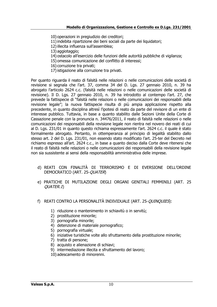- 10) operazioni in pregiudizio dei creditori;
- 11)indebita ripartizione dei beni sociali da parte dei liquidatori;
- 12)illecita influenza sull'assemblea;
- 13) aggiotaggio;
- 14) ostacolo all'esercizio delle funzioni delle autorità pubbliche di vigilanza;
- 15) omessa comunicazione del conflitto di interessi;
- 16) corruzione tra privati;
- 17)istigazione alla corruzione tra privati.

Per quanto riguarda il reato di falsità nelle relazioni o nelle comunicazioni delle società di revisione si segnala che l'art. 37, comma 34 del D. Lgs. 27 gennaio 2010, n. 39 ha abrogato l'articolo 2624 c.c. (falsità nelle relazioni o nelle comunicazioni delle società di revisione). Il D. Lgs. 27 gennaio 2010, n. 39 ha introdotto al contempo l'art. 27, che prevede la fattispecie di "falsità nelle relazioni o nelle comunicazioni dei responsabili della revisione legale"; la nuova fattispecie risulta di più ampia applicazione rispetto alla precedente, in quanto disciplina altresì l'ipotesi di reato da parte del revisore di un ente di interesse pubblico. Tuttavia, in base a quanto stabilito dalle Sezioni Unite della Corte di Cassazione penale con la pronuncia n. 34476/2011, il reato di falsità nelle relazioni o nelle comunicazioni dei responsabili della revisione legale non rientra nel novero dei reati di cui al D. Lgs. 231/01 in quanto questo richiama espressamente l'art. 2624 c.c. il quale è stato formalmente abrogato. Pertanto, in ottemperanza al principio di legalità stabilito dallo stesso art. 2 del D. Lgs. 231/01, non essendo stato modificato l'art. 25-ter del Decreto nel richiamo espresso all'art. 2624 c.c., in base a quanto deciso dalla Corte deve ritenersi che il reato di falsità nelle relazioni o nelle comunicazioni dei responsabili della revisione legale non sia sussistente ai sensi della responsabilità amministrativa delle imprese.

- d) REATI CON FINALITÀ DI TERRORISMO E DI EVERSIONE DELL'ORDINE DEMOCRATICO (ART. 25-QUATER)
- e) PRATICHE DI MUTILAZIONE DEGLI ORGANI GENITALI FEMMINILI (ART. 25 QUATER.1)
- f) REATI CONTRO LA PERSONALITÀ INDIVIDUALE (ART. 25-QUINQUIES):
	- 1) riduzione o mantenimento in schiavitù o in servitù;
	- 2) prostituzione minorile;
	- 3) pornografia minorile;
	- 4) detenzione di materiale pornografico;
	- 5) pornografia virtuale;
	- 6) iniziative turistiche volte allo sfruttamento della prostituzione minorile;
	- 7) tratta di persone;
	- 8) acquisto e alienazione di schiavi;
	- 9) intermediazione illecita e sfruttamento del lavoro;
	- 10) adescamento di minorenni.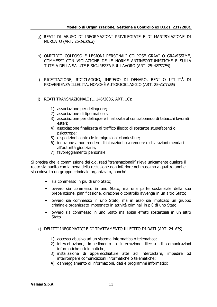- g) REATI DI ABUSO DI INFORMAZIONI PRIVILEGIATE E DI MANIPOLAZIONE DI MERCATO (ART. 25-SEXIES)
- h) OMICIDIO COLPOSO E LESIONI PERSONALI COLPOSE GRAVI O GRAVISSIME, COMMESSI CON VIOLAZIONE DELLE NORME ANTINFORTUNISTICHE E SULLA TUTELA DELLA SALUTE E SICUREZZA SUL LAVORO (ART. 25-SEPTIES)
- i) RICETTAZIONE, RICICLAGGIO, IMPIEGO DI DENARO, BENI O UTILITÀ DI PROVENIENZA ILLECITA, NONCHÈ AUTORICICLAGGIO (ART. 25-OCTIES)
- j) REATI TRANSNAZIONALI (L. 146/2006, ART. 10):
	- 1) associazione per delinquere;
	- 2) associazione di tipo mafioso;
	- 3) associazione per delinquere finalizzata al contrabbando di tabacchi lavorati esteri;
	- 4) associazione finalizzata al traffico illecito di sostanze stupefacenti o psicotrope;
	- 5) disposizioni contro le immigrazioni clandestine;
	- 6) induzione a non rendere dichiarazioni o a rendere dichiarazioni mendaci all'autorità giudiziaria;
	- 7) favoreggiamento personale.

Si precisa che la commissione dei c.d. reati "transnazionali" rileva unicamente qualora il reato sia punito con la pena della reclusione non inferiore nel massimo a quattro anni e sia coinvolto un gruppo criminale organizzato, nonché:

- sia commesso in più di uno Stato;
- ovvero sia commesso in uno Stato, ma una parte sostanziale della sua preparazione, pianificazione, direzione o controllo avvenga in un altro Stato;
- ovvero sia commesso in uno Stato, ma in esso sia implicato un gruppo criminale organizzato impegnato in attività criminali in più di uno Stato;
- ovvero sia commesso in uno Stato ma abbia effetti sostanziali in un altro Stato.

#### k) DELITTI INFORMATICI E DI TRATTAMENTO ILLECITO DI DATI (ART. 24-BIS):

- 1) accesso abusivo ad un sistema informatico o telematico;
- 2) intercettazione, impedimento o interruzione illecita di comunicazioni informatiche o telematiche;
- 3) installazione di apparecchiature atte ad intercettare, impedire od interrompere comunicazioni informatiche o telematiche;
- 4) danneggiamento di informazioni, dati e programmi informatici;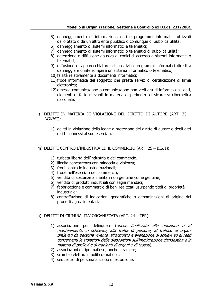- 5) danneggiamento di informazioni, dati e programmi informatici utilizzati dallo Stato o da un altro ente pubblico o comunque di pubblica utilità;
- 6) danneggiamento di sistemi informatici e telematici;
- 7) danneggiamento di sistemi informatici o telematici di pubblica utilità;
- 8) detenzione e diffusione abusiva di codici di accesso a sistemi informatici o telematici;
- 9) diffusione di apparecchiature, dispositivi o programmi informatici diretti a danneggiare o interrompere un sistema informatico o telematico;
- 10)falsità relativamente a documenti informatici;
- 11)frode informatica del soggetto che presta servizi di certificazione di firma elettronica;
- 12) omessa comunicazione o comunicazione non veritiera di informazioni, dati, elementi di fatto rilevanti in materia di perimetro di sicurezza cibernetica nazionale.
- l) DELITTI IN MATERIA DI VIOLAZIONE DEL DIRITTO DI AUTORE (ART. 25 NOVIES):
	- 1) delitti in violazione della legge a protezione del diritto di autore e degli altri diritti connessi al suo esercizio.
- m) DELITTI CONTRO L'INDUSTRIA ED IL COMMERCIO (ART. 25 BIS.1):
	- 1) turbata libertà dell'industria e del commercio;
	- 2) illecita concorrenza con minaccia o violenza;
	- 3) frodi contro le industrie nazionali;
	- 4) frode nell'esercizio del commercio;
	- 5) vendita di sostanze alimentari non genuine come genuine;
	- 6) vendita di prodotti industriali con segni mendaci;
	- 7) fabbricazione e commercio di beni realizzati usurpando titoli di proprietà industriale;
	- 8) contraffazione di indicazioni geografiche o denominazioni di origine dei prodotti agroalimentari.

#### n) DELITTI DI CRIMINALITA' ORGANIZZATA (ART. 24 – TER):

- 1) associazione per delinquere (anche finalizzata alla riduzione o al mantenimento in schiavitù, alla tratta di persone, al traffico di organi prelevati da persona vivente, all'acquisto e alienazione di schiavi ed ai reati concernenti le violazioni delle disposizioni sull'immigrazione clandestina e in materia di prelievi e di trapianti di organi e di tessuti);
- 2) associazioni di tipo mafioso, anche straniere;
- 3) scambio elettorale politico-mafioso;
- 4) sequestro di persona a scopo di estorsione;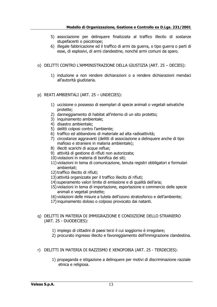- 5) associazione per delinquere finalizzata al traffico illecito di sostanze stupefacenti o psicotrope;
- 6) illegale fabbricazione ed il traffico di armi da guerra, o tipo guerra o parti di esse, di esplosivi, di armi clandestine, nonché armi comuni da sparo.
- o) DELITTI CONTRO L'AMMINISTRAZIONE DELLA GIUSTIZIA (ART. 25 DECIES):
	- 1) induzione a non rendere dichiarazioni o a rendere dichiarazioni mendaci all'autorità giudiziaria.

#### p) REATI AMBIENTALI (ART. 25 – UNDECIES):

- 1) uccisione o possesso di esemplari di specie animali o vegetali selvatiche protette;
- 2) danneggiamento di habitat all'interno di un sito protetto;
- 3) inquinamento ambientale;
- 4) disastro ambientale;
- 5) delitti colposi contro l'ambiente;
- 6) traffico ed abbandono di materiale ad alta radioattività;
- 7) circostanze aggravanti (delitti di associazione a delinquere anche di tipo mafioso e straniere in materia ambientale);
- 8) illeciti scarichi di acque reflue;
- 9) attività di gestione di rifiuti non autorizzata;
- 10) violazioni in materia di bonifica dei siti;
- 11) violazioni in tema di comunicazione, tenuta registri obbligatori e formulari ambientali;
- 12)traffico illecito di rifiuti;
- 13) attività organizzate per il traffico illecito di rifiuti;
- 14) superamento valori limite di emissione e di qualità dell'aria;
- 15) violazioni in tema di importazione, esportazione e commercio delle specie animali e vegetali protette;
- 16) violazioni delle misure a tutela dell'ozono stratosferico e dell'ambiente;
- 17)inquinamento doloso o colposo provocato dai natanti.

#### q) DELITTI IN MATERIA DI IMMIGRAZIONE E CONDIZIONE DELLO STRANIERO (ART. 25 - DUODECIES):

- 1) impiego di cittadini di paesi terzi il cui soggiorno è irregolare;
- 2) procurato ingresso illecito e favoreggiamento dell'immigrazione clandestina.
- r) DELITTI IN MATERIA DI RAZZISMO E XENOFOBIA (ART. 25 TERDECIES):
	- 1) propaganda e istigazione a delinquere per motivi di discriminazione razziale etnica e religiosa.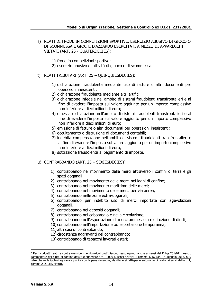#### s) REATI DI FRODE IN COMPETIZIONI SPORTIVE, ESERCIZIO ABUSIVO DI GIOCO O DI SCOMMESSA E GIOCHI D'AZZARDO ESERCITATI A MEZZO DI APPARECCHI VIETATI (ART. 25 - QUATERDECIES):

- 1) frode in competizioni sportive;
- 2) esercizio abusivo di attività di giuoco o di scommessa.
- t) REATI TRIBUTARI (ART. 25 QUINQUIESDECIES):
	- 1) dichiarazione fraudolenta mediante uso di fatture o altri documenti per operazioni inesistenti;
	- 2) dichiarazione fraudolenta mediante altri artifici;
	- 3) dichiarazione infedele nell'ambito di sistemi fraudolenti transfrontalieri e al fine di evadere l'imposta sul valore aggiunto per un importo complessivo non inferiore a dieci milioni di euro;
	- 4) omessa dichiarazione nell'ambito di sistemi fraudolenti transfrontalieri e al fine di evadere l'imposta sul valore aggiunto per un importo complessivo non inferiore a dieci milioni di euro;
	- 5) emissione di fatture o altri documenti per operazioni inesistenti;
	- 6) occultamento o distruzione di documenti contabili;
	- 7) indebita compensazione nell'ambito di sistemi fraudolenti transfrontalieri e al fine di evadere l'imposta sul valore aggiunto per un importo complessivo non inferiore a dieci milioni di euro;
	- 8) sottrazione fraudolenta al pagamento di imposte.
- u) CONTRABBANDO (ART. 25 SEXIESDECIES)<sup>5</sup>:
	- 1) contrabbando nel movimento delle merci attraverso i confini di terra e gli spazi doganali;
	- 2) contrabbando nel movimento delle merci nei laghi di confine;
	- 3) contrabbando nel movimento marittimo delle merci;
	- 4) contrabbando nel movimento delle merci per via aerea;
	- 5) contrabbando nelle zone extra-doganali;
	- 6) contrabbando per indebito uso di merci importate con agevolazioni doganali;
	- 7) contrabbando nei depositi doganali;
	- 8) contrabbando nel cabotaggio e nella circolazione;
	- 9) contrabbando nell'esportazione di merci ammesse a restituzione di diritti;
	- 10) contrabbando nell'importazione od esportazione temporanea;
	- 11) altri casi di contrabbando;
	- 12) circostanze aggravanti del contrabbando;
	- 13) contrabbando di tabacchi lavorati esteri;

<sup>&</sup>lt;sup>5</sup> Per i suddetti reati (e contravvenzioni), le violazioni costituiscono reato (quindi anche ai sensi del D.Lgs.231/01) quando l'ammontare dei diritti di confine dovuti è superiore a € 10.000 ai sensi dell'art. 1 comma 4, D. Lgs. 15 gennaio 2016, n.8, oltre che nelle ipotesi aggravate punite con la pena detentiva, da ritenersi fattispecie autonome di reato, ai sensi dell'art. 1, comma 2 D. Lgs. citato).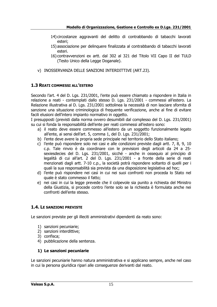- 14) circostanze aggravanti del delitto di contrabbando di tabacchi lavorati esteri;
- 15) associazione per delinquere finalizzata al contrabbando di tabacchi lavorati esteri.
- 16) contravvenzioni ex artt. dal 302 al 321 del Titolo VII Capo II del TULD (Testo Unico della Legge Doganale).
- v) INOSSERVANZA DELLE SANZIONI INTERDITTIVE (ART.23).

#### <span id="page-14-0"></span>**1.3 REATI COMMESSI ALL'ESTERO**

Secondo l'art. 4 del D. Lgs. 231/2001, l'ente può essere chiamato a rispondere in Italia in relazione a reati - contemplati dallo stesso D. Lgs. 231/2001 - commessi all'estero. La Relazione illustrativa al D. Lgs. 231/2001 sottolinea la necessità di non lasciare sfornita di sanzione una situazione criminologica di frequente verificazione, anche al fine di evitare facili elusioni dell'intero impianto normativo in oggetto.

I presupposti (previsti dalla norma ovvero desumibili dal complesso del D. Lgs. 231/2001) su cui si fonda la responsabilità dell'ente per reati commessi all'estero sono:

- a) il reato deve essere commesso all'estero da un soggetto funzionalmente legato all'ente, ai sensi dell'art. 5, comma 1, del D. Lgs. 231/2001;
- b) l'ente deve avere la propria sede principale nel territorio dello Stato italiano;
- c) l'ente può rispondere solo nei casi e alle condizioni previste dagli artt. 7, 8, 9, 10 c.p. Tale rinvio è da coordinare con le previsioni degli articoli da 24 a 25 sexiesdecies del D. Lgs. 231/2001, sicché - anche in ossequio al principio di legalità di cui all'art. 2 del D. Lgs. 231/2001 - a fronte della serie di reati menzionati dagli artt. 7-10 c.p., la società potrà rispondere soltanto di quelli per i quali la sua responsabilità sia prevista da una disposizione legislativa ad hoc;
- d) l'ente può rispondere nei casi in cui nei suoi confronti non proceda lo Stato nel quale è stato commesso il fatto;
- e) nei casi in cui la legge prevede che il colpevole sia punito a richiesta del Ministro della Giustizia, si procede contro l'ente solo se la richiesta è formulata anche nei confronti dell'ente stesso.

#### <span id="page-14-1"></span>**1.4. LE SANZIONI PREVISTE**

Le sanzioni previste per gli illeciti amministrativi dipendenti da reato sono:

- 1) sanzioni pecuniarie;
- 2) sanzioni interdittive;
- 3) confisca;
- 4) pubblicazione della sentenza.

#### **1) Le sanzioni pecuniarie**

Le sanzioni pecuniarie hanno natura amministrativa e si applicano sempre, anche nel caso in cui la persona giuridica ripari alle conseguenze derivanti dal reato.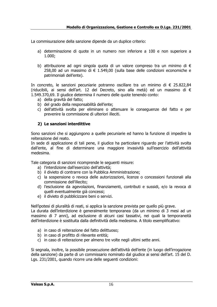La commisurazione della sanzione dipende da un duplice criterio:

- a) determinazione di quote in un numero non inferiore a 100 e non superiore a 1.000;
- b) attribuzione ad ogni singola quota di un valore compreso tra un minimo di € 258,00 ad un massimo di € 1.549,00 (sulla base delle condizioni economiche e patrimoniali dell'ente).

In concreto, le sanzioni pecuniarie potranno oscillare tra un minimo di € 25.822,84 (riducibili, ai sensi dell'art. 12 del Decreto, sino alla metà) ed un massimo di € 1.549.370,69. Il giudice determina il numero delle quote tenendo conto:

- a) della gravità del fatto;
- b) del grado della responsabilità dell'ente;
- c) dell'attività svolta per eliminare o attenuare le conseguenze del fatto e per prevenire la commissione di ulteriori illeciti.

#### **2) Le sanzioni interdittive**

Sono sanzioni che si aggiungono a quelle pecuniarie ed hanno la funzione di impedire la reiterazione del reato.

In sede di applicazione di tali pene, il giudice ha particolare riguardo per l'attività svolta dall'ente, al fine di determinare una maggiore invasività sull'esercizio dell'attività medesima.

Tale categoria di sanzioni ricomprende le seguenti misure:

- a) l'interdizione dall'esercizio dell'attività;
- b) il divieto di contrarre con la Pubblica Amministrazione;
- c) la sospensione o revoca delle autorizzazioni, licenze o concessioni funzionali alla commissione dell'illecito;
- d) l'esclusione da agevolazioni, finanziamenti, contributi e sussidi, e/o la revoca di quelli eventualmente già concessi;
- e) il divieto di pubblicizzare beni o servizi.

Nell'ipotesi di pluralità di reati, si applica la sanzione prevista per quello più grave.

La durata dell'interdizione è generalmente temporanea (da un minimo di 3 mesi ad un massimo di 7 anni), ad esclusione di alcuni casi tassativi, nei quali la temporaneità dell'interdizione è sostituita dalla definitività della medesima. A titolo esemplificativo:

- a) in caso di reiterazione del fatto delittuoso;
- b) in caso di profitto di rilevante entità;
- c) in caso di reiterazione per almeno tre volte negli ultimi sette anni.

Si segnala, inoltre, la possibile prosecuzione dell'attività dell'ente (in luogo dell'irrogazione della sanzione) da parte di un commissario nominato dal giudice ai sensi dell'art. 15 del D. Lgs. 231/2001, quando ricorre una delle seguenti condizioni: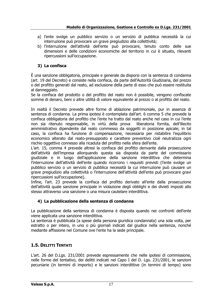- a) l'ente svolge un pubblico servizio o un servizio di pubblica necessità la cui interruzione può provocare un grave pregiudizio alla collettività;
- b) l'interruzione dell'attività dell'ente può provocare, tenuto conto delle sue dimensioni e delle condizioni economiche del territorio in cui è situato, rilevanti ripercussioni sull'occupazione.

#### **3) La confisca**

È una sanzione obbligatoria, principale e generale da disporsi con la sentenza di condanna (art. 19 del Decreto) e consiste nella confisca, da parte dell'Autorità Giudiziaria, del prezzo o del profitto generati dal reato, ad esclusione della parte di esso che può essere restituita al danneggiato.

Se la confisca del prodotto o del profitto del reato non è possibile, vengono confiscate somme di denaro, beni o altre utilità di valore equivalente al prezzo o al profitto del reato.

In realtà il Decreto prevede altre forme di ablazione patrimoniale, pur in assenza di sentenza di condanna. La prima ipotesi è contemplata dall'art. 6 comma 5 che prevede la confisca obbligatoria del profitto che l'ente ha tratto dal reato anche nel caso in cui l'ente non sia ritenuto responsabile, in virtù della prova liberatoria fornita, dell'illecito amministrativo dipendente dal reato commesso da soggetti in posizione apicale; in tal caso, la confisca ha funzione di compensazione, necessaria per ristabilire l'equilibrio economico alterato dal reato-presupposto e carattere preventivo cioè neutralizza ogni rischio oggettivo connesso alla ricaduta del profitto nella sfera dell'ente.

L'art. 15, comma 4 prevede altresì la confisca del profitto derivante dalla prosecuzione dell'attività dell'impresa allorquando questa sia disposta da parte del commissario giudiziale e in luogo dell'applicazione della sanzione interdittiva che determina l'interruzione dell'attività dell'ente quando ricorrono i requisiti previsti (l'ente svolge un pubblico servizio o un servizio di pubblica necessità la cui interruzione può causare un grave pregiudizio alla collettività o l'interruzione dell'attività dell'ente può provocare gravi ripercussioni sull'occupazione).

Infine, l'art. 23 prevede la confisca del profitto derivato all'ente dalla prosecuzione dell'attività quale sanzione principale in violazione degli obblighi e dei divieti imposti allo stesso attraverso una sanzione o una misura cautelare interdittiva.

#### **4) La pubblicazione della sentenza di condanna**

La pubblicazione della sentenza di condanna è disposta quando nei confronti dell'ente viene applicata una sanzione interdittiva.

La sentenza è pubblicata (a spese della persona giuridica condannata) una sola volta, per estratto o per intero, in uno o più giornali indicati dal giudice nella sentenza, nonché mediante affissione nel Comune ove l'ente ha la sede principale.

#### <span id="page-16-0"></span>**1.5. DELITTI TENTATI**

L'art. 26 del D.Lgs. 231/2001 prevede espressamente che nelle ipotesi di commissione, nelle forme del tentativo, dei delitti indicati nel Capo I del D. Lgs. 231/2001, le sanzioni pecuniarie (in termini di importo) e le sanzioni interdittive (in termini di tempo) sono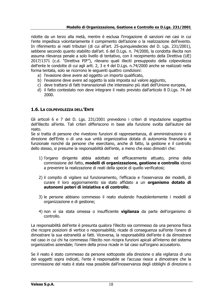ridotte da un terzo alla metà, mentre è esclusa l'irrogazione di sanzioni nei casi in cui l'ente impedisca volontariamente il compimento dell'azione o la realizzazione dell'evento. In riferimento ai reati tributari (di cui all'art. 25-quinquiesdecies del D. Lgs. 231/2001), sebbene secondo quanto stabilito dall'art. 6 del D.Lgs. n. 74/2000, la condotta illecita non assuma rilevanza penale a solo livello di tentativo, con il recepimento della Direttiva (UE) 2017/1371 (c.d. "Direttiva PIF"), rilevano quali illeciti presupposto della colpevolezza dell'ente le condotte di cui agli artt. 2, 3 e 4 del D.Lgs. n.74/2000 anche se realizzati nella forma tentata, solo se ricorrono le seguenti quattro condizioni:

- a) l'evasione deve avere ad oggetto un importo qualificato,
- b) l'evasione deve avere ad oggetto la sola imposta sul valore aggiunto,
- c) deve trattarsi di fatti transnazionali che interessino più stati dell'Unione europea,
- d) il fatto contestato non deve integrare il reato previsto dall'articolo 8 D.Lgs. 74 del 2000.

#### <span id="page-17-0"></span>**1.6. LA COLPEVOLEZZA DELL'ENTE**

Gli articoli 6 e 7 del D. Lgs. 231/2001 prevedono i criteri di imputazione soggettiva dell'illecito all'ente. Tali criteri differiscono in base alla funzione svolta dall'autore del reato.

Se si tratta di persone che rivestono funzioni di rappresentanza, di amministrazione o di direzione dell'Ente o di una sua unità organizzativa dotata di autonomia finanziaria e funzionale nonché da persone che esercitano, anche di fatto, la gestione e il controllo dello stesso, si presume la responsabilità dell'ente, a meno che esso dimostri che:

- 1) l'organo dirigente abbia adottato ed efficacemente attuato, prima della commissione del fatto, **modelli di organizzazione, gestione e controllo** idonei a prevenire la realizzazione di reati della specie di quello verificatosi;
- 2) il compito di vigilare sul funzionamento, l'efficacia e l'osservanza dei modelli, di curare il loro aggiornamento sia stato affidato a un **organismo dotato di autonomi poteri di iniziativa e di controllo**;
- 3) le persone abbiano commesso il reato eludendo fraudolentemente i modelli di organizzazione e di gestione;
- 4) non vi sia stata omessa o insufficiente **vigilanza** da parte dell'organismo di controllo.

La responsabilità dell'ente è presunta qualora l'illecito sia commesso da una persona fisica che ricopre posizioni di vertice o responsabilità; ricade di conseguenza sull'ente l'onere di dimostrare la sua estraneità ai fatti. Viceversa, la responsabilità dell'ente è da dimostrare nel caso in cui chi ha commesso l'illecito non ricopra funzioni apicali all'interno del sistema organizzativo aziendale; l'onere della prova ricade in tal caso sull'organo accusatorio.

Se il reato è stato commesso da persone sottoposte alla direzione o alla vigilanza di uno dei soggetti sopra indicati, l'ente è responsabile se l'accusa riesce a dimostrare che la commissione del reato è stata resa possibile dall'inosservanza degli obblighi di direzione o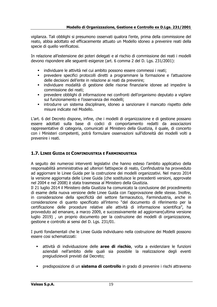vigilanza. Tali obblighi si presumono osservati qualora l'ente, prima della commissione del reato, abbia adottato ed efficacemente attuato un Modello idoneo a prevenire reati della specie di quello verificatosi.

In relazione all'estensione dei poteri delegati e al rischio di commissione dei reati i modelli devono rispondere alle seguenti esigenze (art. 6 comma 2 del D. Lgs. 231/2001):

- individuare le attività nel cui ambito possono essere commessi i reati;
- prevedere specifici protocolli diretti a programmare la formazione e l'attuazione delle decisioni dell'ente in relazione ai reati da prevenire;
- individuare modalità di gestione delle risorse finanziarie idonee ad impedire la commissione dei reati;
- prevedere obblighi di informazione nei confronti dell'organismo deputato a vigilare sul funzionamento e l'osservanza dei modelli;
- introdurre un sistema disciplinare, idoneo a sanzionare il mancato rispetto delle misure indicate nel Modello.

L'art. 6 del Decreto dispone, infine, che i modelli di organizzazione e di gestione possano essere adottati sulla base di codici di comportamento redatti da associazioni rappresentative di categoria, comunicati al Ministero della Giustizia, il quale, di concerto con i Ministeri competenti, potrà formulare osservazioni sull'idoneità dei modelli volti a prevenire i reati.

#### <span id="page-18-0"></span>**1.7. LINEE GUIDA DI CONFINDUSTRIA E FARMINDUSTRIA**

A seguito dei numerosi interventi legislativi che hanno esteso l'ambito applicativo della responsabilità amministrativa ad ulteriori fattispecie di reato, Confindustria ha provveduto ad aggiornare le Linee Guida per la costruzione dei modelli organizzativi. Nel marzo 2014 la versione aggiornata delle Linee Guida (che sostituisce le precedenti versioni, approvate nel 2004 e nel 2008) è stata trasmessa al Ministero della Giustizia.

Il 21 luglio 2014 il Ministero della Giustizia ha comunicato la conclusione del procedimento di esame della nuova versione delle Linee Guida con l'approvazione delle stesse. Inoltre, in considerazione della specificità del settore farmaceutico, Farmindustria, anche in considerazione di quanto specificato all'interno "del documento di riferimento per la certificazione delle procedure relative alle attività di informazione scientifica", ha provveduto ad emanare, a marzo 2009, e successivamente ad aggiornare(ultima versione luglio 2019) , un proprio documento per la costruzione dei modelli di organizzazione, gestione e controllo ai sensi del D. Lgs. 231/01.

I punti fondamentali che le Linee Guida individuano nella costruzione dei Modelli possono essere cosi schematizzati:

- attività di individuazione delle **aree di rischio**, volta a evidenziare le funzioni aziendali nell'ambito delle quali sia possibile la realizzazione degli eventi pregiudizievoli previsti dal Decreto;
- predisposizione di un **sistema di controllo** in grado di prevenire i rischi attraverso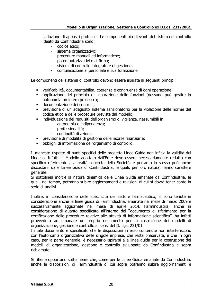l'adozione di appositi protocolli. Le componenti più rilevanti del sistema di controllo ideato da Confindustria sono:

- codice etico;
- sistema organizzativo;
- procedure manuali ed informatiche;
- poteri autorizzativi e di firma;
- sistemi di controllo integrato e di gestione;
- comunicazione al personale e sua formazione.

Le componenti del sistema di controllo devono essere ispirate ai seguenti principi:

- verificabilità, documentabilità, coerenza e congruenza di ogni operazione;
- applicazione del principio di separazione delle funzioni (nessuno può gestire in autonomia un intero processo);
- documentazione dei controlli;
- previsione di un adequato sistema sanzionatorio per la violazione delle norme del codice etico e delle procedure previste dal modello;
- individuazione dei requisiti dell'organismo di vigilanza, riassumibili in:
	- autonomia e indipendenza;
	- professionalità;
	- continuità di azione.
- previsione di modalità di gestione delle risorse finanziarie;
- obblighi di informazione dell'organismo di controllo.

Il mancato rispetto di punti specifici delle predette Linee Guida non inficia la validità del Modello. Infatti, il Modello adottato dall'Ente deve essere necessariamente redatto con specifico riferimento alla realtà concreta della Società, e pertanto lo stesso può anche discostarsi dalle Linee Guida di Confindustria, le quali, per loro natura, hanno carattere generale.

Si sottolinea inoltre la natura dinamica delle Linee Guida emanate da Confindustria, le quali, nel tempo, potranno subire aggiornamenti e revisioni di cui si dovrà tener conto in sede di analisi.

Inoltre, in considerazione delle specificità del settore farmaceutico, si sono tenute in considerazione anche le linee guida di Farmindustria, emanate nel mese di marzo 2009 e successivamente aggiornate nel mese di aprile 2014. Farmindustria, anche in considerazione di quanto specificato all'interno del "documento di riferimento per la certificazione delle procedure relative alle attività di informazione scientifica", ha infatti provveduto ad emanare un proprio documento per la costruzione dei modelli di organizzazione, gestione e controllo ai sensi del D. Lgs. 231/01.

In tale documento è specificato che le disposizioni in esso contenute non interferiscono con l'autonomia organizzativa delle singole imprese, che resta preservata, e che in ogni caso, per la parte generale, è necessario ispirarsi alle linee guida per la costruzione dei modelli di organizzazione, gestione e controllo sviluppate da Confindustria e sopra richiamate.

Si ritiene opportuno sottolineare che, come per le Linee Guida emanate da Confindustria, anche le disposizioni di Farmindustria di cui sopra potranno subire aggiornamenti e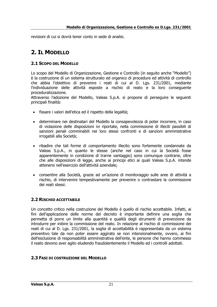revisioni di cui si dovrà tener conto in sede di analisi.

## <span id="page-20-0"></span>**2. IL MODELLO**

#### <span id="page-20-1"></span>**2.1 SCOPO DEL MODELLO**

Lo scopo del Modello di Organizzazione, Gestione e Controllo (in seguito anche "Modello") è la costruzione di un sistema strutturato ed organico di procedure ed attività di controllo che abbia l'obiettivo di prevenire i reati di cui al D. Lgs. 231/2001, mediante l'individuazione delle attività esposte a rischio di reato e la loro conseguente proceduralizzazione.

Attraverso l'adozione del Modello, Valeas S.p.A. si propone di perseguire le seguenti principali finalità:

- fissare i valori dell'etica ed il rispetto della legalità;
- determinare nei destinatari del Modello la consapevolezza di poter incorrere, in caso di violazione delle disposizioni ivi riportate, nella commissione di illeciti passibili di sanzioni penali comminabili nei loro stessi confronti e di sanzioni amministrative irrogabili alla Società;
- ribadire che tali forme di comportamento illecito sono fortemente condannate da Valeas S.p.A., in quanto le stesse (anche nel caso in cui la Società fosse apparentemente in condizione di trarne vantaggio) sono comunque contrarie, oltre che alle disposizioni di legge, anche ai principi etici ai quali Valeas S.p.A. intende attenersi nell'esercizio dell'attività aziendale;
- consentire alla Società, grazie ad un'azione di monitoraggio sulle aree di attività a rischio, di intervenire tempestivamente per prevenire o contrastare la commissione dei reati stessi.

#### <span id="page-20-2"></span>**2.2 RISCHIO ACCETTABILE**

Un concetto critico nella costruzione del Modello è quello di rischio accettabile. Infatti, ai fini dell'applicazione delle norme del decreto è importante definire una soglia che permetta di porre un limite alla quantità e qualità degli strumenti di prevenzione da introdurre per inibire la commissione del reato. In relazione al rischio di commissione dei reati di cui al D. Lgs. 231/2001, la soglia di accettabilità è rappresentata da un sistema preventivo tale da non poter essere aggirato se non intenzionalmente, ovvero, ai fini dell'esclusione di responsabilità amministrativa dell'ente, le persone che hanno commesso il reato devono aver agito eludendo fraudolentemente il Modello ed i controlli adottati.

#### <span id="page-20-3"></span>**2.3 FASI DI COSTRUZIONE DEL MODELLO**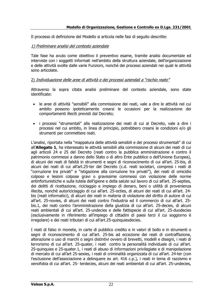Il processo di definizione del Modello si articola nelle fasi di seguito descritte:

#### 1) Preliminare analisi del contesto aziendale

Tale fase ha avuto come obiettivo il preventivo esame, tramite analisi documentale ed interviste con i soggetti informati nell'ambito della struttura aziendale, dell'organizzazione e delle attività svolte dalle varie Funzioni, nonché dei processi aziendali nei quali le attività sono articolate.

#### 2) Individuazione delle aree di attività e dei processi aziendali a "rischio reato"

Attraverso la sopra citata analisi preliminare del contesto aziendale, sono state identificate:

- le aree di attività "sensibili" alla commissione dei reati, vale a dire le attività nel cui ambito possono ipoteticamente crearsi le occasioni per la realizzazione dei comportamenti illeciti previsti dal Decreto;
- i processi "strumentali" alla realizzazione dei reati di cui al Decreto, vale a dire i processi nel cui ambito, in linea di principio, potrebbero crearsi le condizioni e/o gli strumenti per commettere reati.

L'analisi, riportata nella "mappatura delle attività sensibili e dei processi strumentali" di cui all'**Allegato 1**, ha interessato le attività sensibili alla commissione di alcuni dei reati di cui agli articoli 24 e 25 del Decreto (reati contro la pubblica amministrazione e contro il patrimonio commessi a danno dello Stato o di altro Ente pubblico o dell'Unione Europea), di alcuni dei reati di falsità in strumenti e segni di riconoscimento di cui all'art. 25-bis, di alcuni dei reati di cui all'art.25-ter del Decreto (c.d. reati societari, compresi i reati di "corruzione tra privati" e "istigazione alla corruzione tra privati"), dei reati di omicidio colposo e lesioni colpose gravi o gravissime commessi con violazione delle norme antinfortunistiche e sulla tutela dell'igiene e della salute sul lavoro di cui all'art. 25-septies, dei delitti di ricettazione, riciclaggio e impiego di denaro, beni o utilità di provenienza illecita, nonché autoriciclaggio di cui all'art. 25-octies, di alcuni dei reati di cui all'art. 24 bis (reati informatici), di alcuni dei reati in materia di violazione del diritto di autore di cui all'art. 25-novies, di alcuni dei reati contro l'industria ed il commercio di cui all'art. 25 bis.1, dei reati contro l'amministrazione della giustizia di cui all'art. 25-decies, di alcuni reati ambientali di cui all'art. 25-undecies e delle fattispecie di cui all'art. 25-duodecies (esclusivamente in riferimento all'impiego di cittadini di paesi terzi il cui soggiorno è irregolare) e dei reati tributari di cui all'art.25-quinquiesdecies.

I reati di falso in monete, in carte di pubblico credito e in valori di bollo e in strumenti o segni di riconoscimento di cui all'art. 25-bis ad eccezione dei reati di contraffazione, alterazione o uso di marchi o segni distintivi ovvero di brevetti, modelli e disegni, i reati di terrorismo di cui all'art. 25-quater, i reati contro la personalità individuale di cui all'art. 25-quinquies e 25-quater.1, i reati di abuso di informazioni privilegiate e di manipolazione di mercato di cui all'art 25-sexies, i reati di criminalità organizzata di cui all'art. 24-ter (con l'esclusione dell'associazione a delinquere ex art. 416 c.p.), i reati in tema di razzismo e xenofobia di cui all'art. 25- terdecies, alcuni dei reati ambientali di cui all'art. 25-undecies,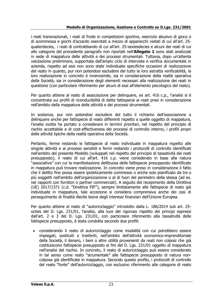i reati transnazionali, i reati di frode in competizioni sportive, esercizio abusivo di gioco o di scommessa e giochi d'azzardo esercitati a mezzo di apparecchi vietati di cui all'art. 25 quaterdecies, i reati di contrabbando di cui all'art. 25-sexiesdecies e alcuni dei reati di cui alle categorie del precedente paragrafo non riportati nell'**Allegato 1** sono stati analizzati in sede di mappatura delle attività e dei processi strumentali. Tuttavia, dopo un'attenta valutazione preliminare, supportata dall'ampio ciclo di interviste e verifica documentale in azienda, rispetto ad essi non sono state individuate specifiche occasioni di realizzazione del reato in quanto, pur non potendosi escludere del tutto la loro astratta verificabilità, la loro realizzazione in concreto è inverosimile, sia in considerazione della realtà operativa della Società, sia in considerazione degli elementi necessari alla realizzazione dei reati in questione (con particolare riferimento per alcuni di essi all'elemento psicologico del reato).

Per quanto attiene al reato di associazione per delinquere, ex art. 416 c.p., l'analisi si è concentrata sui profili di riconducibilità di detta fattispecie ai reati presi in considerazione nell'ambito della mappatura delle attività e dei processi strumentali.

In sostanza, pur non potendosi escludere del tutto il richiamo dell'associazione a delinquere anche per fattispecie di reato differenti rispetto a quelle oggetto di mappatura, l'analisi svolta ha portato a considerare in termini prioritari, nel rispetto del principio di rischio accettabile e di cost-effectiveness dei processi di controllo interno, i profili propri delle attività tipiche della realtà operativa della Società.

Pertanto, ferme restando le fattispecie di reato individuate in mappatura rispetto alle singole attività e ai processi sensibili e fermi restando i protocolli di controllo identificati nell'ambito del presente Modello (sviluppati nel rispetto del principio di tassatività dei reati presupposto), il reato di cui all'art. 416 c.p. viene considerato in base alla natura "associativa" con cui la manifestazione delittuosa delle fattispecie presupposto identificate in mappatura può trovare realizzazione. In concreto viene preso in considerazione il fatto che il delitto fine possa essere ipoteticamente commesso o anche solo pianificato da tre o più soggetti nell'ambito dell'organizzazione o al di fuori del perimetro della stessa (ad es. nei rapporti con fornitori o partner commerciali). A seguito del recepimento della Direttiva (UE) 2017/1371 (c.d. "Direttiva PIF"), sempre limitatamente alle fattispecie di reato già individuate in mappatura, tale accezione si considera comprensiva anche dei casi di perseguimento di finalità illecite lesive degli interessi finanziari dell'Unione Europea.

Per quanto attiene al reato di "autoriciclaggio" introdotto dalla L. 186/2014 sub art. 25 octies del D. Lgs. 231/01, l'analisi, alla luce del rigoroso rispetto dei principi espressi dall'art. 2 e 3 del D. Lgs. 231/01, con particolare riferimento alla tassatività delle fattispecie presupposto, è stata condotta secondo due profili:

• considerando il reato di autoriciclaggio come modalità con cui potrebbero essere impiegati, sostituiti o trasferiti, nell'ambito dell'attività economico-imprenditoriale della Società, il denaro, i beni o altre utilità provenienti da reati non colposi che già costituiscono fattispecie presupposto ai fini del D. Lgs. 231/01 oggetto di mappatura nell'analisi del rischio. In concreto, il reato di autoriciclaggio può essere considerato in tal senso come reato "strumentale" alle fattispecie presupposto di natura noncolposa già identificate in mappatura. Secondo questo profilo, i protocolli di controllo del reato "fonte" dell'autoriciclaggio, con esclusivo riferimento alle categorie di reato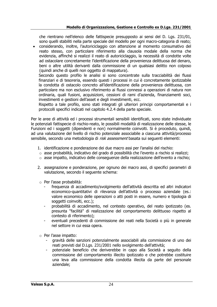che rientrano nell'elenco delle fattispecie presupposto ai sensi del D. Lgs. 231/01, sono quelli stabiliti nella parte speciale del modello per ogni macro-categoria di reato;

• considerando, inoltre, l'autoriciclaggio con attenzione al momento consumativo del reato stesso, con particolare riferimento alla clausola modale della norma che evidenzia, affinché si realizzi il reato di autoriciclaggio, la necessità di condotte volte ad ostacolare concretamente l'identificazione della provenienza delittuosa del denaro, beni o altre utilità derivanti dalla commissione di un qualsiasi delitto non colposo (quindi anche di quelli non oggetto di mappatura).

Secondo questo profilo le analisi si sono concentrate sulla tracciabilità dei flussi finanziari e di tesoreria, essendo questi i processi in cui è concretamente ipotizzabile la condotta di ostacolo concreto all'identificazione della provenienza delittuosa, con particolare ma non esclusivo riferimento ai flussi connessi a operazioni di natura non ordinaria, quali fusioni, acquisizioni, cessioni di rami d'azienda, finanziamenti soci, investimenti e gestioni dell'asset e degli investimenti, ecc.

Rispetto a tale profilo, sono stati integrati gli ulteriori principi comportamentali e i protocolli specifici indicati nel capitolo 4.2.4 della parte speciale.

Per le aree di attività ed i processi strumentali sensibili identificati, sono state individuate le potenziali fattispecie di rischio-reato, le possibili modalità di realizzazione delle stesse, le Funzioni ed i soggetti (dipendenti e non) normalmente coinvolti. Si è proceduto, quindi, ad una valutazione del livello di rischio potenziale associabile a ciascuna attività/processo sensibile, secondo una metodologia di *risk assessment* basata sui seguenti elementi:

- 1. identificazione e ponderazione dei due macro assi per l'analisi del rischio:
- $\circ$  asse probabilità, indicativo del grado di possibilità che l'evento a rischio si realizzi;
- $\circ$  asse impatto, indicativo delle conseguenze della realizzazione dell'evento a rischio;
- 2. assegnazione e ponderazione, per ognuno dei macro assi, di specifici parametri di valutazione, secondo il seguente schema:
- o Per l'asse probabilità:
	- frequenza di accadimento/svolgimento dell'attività descritta ed altri indicatori economico-quantitativi di rilevanza dell'attività o processo aziendale (es.: valore economico delle operazioni o atti posti in essere, numero e tipologia di soggetti coinvolti, ecc.);
	- probabilità di accadimento, nel contesto operativo, del reato ipotizzato (es. presunta "facilità" di realizzazione del comportamento delittuoso rispetto al contesto di riferimento);
	- eventuali precedenti di commissione dei reati nella Società o più in generale nel settore in cui essa opera.
- o Per l'asse impatto:
	- gravità delle sanzioni potenzialmente associabili alla commissione di uno dei reati previsti dal D.Lgs. 231/2001 nello svolgimento dell'attività;
	- potenziale beneficio che deriverebbe in capo alla Società a seguito della commissione del comportamento illecito ipotizzato e che potrebbe costituire una leva alla commissione della condotta illecita da parte del personale aziendale;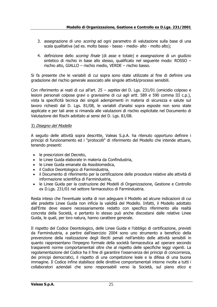- 3. assegnazione di uno *scoring* ad ogni parametro di valutazione sulla base di una scala qualitativa (ad es. molto basso - basso - medio- alto - molto alto);
- 4. definizione dello *scoring finale* (di asse e totale) e assegnazione di un giudizio sintetico di rischio in base allo stesso, qualificato nel seguente modo: ROSSO – rischio alto, GIALLO – rischio medio, VERDE – rischio basso.

Si fa presente che le variabili di cui sopra sono state utilizzate al fine di definire una gradazione del rischio generale associato alle singole attività/processi sensibili.

Con riferimento ai reati di cui all'art.  $25 -$  septies del D. Lgs. 231/01 (omicidio colposo e lesioni personali colpose gravi o gravissime di cui agli artt. 589 e 590 comma III c.p.), vista la specificità tecnica dei singoli adempimenti in materia di sicurezza e salute sul lavoro richiesti dal D. Lgs. 81/08, le variabili d'analisi sopra esposte non sono state applicate e per tali aree si rimanda alle valutazioni di rischio esplicitate nel Documento di Valutazione dei Rischi adottato ai sensi del D. Lgs. 81/08.

#### 3) Disegno del Modello

A seguito delle attività sopra descritte, Valeas S.p.A. ha ritenuto opportuno definire i principi di funzionamento ed i "protocolli" di riferimento del Modello che intende attuare, tenendo presenti:

- le prescrizioni del Decreto,
- le Linee Guida elaborate in materia da Confindustria,
- le Linee Guida emanate da Assobiomedica,
- il Codice Deontologico di Farmindustria,
- il Documento di riferimento per la certificazione delle procedure relative alle attività di informazione scientifica di Farmindustria,
- le Linee Guida per la costruzione dei Modelli di Organizzazione, Gestione e Controllo ex D.Lgs. 231/01 nel settore farmaceutico di Farmindustria.

Resta inteso che l'eventuale scelta di non adeguare il Modello ad alcune indicazioni di cui alle predette Linee Guida non inficia la validità del Modello. Infatti, il Modello adottato dall'Ente deve essere necessariamente redatto con specifico riferimento alla realtà concreta della Società, e pertanto lo stesso può anche discostarsi dalle relative Linee Guida, le quali, per loro natura, hanno carattere generale.

Il rispetto del Codice Deontologico, delle Linee Guida e l'obbligo di certificazione, previsti da Farmindustria, a partire dall'esercizio 2004 sono uno strumento a beneficio della prevenzione della realizzazione degli illeciti penali nell'ambito delle attività sensibili in quanto rappresentano l'impegno formale della società farmaceutica ad operare secondo trasparenti norme comportamentali oltre che al rispetto delle specifiche leggi vigenti. La regolamentazione del Codice ha il fine di garantire l'osservanza dei principi di concorrenza, dei principi democratici, il rispetto di una competizione leale e la difesa di una buona immagine. Il Codice infine stabilisce delle direttive comportamentali interne rivolte a tutti i collaboratori aziendali che sono responsabili verso la Società, sul piano etico e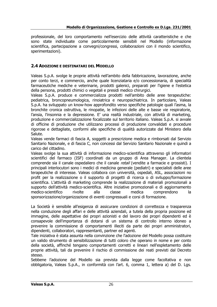professionale, del loro comportamento nell'esercizio delle attività caratteristiche e che sono state individuate come particolarmente sensibili nel Modello (informazione scientifica, partecipazione a convegni/congressi, collaborazioni con il mondo scientifico, sperimentazioni).

#### <span id="page-25-0"></span>**2.4 ADOZIONE E DESTINATARI DEL MODELLO**

Valeas S.p.A. svolge le proprie attività nell'ambito della fabbricazione, lavorazione, anche per conto terzi, e commercio, anche quale licenziataria e/o concessionaria, di specialità farmaceutiche mediche e veterinarie, prodotti galenici, preparati per l'igiene e l'estetica della persona, prodotti chimici o vegetali e presidi medico chirurgici.

Valeas S.p.A. produce e commercializza prodotti nell'ambito delle aree terapeutiche: pediatrica, broncopneumologica, rinoiatrica e neuropsichiatrica. In particolare, Valeas S.p.A. ha sviluppato un know-how approfondito verso specifiche patologie quali l'asma, la bronchite cronica ostruttiva, le rinopatie, le infezioni delle alte e basse vie respiratorie, l'ansia, l'insonnia e la depressione. E' una realtà industriale, con attività di marketing, produzione e commercializzazione focalizzate sul territorio italiano. Valeas S.p.A. si avvale di officine di produzione che utilizzano processi di produzione convalidati e procedure rigorose e dettagliate, conformi alle specifiche di qualità autorizzate dal Ministero della Salute.

Valeas vende farmaci di fascia A, soggetti a prescrizione medica e rimborsati dal Servizio Sanitario Nazionale, e di fascia C, non concessi dal Servizio Sanitario Nazionale e quindi a carico del cittadino.

Valeas svolge la sua attività di informazione medico-scientifica attraverso gli informatori scientifici del farmaco (ISF) coordinati da un gruppo di Area Manager. La clientela comprende sia il canale ospedaliero che il canale retail (vendite a farmacie e grossisti). I principali interlocutori sono i medici di medicina generale (pediatri) e specialisti delle aree terapeutiche di interesse. Valeas collabora con università, ospedali, ASL, associazioni no profit per la realizzazione o il supporto di progetti di ricerca o di sviluppo/formazione scientifica. L'attività di marketing comprende la realizzazione di materiali promozionali a supporto dell'attività medico-scientifica. Altre iniziative promozionali e di aggiornamento medico-scientifico rivolte alla classe medica comprendono la sponsorizzazione/organizzazione di eventi congressuali e corsi di formazione.

La Società è sensibile all'esigenza di assicurare condizioni di correttezza e trasparenza nella conduzione degli affari e delle attività aziendali, a tutela della propria posizione ed immagine, delle aspettative dei propri azionisti e del lavoro dei propri dipendenti ed è consapevole dell'importanza di dotarsi di un sistema di controllo interno idoneo a prevenire la commissione di comportamenti illeciti da parte dei propri amministratori, dipendenti, collaboratori, rappresentanti, partner ed agenti.

Tale iniziativa è stata assunta nella convinzione che l'adozione del Modello possa costituire un valido strumento di sensibilizzazione di tutti coloro che operano in nome e per conto della società, affinché tengano comportamenti corretti e lineari nell'espletamento delle proprie attività, tali da prevenire il rischio di commissione dei reati previsti dal Decreto stesso.

Sebbene l'adozione del Modello sia prevista dalla legge come facoltativa e non obbligatoria, Valeas S.p.A., in conformità con l'art. 6, comma 1, lettera a) del D. Lgs.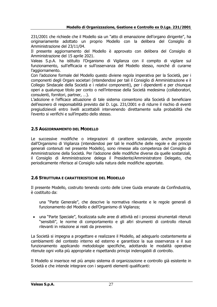231/2001 che richiede che il Modello sia un "atto di emanazione dell'organo dirigente", ha originariamente adottato un proprio Modello con la delibera del Consiglio di Amministrazione del 23/11/04.

Il presente aggiornamento del Modello è approvato con delibera del Consiglio di Amministrazione del 15 aprile 2021.

Valeas S.p.A. ha istituito l'Organismo di Vigilanza con il compito di vigilare sul funzionamento, sull'efficacia e sull'osservanza del Modello stesso, nonché di curarne l'aggiornamento.

Con l'adozione formale del Modello questo diviene regola imperativa per la Società, per i componenti degli Organi societari (intendendosi per tali il Consiglio di Amministrazione e il Collegio Sindacale della Società e i relativi componenti), per i dipendenti e per chiunque operi a qualunque titolo per conto o nell'interesse della Società medesima (collaboratori, consulenti, fornitori, partner, …).

L'adozione e l'efficace attuazione di tale sistema consentono alla Società di beneficiare dell'esonero di responsabilità previsto dal D. Lgs. 231/2001 e di ridurre il rischio di eventi pregiudizievoli entro livelli accettabili intervenendo direttamente sulla probabilità che l'evento si verifichi e sull'impatto dello stesso.

#### <span id="page-26-0"></span>**2.5 AGGIORNAMENTO DEL MODELLO**

Le successive modifiche o integrazioni di carattere sostanziale, anche proposte dall'Organismo di Vigilanza (intendendosi per tali le modifiche delle regole e dei principi generali contenuti nel presente Modello), sono rimesse alla competenza del Consiglio di Amministrazione della Società. Per l'adozione delle modifiche diverse da quelle sostanziali, il Consiglio di Amministrazione delega il Presidente/Amministratore Delegato, che periodicamente riferisce al Consiglio sulla natura delle modifiche apportate.

#### <span id="page-26-1"></span>**2.6 STRUTTURA E CARATTERISTICHE DEL MODELLO**

Il presente Modello, costruito tenendo conto delle Linee Guida emanate da Confindustria, è costituito da:

una "Parte Generale", che descrive la normativa rilevante e le regole generali di funzionamento del Modello e dell'Organismo di Vigilanza;

• una "Parte Speciale", focalizzata sulle aree di attività ed i processi strumentali ritenuti "sensibili", le norme di comportamento e gli altri strumenti di controllo ritenuti rilevanti in relazione ai reati da prevenire.

La Società si impegna a progettare e realizzare il Modello, ad adeguarlo costantemente ai cambiamenti del contesto interno ed esterno e garantisce la sua osservanza e il suo funzionamento applicando metodologie specifiche, adottando le modalità operative ritenute ogni volta più appropriate e rispettando principi inderogabili di controllo.

Il Modello si inserisce nel più ampio sistema di organizzazione e controllo già esistente in Società e che intende integrare con i seguenti elementi qualificanti: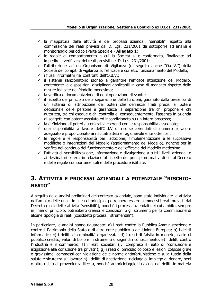- $\checkmark$  la mappatura delle attività e dei processi aziendali "sensibili" rispetto alla commissione dei reati previsti dal D. Lgs. 231/2001 da sottoporre ad analisi e monitoraggio periodico (Parte Speciale - **Allegato 1**);
- ✓ le regole di comportamento a cui la Società si è conformata, finalizzate ad impedire il verificarsi dei reati previsti nel D. Lgs. 231/2001;
- ✓ l'attribuzione ad un Organismo di Vigilanza (di seguito anche "O.d.V.") della Società dei compiti di vigilanza sull'efficace e corretto funzionamento del Modello;
- ✓ i flussi informativi nei confronti dell'O.d.V.;
- ✓ il sistema sanzionatorio idoneo a garantire l'efficace attuazione del Modello, contenente le disposizioni disciplinari applicabili in caso di mancato rispetto delle misure indicate nel Modello medesimo;
- $\checkmark$  la verifica e documentazione di ogni operazione rilevante;
- $\checkmark$  il rispetto del principio della separazione delle funzioni, garantito dalla presenza di un sistema di attribuzione dei poteri che definisce limiti precisi al potere decisionale delle persone e garantisce la separazione tra chi propone e chi autorizza, tra chi esegue e chi controlla e, conseguentemente, l'assenza in azienda di soggetti con potere assoluto ed incondizionato su un intero processo;
- $\checkmark$  la definizione di poteri autorizzativi coerenti con le responsabilità assegnate;
- ✓ una disponibilità a favore dell'O.d.V di risorse aziendali di numero e valore adeguato e proporzionato ai risultati attesi e ragionevolmente ottenibili;
- $\checkmark$  le regole e le responsabilità per l'adozione, l'implementazione e le successive modifiche o integrazioni del Modello (aggiornamento del Modello), nonché per la verifica nel continuo del funzionamento e dell'efficacia del Modello medesimo;
- $\checkmark$  l'attività di sensibilizzazione, informazione e divulgazione a tutti i livelli aziendali e ai destinatari esterni in relazione al rispetto dei principi normativi di cui al Decreto e delle regole comportamentali e delle procedure istituite.

### <span id="page-27-0"></span>**3. ATTIVITÀ E PROCESSI AZIENDALI A POTENZIALE "RISCHIO-REATO"**

A seguito delle analisi preliminari del contesto aziendale, sono state individuate le attività nell'ambito delle quali, in linea di principio, potrebbero essere commessi i reati previsti dal Decreto (cosiddette attività "sensibili"), nonché i processi aziendali nel cui ambito, sempre in linea di principio, potrebbero crearsi le condizioni o gli strumenti per la commissione di alcune tipologie di reati (cosiddetti processi "strumentali").

In particolare, le analisi hanno riguardato: a) i reati contro la Pubblica Amministrazione e contro il Patrimonio dello Stato o di altro ente pubblico o dell'Unione Europea; b) i delitti informatici; c) i delitti di criminalità organizzata; d) i reati di falsità in monete, carte di pubblico credito, valori di bollo e in strumenti o segni di riconoscimento; e) i delitti contro l'industria e il commercio; f) i reati societari (ivi compreso il reato di "corruzione e istigazione alla corruzione tra privati"); g) i reati di omicidio colposo e lesioni colpose gravi o gravissime, commessi con violazione delle norme antinfortunistiche e sulla tutela della salute e sicurezza sul lavoro; h) i delitti di ricettazione, riciclaggio, impiego di denaro, beni o altra utilità di provenienza illecita, nonché autoriciclaggio; i) alcuni dei delitti in materia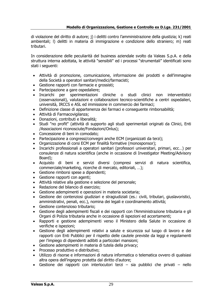di violazione del diritto di autore; j) i delitti contro l'amministrazione della giustizia; k) reati ambientali; l) delitti in materia di immigrazione e condizione dello straniero; m) reati tributari.

In considerazione delle peculiarità del business aziendale svolto da Valeas S.p.A. e della struttura interna adottata, le attività "sensibili" ed i processi "strumentali" identificati sono stati i seguenti:

- Attività di promozione, comunicazione, informazione dei prodotti e dell'immagine della Società a operatori sanitari/medici/farmacisti;
- Gestione rapporti con farmacie e grossisti;
- Partecipazione a gare ospedaliere;
- Incarichi per sperimentazioni cliniche o studi clinici non interventistici (osservazionali), valutazioni e collaborazioni tecnico-scientifiche a centri ospedalieri, università, IRCCS e ASL ed immissione in commercio dei farmaci;
- Definizione classe di appartenenza dei farmaci e conseguente rimborsabilità;
- Attività di Farmacovigilanza;
- Donazioni, contributi e liberalità;
- Studi "no profit" (attività di supporto agli studi sperimentali originati da Clinici, Enti /Associazioni riconosciute/Fondazioni/Onlus);
- Concessione di beni in comodato;
- Partecipazione a congressi/convegni anche ECM (organizzati da terzi);
- Organizzazione di corsi ECM per finalità formative (monosponsor);
- Incarichi professionali a operatori sanitari (professori universitari, primari, ecc…) per consulenze di natura scientifica (anche in occasione di Investigator Meeting/Advisory Board);
- Acquisto di beni e servizi diversi (compresi servizi di natura scientifica, commerciale/marketing, ricerche di mercato, editoriali, …);
- Gestione rimborsi spese a dipendenti;
- Gestione rapporti con agenti;
- Attività relative alla gestione e selezione del personale;
- Redazione del bilancio di esercizio;
- Gestione adempimenti e operazioni in materia societaria;
- Gestione dei contenziosi giudiziari e stragiudiziali (es.: civili, tributari, giuslavoristici, amministrativi, penali, ecc.), nomina dei legali e coordinamento attività;
- Gestione contenzioso tributario;
- Gestione degli adempimenti fiscali e dei rapporti con l'Amministrazione tributaria e gli Organi di Polizia tributaria anche in occasione di ispezioni ed accertamenti;
- Rapporti e gestione adempimenti verso il Ministero della Salute in occasione di verifiche e ispezioni;
- Gestione degli adempimenti relativi a salute e sicurezza sul luogo di lavoro e dei rapporti con Enti Pubblici per il rispetto delle cautele previste da leggi e regolamenti per l'impiego di dipendenti adibiti a particolari mansioni;
- Gestione adempimenti in materia di tutela della privacy;
- Processo produttivo e distributivo;
- Utilizzo di risorse e informazioni di natura informatica o telematica ovvero di qualsiasi altra opera dell'ingegno protetta dal diritto d'autore;
- Gestione dei rapporti con interlocutori terzi sia pubblici che privati nello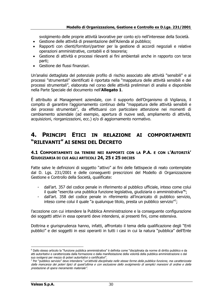svolgimento delle proprie attività lavorative per conto e/o nell'interesse della Società.

- Gestione delle attività di presentazione dell'Azienda al pubblico;
- Rapporti con clienti/fornitori/partner per la gestione di accordi negoziali e relative operazioni amministrative, contabili e di tesoreria;
- Gestione di attività e processi rilevanti ai fini ambientali anche in rapporto con terze parti;
- Gestione dei flussi finanziari.

Un'analisi dettagliata del potenziale profilo di rischio associato alle attività "sensibili" e ai processi "strumentali" identificati è riportata nella "mappatura delle attività sensibili e dei processi strumentali", elaborata nel corso delle attività preliminari di analisi e disponibile nella Parte Speciale del documento nell'**Allegato 1**.

È attribuito al Management aziendale, con il supporto dell'Organismo di Vigilanza, il compito di garantire l'aggiornamento continuo della "mappatura delle attività sensibili e dei processi strumentali", da effettuarsi con particolare attenzione nei momenti di cambiamento aziendale (ad esempio, apertura di nuove sedi, ampliamento di attività, acquisizioni, riorganizzazioni, ecc.) e/o di aggiornamento normativo.

### <span id="page-29-0"></span>**4. PRINCIPI ETICI IN RELAZIONE AI COMPORTAMENTI "RILEVANTI" AI SENSI DEL DECRETO**

#### <span id="page-29-1"></span>**4.1 COMPORTAMENTI DA TENERE NEI RAPPORTI CON LA P.A. E CON L'AUTORITÀ' GIUDIZIARIA DI CUI AGLI ARTICOLI 24, 25 E 25 DECIES**

Fatte salve le definizioni di soggetto "attivo" ai fini delle fattispecie di reato contemplate dal D. Lgs. 231/2001 e delle conseguenti prescrizioni del Modello di Organizzazione Gestione e Controllo della Società, qualificate:

- dall'art. 357 del codice penale in riferimento al pubblico ufficiale, inteso come colui il quale "esercita una pubblica funzione legislativa, giudiziaria o amministrativa"<sup>6</sup>;
- dall'art. 358 del codice penale in riferimento all'incaricato di pubblico servizio, inteso come colui il quale "a qualunque titolo, presta un pubblico servizio";

l'accezione con cui intendere la Pubblica Amministrazione e la conseguente configurazione dei soggetti attivi in essa operanti deve intendersi, ai presenti fini, come estensiva.

Dottrina e giurisprudenza hanno, infatti, affrontato il tema della qualificazione degli "Enti pubblici" e dei soggetti in essi operanti in tutti i casi in cui la natura "pubblica" dell'Ente

<sup>6</sup> Dallo stesso articolo la "funzione pubblica amministrativa" è definita come "disciplinata da norme di diritto pubblico e da atti autoritativi e caratterizzata dalla formazione e dalla manifestazione della volontà della pubblica amministrazione o dal suo svolgersi per mezzo di poteri autoritativi o certificativi".

<sup>7</sup> Per "pubblico servizio" deve intendersi "un'attività disciplinata nelle stesse forme della pubblica funzione, ma caratterizzata dalla mancanza dei poteri tipici di quest'ultima e con esclusione dello svolgimento di semplici mansioni di ordine e della prestazione di opera meramente materiale".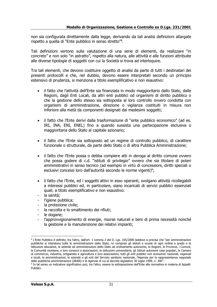non sia configurata direttamente dalla legge, derivando da tali analisi definizioni allargate rispetto a quella di "Ente pubblico in senso stretto"<sup>8</sup> .

Tali definizioni vertono sulla valutazione di una serie di elementi, da realizzare "in concreto" e non solo "in astratto", rispetto alla natura, alle attività e alle funzioni attribuite alle diverse tipologie di soggetti con cui la Società si trova ad interloquire.

Tra tali elementi, che devono costituire oggetto di analisi da parte di tutti i destinatari dei presenti protocolli e che, nel dubbio, devono essere interpretati secondo un principio estensivo di prudenza, si menziona a titolo esemplificativo e non esaustivo:

- il fatto che l'attività dell'Ente sia finanziata in modo maggioritario dallo Stato, dalle Regioni, dagli Enti Locali, da altri enti pubblici od organismi di diritto pubblico o che la gestione dello stesso sia sottoposta al loro controllo ovvero condotta con organismi di amministrazione, direzione o vigilanza costituiti in misura non inferiore alla metà da componenti designati dai medesimi soggetti;
- il fatto che l'Ente derivi dalla trasformazione di "ente pubblico economico" (ad es. IRI, INA, ENI, ENEL) fino a quando sussista una partecipazione esclusiva o maggioritaria dello Stato al capitale azionario;
- il fatto che l'Ente sia sottoposto ad un regime di controllo pubblico, di carattere funzionale o strutturale, da parte dello Stato o di altra Pubblica Amministrazione;
- il fatto che l'Ente possa o debba compiere atti in deroga al diritto comune ovvero che possa godere di c.d. "istituti di privilegio" ovvero che sia titolare di poteri amministrativi in senso tecnico (ad esempio in virtù di concessioni, diritti speciali o esclusivi concessi loro dall'autorità secondo le norme vigenti)<sup>9</sup>;
- il fatto che l'Ente, ed i soggetti attivi in esso operanti, svolgano attività ricollegabili a interessi pubblici ed, in particolare, siano incaricati di servizi pubblici essenziali quali, a titolo esemplificativo e non esaustivo:
- la sanità:
- l'igiene pubblica;
- la protezione civile;
- la raccolta e lo smaltimento dei rifiuti;
- le dogane:
- l'approvvigionamento di energie, risorse naturali e beni di prima necessità nonché la gestione e la manutenzione dei relativi impianti;

<sup>8</sup> L'Ente Pubblico è definito, tra l'altro, dall'art. 1 comma 2 del D. Lgs. 165/2000 laddove si precisa che "per amministrazioni pubbliche si intendono tutte le amministrazioni dello Stato, ivi compresi gli istituti e scuole di ogni ordine e grado e le istituzioni educative, le aziende ed amministrazioni dello Stato ad ordinamento autonomo, le Regioni, le Province, i Comuni, le Comunità montane, e loro consorzi e associazioni, le istituzioni universitarie, gli Istituti autonomi case popolari, le Camere di commercio, industria, artigianato e agricoltura e loro associazioni, tutti gli enti pubblici non economici nazionali, regionali e locali, le amministrazioni, le aziende e gli enti del Servizio sanitario nazionale, l'Agenzia per la rappresentanza negoziale delle pubbliche amministrazioni (ARAN) e le Agenzie di cui al decreto legislativo 30 luglio 1999, n. 300".

<sup>9</sup> In tal senso un indicatore significativo può, tra l'altro, essere la sottoposizione dell'Ente alla normativa in materia di Appalti Pubblici.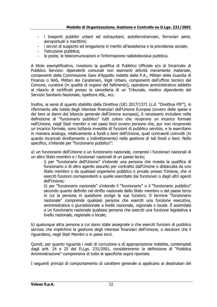- i trasporti pubblici urbani ed extraurbani, autoferrotranviari, ferroviari aerei, aeroportuali e marittimi;
- i servizi di supporto ed erogazione in merito all'assistenza e la previdenza sociale;
- l'istruzione pubblica;
- le poste, le telecomunicazioni e l'informazione radiotelevisiva pubblica.

A titolo esemplificativo, rivestono la qualifica di Pubblico Ufficiale e/o di Incaricato di Pubblico Servizio: dipendenti comunali non esercenti attività meramente materiale, componenti della Commissione Gare d'Appalto indette dalla P.A., Militari della Guardia di Finanza o NAS, Militari dei Carabinieri, Vigili Urbani, componenti dell'ufficio tecnico del Comune, curatore (in qualità di organo del fallimento), operatore amministrativo addetto al rilascio di certificati presso la cancelleria di un Tribunale, medico dipendente del Servizio Sanitario Nazionale, ispettore ASL, ecc.

Inoltre, ai sensi di quanto stabilito dalla Direttiva (UE) 2017/1371 (c.d. "Direttiva PIF"), in riferimento alla tutela degli interessi finanziari dell'Unione Europea (ovvero delle spese e dei beni ai danni del bilancio generale dell'Unione europea), è necessario includere nella definizione di "funzionario pubblico" tutti coloro che ricoprono un incarico formale nell'Unione, negli Stati membri o nei paesi terzi ovvero persone che, pur non ricoprendo un incarico formale, sono tuttavia investite di funzioni di pubblico servizio, e le esercitano in maniera analoga, relativamente a fondi o beni dell'Unione, quali contraenti coinvolti (in quanto incaricati direttamente o indirettamente) nella gestione di tali fondi o beni. Nello specifico, s'intende per "funzionario pubblico":

a) un funzionario dell'Unione o un funzionario nazionale, compresi i funzionari nazionali di un altro Stato membro e i funzionari nazionali di un paese terzo;

i) per "funzionario dell'Unione" s'intende una persona che rivesta la qualifica di funzionario o di altro agente assunto per contratto dall'Unione o distaccata da uno Stato membro o da qualsiasi organismo pubblico o privato presso l'Unione, che vi eserciti funzioni corrispondenti a quelle esercitate dai funzionari o dagli altri agenti dell'Unione;

ii) per "funzionario nazionale" s'intende il "funzionario" o il "funzionario pubblico" secondo quanto definito nel diritto nazionale dello Stato membro o del paese terzo in cui la persona in questione svolge le sue funzioni. Il termine "funzionario nazionale" comprende qualsiasi persona che eserciti una funzione esecutiva, amministrativa o giurisdizionale a livello nazionale, regionale o locale. È assimilata a un funzionario nazionale qualsiasi persona che eserciti una funzione legislativa a livello nazionale, regionale o locale;

b) qualunque altra persona a cui siano state assegnate o che eserciti funzioni di pubblico servizio che implichino la gestione degli interessi finanziari dell'Unione, o decisioni che li riguardano, negli Stati Membri o in paesi terzi.

Quindi, per quanto riguarda i reati di corruzione e di appropriazione indebita, contemplati dagli artt. 24 e 25 del D.Lgs. 231/2001, considereremo la definizione di "Pubblica Amministrazione" comprensiva di tutte le specifiche sopra riportate.

I seguenti principi di comportamento di carattere generale si applicano ai destinatari del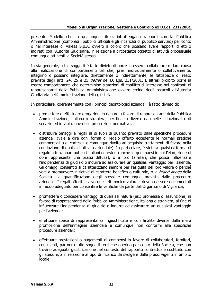presente Modello che, a qualunque titolo, intrattengano rapporti con la Pubblica Amministrazione (compresi i pubblici ufficiali e gli incaricati di pubblico servizio) per conto o nell'interesse di Valeas S.p.A. ovvero a coloro che possano avere rapporti diretti o indiretti con l'Autorità Giudiziaria, in relazione a circostanze oggetto di attività processuale comunque attinenti la Società stessa.

In via generale, a tali soggetti è fatto divieto di porre in essere, collaborare o dare causa alla realizzazione di comportamenti tali che, presi individualmente o collettivamente, integrino o possano integrare, direttamente o indirettamente, le fattispecie di reato previste dagli artt. 24, 25 e 25 *decies* del D. Lgs. 231/2001. È altresì proibito porre in essere comportamenti che determinino situazioni di conflitto di interesse nei confronti di rappresentanti della Pubblica Amministrazione ovvero creino degli ostacoli all'Autorità Giudiziaria nell'amministrazione della giustizia.

In particolare, coerentemente con i principi deontologici aziendali, è fatto divieto di:

- promettere o effettuare erogazioni in denaro a favore di rappresentanti della Pubblica Amministrazione, italiana o straniera, per finalità diverse da quelle istituzionali e di servizio ed in violazione delle prescrizioni normative;
- distribuire omaggi e regali al di fuori di quanto previsto dalle specifiche procedure aziendali (vale a dire ogni forma di regalo offerto eccedente le normali pratiche commerciali o di cortesia, o comunque rivolto ad acquisire trattamenti di favore nella conduzione di qualsiasi attività aziendale). In particolare, è vietata qualsiasi forma di regalo a funzionari pubblici italiani ed esteri (anche in quei paesi in cui l'elargizione di doni rappresenta una prassi diffusa), o a loro familiari, che possa influenzare l'indipendenza di giudizio o indurre ad assicurare un qualsiasi vantaggio per l'azienda. Gli omaggi consentiti si caratterizzano sempre per l'esiguità del loro valore o perché volti a promuovere iniziative di carattere benefico o culturale, o la *brand image* della Società. La quantificazione degli stessi è comunque prevista dalle procedure aziendali. I regali offerti - salvo quelli di modico valore - devono essere documentati in modo adeguato per consentire le verifiche da parte dell'Organismo di Vigilanza;
- promettere o concedere vantaggi di qualsiasi natura (es.: promesse di assunzione) in favore di rappresentanti della Pubblica Amministrazione, italiana o straniera, al fine di influenzare l'indipendenza di giudizio o indurre ad assicurare un qualsiasi vantaggio per l'azienda;
- effettuare spese di rappresentanza ingiustificate e con finalità diverse dalla mera promozione dell'immagine aziendale e comunque non conformi alle specifiche procedure aziendali;
- effettuare prestazioni o pagamenti di compensi in favore di collaboratori, fornitori, consulenti, partner o altri soggetti terzi che operino per conto della Società, che non trovino adeguata giustificazione nel contesto del rapporto contrattuale costituito con gli stessi e/o in relazione al tipo di incarico da svolgere dalle prassi vigenti in ambito locale;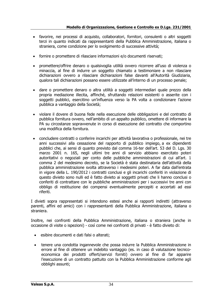- favorire, nei processi di acquisto, collaboratori, fornitori, consulenti o altri soggetti terzi in quanto indicati da rappresentanti della Pubblica Amministrazione, italiana o straniera, come condizione per lo svolgimento di successive attività;
- fornire o promettere di rilasciare informazioni e/o documenti riservati;
- promettere/offrire denaro o qualsivoglia utilità ovvero ricorrere all'uso di violenza o minaccia, al fine di indurre un soggetto chiamato a testimoniare a non rilasciare dichiarazioni ovvero a rilasciare dichiarazioni false davanti all'Autorità Giudiziaria, qualora tali dichiarazioni possano essere utilizzate all'interno di un processo penale;
- dare o promettere denaro o altra utilità a soggetti intermediari quale prezzo della propria mediazione illecita, affinché, sfruttando relazioni esistenti o asserite con i soggetti pubblici, esercitino un'influenza verso la PA volta a condizionare l'azione pubblica a vantaggio della Società;
- violare il dovere di buona fede nella esecuzione delle obbligazioni e del contratto di pubblica fornitura ovvero, nell'ambito di un appalto pubblico, omettere di informare la PA su circostanze sopravvenute in corso di esecuzione del contratto che comportino una modifica della fornitura.
- concludere contratti o conferire incarichi per attività lavorativa o professionale, nei tre anni successivi alla cessazione del rapporto di pubblico impiego, a ex dipendenti pubblici che, ai sensi di quanto previsto dal comma 16-ter dell'art. 53 del D. Lgs. 30 marzo 2001 n. 165, negli ultimi tre anni di servizio abbiano esercitato poteri autoritativi o negoziali per conto delle pubbliche amministrazioni di cui all'art. 1 comma 2 del medesimo decreto, se la Società è stata destinataria dell'attività della pubblica amministrazione svolta attraverso i medesimi poteri. A far data dall'entrata in vigore della L. 190/2012 i contratti conclusi e gli incarichi conferiti in violazione di questo divieto sono nulli ed è fatto divieto ai soggetti privati che li hanno conclusi o conferiti di contrattare con le pubbliche amministrazioni per i successivi tre anni con obbligo di restituzione dei compensi eventualmente percepiti e accertati ad essi riferiti.

I divieti sopra rappresentati si intendono estesi anche ai rapporti indiretti (attraverso parenti, affini ed amici) con i rappresentanti della Pubblica Amministrazione, italiana o straniera.

Inoltre, nei confronti della Pubblica Amministrazione, italiana o straniera (anche in occasione di visite o ispezioni) - così come nei confronti di privati - è fatto divieto di:

- esibire documenti e dati falsi o alterati;
- tenere una condotta ingannevole che possa indurre la Pubblica Amministrazione in errore al fine di ottenere un indebito vantaggio (es. in caso di valutazione tecnicoeconomica dei prodotti offerti/servizi forniti) ovvero al fine di far apparire l'esecuzione di un contratto pattuito con la Pubblica Amministrazione conforme agli obblighi assunti;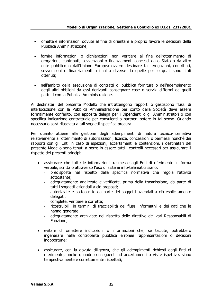- omettere informazioni dovute al fine di orientare a proprio favore le decisioni della Pubblica Amministrazione;
- fornire informazioni o dichiarazioni non veritiere al fine dell'ottenimento di erogazioni, contributi, sovvenzioni o finanziamenti concessi dallo Stato o da altro ente pubblico o dall'Unione Europea ovvero destinare tali erogazioni, contributi, sovvenzioni o finanziamenti a finalità diverse da quelle per le quali sono stati ottenuti;
- nell'ambito della esecuzione di [contratti di pubblica fornitura](https://www.brocardi.it/dizionario/4836.html) o dell'adempimento degli altri obblighi da essi derivanti consegnare cose o servizi difformi da quelli pattuiti con la Pubblica Amministrazione.

Ai destinatari del presente Modello che intrattengono rapporti o gestiscono flussi di interlocuzione con la Pubblica Amministrazione per conto della Società deve essere formalmente conferito, con apposita delega per i Dipendenti o gli Amministratori o con specifica indicazione contrattuale per consulenti o partner, potere in tal senso. Quando necessario sarà rilasciata a tali soggetti specifica procura.

Per quanto attiene alla gestione degli adempimenti di natura tecnico-normativa relativamente all'ottenimento di autorizzazioni, licenze, concessioni o permessi nonché dei rapporti con gli Enti in caso di ispezioni, accertamenti e contenzioni, i destinatari del presente Modello sono tenuti a porre in essere tutti i controlli necessari per assicurare il rispetto dei presenti principi:

- assicurare che tutte le informazioni trasmesse agli Enti di riferimento in forma verbale, scritta o attraverso l'uso di sistemi info-telematici siano:
	- predisposte nel rispetto della specifica normativa che regola l'attività sottostante;
	- adeguatamente analizzate e verificate, prima della trasmissione, da parte di tutti i soggetti aziendali a ciò preposti;
	- autorizzate e sottoscritte da parte dei soggetti aziendali a ciò esplicitamente delegati;
	- complete, veritiere e corrette;
	- ricostruibili, in termini di tracciabilità dei flussi informativi e dei dati che le hanno generate;
	- adeguatamente archiviate nel rispetto delle direttive dei vari Responsabili di Funzione;
- evitare di omettere indicazioni o informazioni che, se taciute, potrebbero ingenerare nella controparte pubblica erronee rappresentazioni o decisioni inopportune;
- assicurare, con la dovuta diligenza, che gli adempimenti richiesti dagli Enti di riferimento, anche quando conseguenti ad accertamenti o visite ispettive, siano tempestivamente e correttamente rispettati;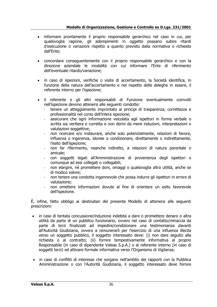- informare prontamente il proprio responsabile gerarchico nel caso in cui, per qualsivoglia ragione, gli adempimenti in oggetto possano subire ritardi d'esecuzione o variazioni rispetto a quanto previsto dalla normativa o richiesto dall'Ente;
- concordare conseguentemente con il proprio responsabile gerarchico e con la direzione aziendale le modalità con cui informare l'Ente di riferimento dell'eventuale ritardo/variazione;
- in caso di ispezioni, verifiche o visite di accertamento, la Società identifica, in funzione della natura dell'accertamento e nel rispetto delle deleghe in essere, il referente interno per l'ispezione;
- il referente e gli altri responsabili di Funzione eventualmente coinvolti nell'ispezione devono attenersi alle seguenti condotte:
	- tenere un atteggiamento improntato ai principi di trasparenza, correttezza e professionalità nel corso dell'intera ispezione;
	- assicurare che ogni informazione veicolata agli ispettori in forma verbale o scritta sia veritiera e corretta e non derivi da mere induzioni, interpretazioni o valutazioni soggettive;
	- non ricercare e/o instaurare, anche solo potenzialmente, relazioni di favore, influenza o ingerenza, idonee a condizionare, direttamente o indirettamente, l'esito dell'ispezione;
	- non far riferimento, neanche indiretto, a relazioni di natura parentale o amicale;
	- con soggetti legati all'Amministrazione di provenienza degli ispettori o comunque ad essi collegati o collegabili;
	- non elargire, né promettere doni, omaggi o qualsivoglia altra utilità, anche se di modico valore;
	- non tenere una condotta ingannevole che possa indurre gli ispettori in errore di valutazione;
	- non omettere informazioni dovute al fine di orientare un esito favorevole dell'ispezione.

È, infine, fatto obbligo ai destinatari del presente Modello di attenersi alle seguenti prescrizioni:

- in caso di tentata concussione/induzione indebita a dare o promettere denaro o altra utilità da parte di un pubblico funzionario, ovvero nel caso di contatto/minaccia da parte di terzi finalizzati ad impedire/condizionare una testimonianza davanti all'Autorità Giudiziaria, ovvero a remunerarli per l'esercizio di una influenza illecita verso un soggetto pubblico, il soggetto interessato deve: (i) non dare seguito alla richiesta o al contratto; (ii) fornire tempestivamente informativa al proprio Responsabile (in caso di dipendente Valeas S.p.A.) o al referente interno (in caso di soggetti terzi) ed attivare formale informativa verso l'Organismo di Vigilanza:
- in caso di conflitti di interesse che sorgano nell'ambito dei rapporti con la Pubblica Amministrazione o con l'Autorità Giudiziaria, il soggetto interessato deve fornire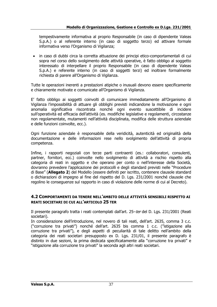tempestivamente informativa al proprio Responsabile (in caso di dipendente Valeas S.p.A.) o al referente interno (in caso di soggetto terzo) ed attivare formale informativa verso l'Organismo di Vigilanza;

• in caso di dubbi circa la corretta attuazione dei principi etico-comportamentali di cui sopra nel corso dello svolgimento delle attività operative, è fatto obbligo al soggetto interessato di interpellare il proprio Responsabile (in caso di dipendente Valeas S.p.A.) e referente interno (in caso di soggetti terzi) ed inoltrare formalmente richiesta di parere all'Organismo di Vigilanza.

Tutte le operazioni inerenti a prestazioni atipiche o inusuali devono essere specificamente e chiaramente motivate e comunicate all'Organismo di Vigilanza.

E' fatto obbligo ai soggetti coinvolti di comunicare immediatamente all'Organismo di Vigilanza l'impossibilità di attuare gli obblighi previsti indicandone la motivazione e ogni anomalia significativa riscontrata nonché ogni evento suscettibile di incidere sull'operatività ed efficacia dell'attività (es. modifiche legislative e regolamenti, circostanze non regolamentate, mutamenti nell'attività disciplinata, modifica delle struttura aziendale e delle funzioni coinvolte, ecc.).

Ogni funzione aziendale è responsabile della veridicità, autenticità ed originalità della documentazione e delle informazioni rese nello svolgimento dell'attività di propria competenza.

Infine, i rapporti negoziali con terze parti contraenti (es.: collaboratori, consulenti, partner, fornitori, ecc.) coinvolte nello svolgimento di attività a rischio rispetto alla categoria di reati in oggetto e che operano per conto o nell'interesse della Società, dovranno prevedere l'applicazione dei protocolli e degli standard previsti nelle "Procedure di Base" (**Allegato 2**) del Modello (essere definiti per iscritto, contenere clausole standard o dichiarazioni di impegno al fine del rispetto del D. Lgs. 231/2001 nonché clausole che regolino le conseguenze sul rapporto in caso di violazione delle norme di cui al Decreto).

#### **4.2 COMPORTAMENTI DA TENERE NELL'AMBITO DELLE ATTIVITÀ SENSIBILI RISPETTO AI REATI SOCIETARI DI CUI ALL'ARTICOLO 25 TER**

Il presente paragrafo tratta i reati contemplati dall'art. 25–ter del D. Lgs. 231/2001 (Reati societari).

In considerazione dell'introduzione, nel novero di tali reati, dell'art. 2635, comma 3 c.c. ("corruzione tra privati") nonché dell'art. 2635 bis comma 1 c.c. ("istigazione alla corruzione tra privati"), e degli aspetti di peculiarità di tale delitto nell'ambito della categoria dei reati societari presupposto ex D. Lgs. 231/01, il presente paragrafo è distinto in due sezioni, la prima dedicata specificatamente alla "corruzione tra privati" e "istigazione alla corruzione tra privati" la seconda agli altri reati societari.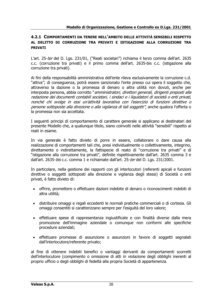#### **4.2.1 COMPORTAMENTI DA TENERE NELL'AMBITO DELLE ATTIVITÀ SENSIBILI RISPETTO AL DELITTO DI CORRUZIONE TRA PRIVATI E ISTIGAZIONE ALLA CORRUZIONE TRA PRIVATI**

L'art. 25-ter del D. Lgs. 231/01, ("Reati societari") richiama il terzo comma dell'art. 2635 c.c. (corruzione tra privati) e il primo comma dell'art. 2635-bis c.c. (istigazione alla corruzione tra privati).

Ai fini della responsabilità amministrativa dell'ente rileva esclusivamente la corruzione c.d. "attiva"; di conseguenza, potrà essere sanzionato l'ente presso cui opera il soggetto che, attraverso la dazione o la promessa di denaro o altra utilità non dovuti, anche per interposta persona, abbia corrotto "amministratori, direttori generali, dirigenti preposti alla redazione dei documenti contabili societari, i sindaci e i liquidatori di società o enti privati, nonché chi svolge in essi un'attività lavorativa con l'esercizio di funzioni direttive <sup>o</sup> persone sottoposte alla direzione o alla vigilanza di tali soggetti", anche qualora l'offerta o la promessa non sia accettata.

I seguenti principi di comportamento di carattere generale si applicano ai destinatari del presente Modello che, a qualunque titolo, siano coinvolti nelle attività "sensibili" rispetto ai reati in esame.

In via generale è fatto divieto di porre in essere, collaborare o dare causa alla realizzazione di comportamenti tali che, presi individualmente o collettivamente, integrino, direttamente o indirettamente, la fattispecie di reato di "corruzione tra privati" e di "istigazione alla corruzione tra privati", definite rispettivamente dall'art. 2635 comma 3 e dall'art. 2635-bis c.c. comma 1 e richiamate dall'art. 25-ter del D. Lgs. 231/2001.

In particolare, nella gestione dei rapporti con gli interlocutori (referenti apicali e funzioni direttive o soggetti sottoposti alla direzione e vigilanza degli stessi) di Società o enti privati, è fatto divieto di:

- offrire, promettere o effettuare dazioni indebite di denaro o riconoscimenti indebiti di altra utilità;
- distribuire omaggi e regali eccedenti le normali pratiche commerciali o di cortesia. Gli omaggi consentiti si caratterizzano sempre per l'esiguità del loro valore;
- effettuare spese di rappresentanza ingiustificate e con finalità diverse dalla mera promozione dell'immagine aziendale o comunque non conformi alle specifiche procedure aziendali;
- effettuare promesse di assunzione o assunzioni in favore di soggetti segnalati dall'interlocutore/referente privato;

al fine di ottenere indebiti benefici o vantaggi derivanti da comportamenti scorretti dell'interlocutore (compimento o omissione di atti in violazione degli obblighi inerenti al proprio ufficio o degli obblighi di fedeltà alla propria Società di appartenenza.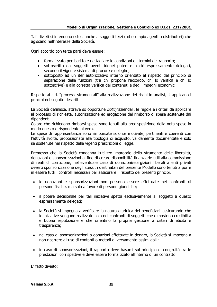Tali divieti si intendono estesi anche a soggetti terzi (ad esempio agenti o distributori) che agiscano nell'interesse della Società.

Ogni accordo con terze parti deve essere:

- formalizzato per iscritto e dettagliare le condizioni e i termini del rapporto;
- sottoscritto dai soggetti aventi idonei poteri e a ciò espressamente delegati, secondo il vigente sistema di procure e deleghe;
- sottoposto ad un iter autorizzativo interno orientato al rispetto del principio di separazione delle funzioni (tra chi propone l'accordo, chi lo verifica e chi lo sottoscrive) e alla corretta verifica dei contenuti e degli impegni economici.

Rispetto ai c.d. "processi strumentali" alla realizzazione dei rischi in analisi, si applicano i principi nel seguito descritti.

La Società definisce, attraverso opportune *policy* aziendali, le regole e i criteri da applicare al processo di richiesta, autorizzazione ed erogazione del rimborso di spese sostenute dai dipendenti.

Coloro che richiedono rimborsi spese sono tenuti alla predisposizione della nota spese in modo onesto e rispondente al vero.

Le spese di rappresentanza sono rimborsate solo se motivate, pertinenti e coerenti con l'attività svolta, proporzionate alla tipologia di acquisto, validamente documentate e solo se sostenute nel rispetto delle vigenti prescrizioni di legge.

Premesso che la Società condanna l'utilizzo improprio dello strumento delle liberalità, donazioni e sponsorizzazioni al fine di creare disponibilità finanziarie utili alla commissione di reati di corruzione, nell'eventuale caso di donazioni/elargizioni liberali a enti privati ovvero sponsorizzazione degli stessi, i destinatari del presente Modello sono tenuti a porre in essere tutti i controlli necessari per assicurare il rispetto dei presenti principi:

- le donazioni e sponsorizzazioni non possono essere effettuate nei confronti di persone fisiche, ma solo a favore di persone giuridiche;
- il potere decisionale per tali iniziative spetta esclusivamente ai soggetti a questo espressamente delegati;
- la Società si impegna a verificare la natura giuridica dei beneficiari, assicurando che le iniziative vengano realizzate solo nei confronti di soggetti che dimostrino credibilità e buona reputazione e che orientino la propria gestione a criteri di eticità e trasparenza;
- nel caso di sponsorizzazioni o donazioni effettuate in denaro, la Società si impegna a non ricorrere all'uso di contanti o metodi di versamento assimilabili;
- in caso di sponsorizzazioni, il rapporto deve basarsi sul principio di congruità tra le prestazioni corrispettive e deve essere formalizzato all'interno di un contratto.

E' fatto divieto: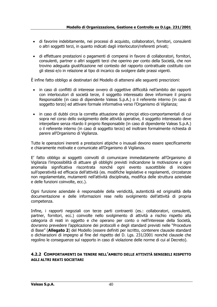- di favorire indebitamente, nei processi di acquisto, collaboratori, fornitori, consulenti o altri soggetti terzi, in quanto indicati dagli interlocutori/referenti privati;
- di effettuare prestazioni o pagamenti di compensi in favore di collaboratori, fornitori, consulenti, partner o altri soggetti terzi che operino per conto della Società, che non trovino adeguata giustificazione nel contesto del rapporto contrattuale costituito con gli stessi e/o in relazione al tipo di incarico da svolgere dalle prassi vigenti.

È infine fatto obbligo ai destinatari del Modello di attenersi alle seguenti prescrizioni:

- in caso di conflitti di interesse ovvero di oggettive difficoltà nell'ambito dei rapporti con interlocutori di società terze, il soggetto interessato deve informare il proprio Responsabile (in caso di dipendente Valeas S.p.A.) o il referente interno (in caso di soggetto terzo) ed attivare formale informativa verso l'Organismo di Vigilanza;
- in caso di dubbi circa la corretta attuazione dei principi etico-comportamentali di cui sopra nel corso dello svolgimento delle attività operative, il soggetto interessato deve interpellare senza ritardo il proprio Responsabile (in caso di dipendente Valeas S.p.A.) o il referente interno (in caso di soggetto terzo) ed inoltrare formalmente richiesta di parere all'Organismo di Vigilanza.

Tutte le operazioni inerenti a prestazioni atipiche o inusuali devono essere specificamente e chiaramente motivate e comunicate all'Organismo di Vigilanza.

E' fatto obbligo ai soggetti coinvolti di comunicare immediatamente all'Organismo di Vigilanza l'impossibilità di attuare gli obblighi previsti indicandone la motivazione e ogni anomalia significativa riscontrata nonché ogni evento suscettibile di incidere sull'operatività ed efficacia dell'attività (es. modifiche legislative e regolamenti, circostanze non regolamentate, mutamenti nell'attività disciplinata, modifica delle struttura aziendale e delle funzioni coinvolte, ecc.).

Ogni funzione aziendale è responsabile della veridicità, autenticità ed originalità della documentazione e delle informazioni rese nello svolgimento dell'attività di propria competenza.

Infine, i rapporti negoziali con terze parti contraenti (es.: collaboratori, consulenti, partner, fornitori, ecc.) coinvolte nello svolgimento di attività a rischio rispetto alla categoria di reati in oggetto e che operano per conto o nell'interesse della Società, dovranno prevedere l'applicazione dei protocolli e degli standard previsti nelle "Procedure di Base" (**Allegato 2**) del Modello (essere definiti per iscritto, contenere clausole standard o dichiarazioni di impegno al fine del rispetto del D. Lgs. 231/2001 nonché clausole che regolino le conseguenze sul rapporto in caso di violazione delle norme di cui al Decreto).

#### **4.2.2 COMPORTAMENTI DA TENERE NELL'AMBITO DELLE ATTIVITÀ SENSIBILI RISPETTO AGLI ALTRI REATI SOCIETARI**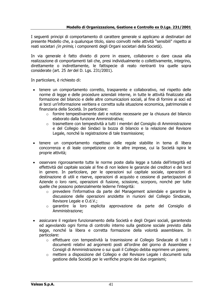I seguenti principi di comportamento di carattere generale si applicano ai destinatari del presente Modello che, a qualunque titolo, siano coinvolti nelle attività "sensibili" rispetto ai reati societari *(in primis,* i componenti degli Organi societari della Società).

In via generale è fatto divieto di porre in essere, collaborare o dare causa alla realizzazione di comportamenti tali che, presi individualmente o collettivamente, integrino, direttamente o indirettamente, le fattispecie di reato rientranti tra quelle sopra considerate (art. 25 ter del D. Lgs. 231/2001).

In particolare, è richiesto di:

- tenere un comportamento corretto, trasparente e collaborativo, nel rispetto delle norme di legge e delle procedure aziendali interne, in tutte le attività finalizzate alla formazione del bilancio e delle altre comunicazioni sociali, al fine di fornire ai soci ed ai terzi un'informazione veritiera e corretta sulla situazione economica, patrimoniale e finanziaria della Società. In particolare:
	- o fornire tempestivamente dati e notizie necessarie per la chiusura del bilancio elaborato dalla funzione Amministrativa;
	- $\circ$  trasmettere con tempestività a tutti i membri del Consiglio di Amministrazione e del Collegio dei Sindaci la bozza di bilancio e la relazione del Revisore Legale, nonché la registrazione di tale trasmissione;
- tenere un comportamento rispettoso delle regole stabilite in tema di libera concorrenza e di leale competizione con le altre imprese, cui la Società ispira le proprie attività;
- osservare rigorosamente tutte le norme poste dalla legge a tutela dell'integrità ed effettività del capitale sociale al fine di non ledere le garanzie dei creditori e dei terzi in genere. In particolare, per le operazioni sul capitale sociale, operazioni di destinazione di utili e riserve, operazioni di acquisto e cessione di partecipazioni di Aziende o loro rami, operazioni di fusione, scissione, scorporo, nonché per tutte quelle che possono potenzialmente lederne l'integrità:
	- o prevedere l'informativa da parte del Management aziendale e garantire la discussione delle operazioni anzidette in riunioni del Collegio Sindacale, Revisore Legale e O.d.V.;
	- o garantire la loro esplicita approvazione da parte del Consiglio di Amministrazione;
- assicurare il regolare funzionamento della Società e degli Organi sociali, garantendo ed agevolando ogni forma di controllo interno sulla gestione sociale previsto dalla legge, nonché la libera e corretta formazione della volontà assembleare. In particolare:
	- o effettuare con tempestività la trasmissione al Collegio Sindacale di tutti i documenti relativi ad argomenti posti all'ordine del giorno di Assemblee e Consigli di Amministrazione o sui quali il Collegio debba esprimere un parere;
	- o mettere a disposizione del Collegio e del Revisore Legale i documenti sulla gestione della Società per le verifiche proprie dei due organismi;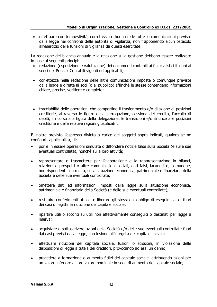• effettuare con tempestività, correttezza e buona fede tutte le comunicazioni previste dalla legge nei confronti delle autorità di vigilanza, non frapponendo alcun ostacolo all'esercizio delle funzioni di vigilanza da questi esercitate.

La redazione del bilancio annuale e la relazione sulla gestione debbono essere realizzate in base ai seguenti principi:

- redazione (esposizione e valutazione) dei documenti contabili ai fini civilistici italiani ai sensi dei Principi Contabili vigenti ed applicabili;
- correttezza nella redazione delle altre comunicazioni imposte o comunque previste dalla legge e dirette ai soci (o al pubblico) affinché le stesse contengano informazioni chiare, precise, veritiere e complete;
- tracciabilità delle operazioni che comportino il trasferimento e/o dilazione di posizioni creditorie, attraverso le figure della surrogazione, cessione del credito, l'accollo di debiti, il ricorso alla figura della delegazione, le transazioni e/o rinunce alle posizioni creditorie e delle relative ragioni giustificatrici.

È inoltre previsto l'espresso divieto a carico dei soggetti sopra indicati, qualora se ne configuri l'applicabilità, di:

- porre in essere operazioni simulate o diffondere notizie false sulla Società (e sulle sue eventuali controllate), nonché sulla loro attività;
- rappresentare o trasmettere per l'elaborazione e la rappresentazione in bilanci, relazioni e prospetti o altre comunicazioni sociali, dati falsi, lacunosi o, comunque, non rispondenti alla realtà, sulla situazione economica, patrimoniale e finanziaria della Società e delle sue eventuali controllate;
- omettere dati ed informazioni imposti dalla legge sulla situazione economica, patrimoniale e finanziaria della Società (e delle sue eventuali controllate);
- restituire conferimenti ai soci o liberare gli stessi dall'obbligo di eseguirli, al di fuori dei casi di legittima riduzione del capitale sociale;
- ripartire utili o acconti su utili non effettivamente conseguiti o destinati per legge a riserva;
- acquistare o sottoscrivere azioni della Società e/o delle sue eventuali controllate fuori dai casi previsti dalla legge, con lesione all'integrità del capitale sociale;
- effettuare riduzioni del capitale sociale, fusioni o scissioni, in violazione delle disposizioni di legge a tutela dei creditori, provocando ad essi un danno;
- procedere a formazione o aumento fittizi del capitale sociale, attribuendo azioni per un valore inferiore al loro valore nominale in sede di aumento del capitale sociale;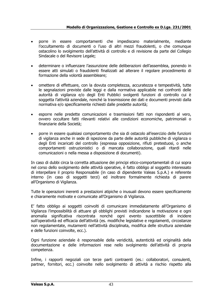- porre in essere comportamenti che impediscano materialmente, mediante l'occultamento di documenti o l'uso di altri mezzi fraudolenti, o che comunque ostacolino lo svolgimento dell'attività di controllo e di revisione da parte del Collegio Sindacale o del Revisore Legale;
- determinare o influenzare l'assunzione delle deliberazioni dell'assemblea, ponendo in essere atti simulati o fraudolenti finalizzati ad alterare il regolare procedimento di formazione della volontà assembleare;
- omettere di effettuare, con la dovuta completezza, accuratezza e tempestività, tutte le segnalazioni previste dalle leggi e dalla normativa applicabile nei confronti delle autorità di vigilanza e/o degli Enti Pubblici svolgenti funzioni di controllo cui è soggetta l'attività aziendale, nonché la trasmissione dei dati e documenti previsti dalla normativa e/o specificamente richiesti dalle predette autorità;
- esporre nelle predette comunicazioni e trasmissioni fatti non rispondenti al vero, ovvero occultare fatti rilevanti relativi alle condizioni economiche, patrimoniali o finanziarie della Società;
- porre in essere qualsiasi comportamento che sia di ostacolo all'esercizio delle funzioni di vigilanza anche in sede di ispezione da parte delle autorità pubbliche di vigilanza o degli Enti incaricati del controllo (espressa opposizione, rifiuti pretestuosi, o anche comportamenti ostruzionistici o di mancata collaborazione, quali ritardi nelle comunicazioni o nella messa a disposizione di documenti).

In caso di dubbi circa la corretta attuazione dei principi etico-comportamentali di cui sopra nel corso dello svolgimento delle attività operative, è fatto obbligo al soggetto interessato di interpellare il proprio Responsabile (in caso di dipendente Valeas S.p.A.) e referente interno (in caso di soggetti terzi) ed inoltrare formalmente richiesta di parere all'Organismo di Vigilanza.

Tutte le operazioni inerenti a prestazioni atipiche o inusuali devono essere specificamente e chiaramente motivate e comunicate all'Organismo di Vigilanza.

E' fatto obbligo ai soggetti coinvolti di comunicare immediatamente all'Organismo di Vigilanza l'impossibilità di attuare gli obblighi previsti indicandone la motivazione e ogni anomalia significativa riscontrata nonché ogni evento suscettibile di incidere sull'operatività ed efficacia dell'attività (es. modifiche legislative e regolamenti, circostanze non regolamentate, mutamenti nell'attività disciplinata, modifica delle struttura aziendale e delle funzioni coinvolte, ecc.).

Ogni funzione aziendale è responsabile della veridicità, autenticità ed originalità della documentazione e delle informazioni rese nello svolgimento dell'attività di propria competenza.

Infine, i rapporti negoziali con terze parti contraenti (es.: collaboratori, consulenti, partner, fornitori, ecc.) coinvolte nello svolgimento di attività a rischio rispetto alla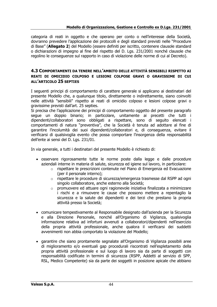categoria di reati in oggetto e che operano per conto o nell'interesse della Società, dovranno prevedere l'applicazione dei protocolli e degli standard previsti nelle "Procedure di Base" (**Allegato 2**) del Modello (essere definiti per iscritto, contenere clausole standard o dichiarazioni di impegno al fine del rispetto del D. Lgs. 231/2001 nonché clausole che regolino le conseguenze sul rapporto in caso di violazione delle norme di cui al Decreto).

#### **4.3 COMPORTAMENTI DA TENERE NELL'AMBITO DELLE ATTIVITÀ SENSIBILI RISPETTO AI REATI DI OMICIDIO COLPOSO E LESIONI COLPOSE GRAVI O GRAVISSIME DI CUI ALL'ARTICOLO 25 SEPTIES**

I seguenti principi di comportamento di carattere generale si applicano ai destinatari del presente Modello che, a qualunque titolo, direttamente o indirettamente, siano coinvolti nelle attività "sensibili" rispetto ai reati di omicidio colposo e lesioni colpose gravi o gravissime previsti dall'art. 25 septies.

Si precisa che l'applicazione dei principi di comportamento oggetto del presente paragrafo segue un doppio binario; in particolare, unitamente ai precetti che tutti i dipendenti/collaboratori sono obbligati a rispettare, sono di seguito elencati i comportamenti di natura "preventiva", che la Società è tenuta ad adottare al fine di garantire l'incolumità dei suoi dipendenti/collaboratori e, di conseguenza, evitare il verificarsi di qualsivoglia evento che possa comportare l'insorgenza della responsabilità dell'ente ai sensi del D. Lgs. 231/01.

In via generale, a tutti i destinatari del presente Modello è richiesto di:

- osservare rigorosamente tutte le norme poste dalla legge e dalle procedure aziendali interne in materia di salute, sicurezza ed igiene sul lavoro, in particolare:
	- o rispettare le prescrizioni contenute nel Piano di Emergenza ed Evacuazione (per il personale interno);
	- o rispettare le procedure di sicurezza/emergenza trasmesse dal RSPP ad ogni singolo collaboratore, anche esterno alla Società;
	- $\circ$  promuovere ed attuare ogni ragionevole iniziativa finalizzata a minimizzare i rischi e a rimuovere le cause che possono mettere a repentaglio la sicurezza e la salute dei dipendenti e dei terzi che prestano la propria attività presso la Società;
- comunicare tempestivamente al Responsabile designato dall'azienda per la Sicurezza e alla Direzione Personale, nonché all'Organismo di Vigilanza, qualsivoglia informazione relativa ad infortuni avvenuti a collaboratori/dipendenti nell'esercizio della propria attività professionale, anche qualora il verificarsi dei suddetti avvenimenti non abbia comportato la violazione del Modello;
- garantire che siano prontamente segnalate all'Organismo di Vigilanza possibili aree di miglioramento e/o eventuali gap procedurali riscontrati nell'espletamento della propria attività professionale e sul luogo di lavoro sia da parte di soggetti con responsabilità codificate in termini di sicurezza (RSPP, Addetti al servizio di SPP, RSL, Medico Competente) sia da parte dei soggetti in posizione apicale che abbiano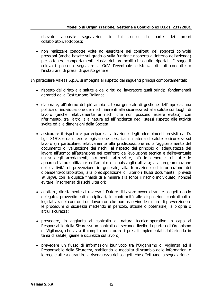ricevuto apposite segnalazioni in tal senso da parte dei propri collaboratori/sottoposti;

• non realizzare condotte volte ad esercitare nei confronti dei soggetti coinvolti pressioni (anche basate sul grado o sulla funzione ricoperta all'interno dell'azienda) per ottenere comportamenti elusivi dei protocolli di seguito riportati. I soggetti coinvolti possono segnalare all'OdV l'eventuale esistenza di tali condotte o l'instaurarsi di prassi di questo genere.

In particolare Valeas S.p.A. si impegna al rispetto dei seguenti principi comportamentali:

- rispetto del diritto alla salute e dei diritti del lavoratore quali principi fondamentali garantiti dalla Costituzione Italiana;
- elaborare, all'interno del più ampio sistema generale di gestione dell'impresa, una politica di individuazione dei rischi inerenti alla sicurezza ed alla salute sui luoghi di lavoro (anche relativamente ai rischi che non possono essere evitati), con riferimento, tra l'altro, alla natura ed all'incidenza degli stessi rispetto alle attività svolte ed alle dimensioni della Società;
- assicurare il rispetto e partecipare all'attuazione degli adempimenti previsti dal D. Lgs. 81/08 e da ulteriore legislazione specifica in materia di salute e sicurezza sul lavoro (in particolare, relativamente alla predisposizione ed all'aggiornamento del documento di valutazione dei rischi; al rispetto del principio di adeguatezza del lavoro all'uomo; all'attenzione nei confronti dell'evoluzione tecnica e dell'eventuale usura degli arredamenti, strumenti, attrezzi e, più in generale, di tutte le apparecchiature utilizzate nell'ambito di qualsivoglia attività; alla programmazione delle attività di prevenzione in generale, alla formazione ed informazione dei dipendenti/collaboratori, alla predisposizione di ulteriori flussi documentali previsti ex lege), con la duplice finalità di eliminare alla fonte il rischio individuato, nonché evitare l'insorgenza di rischi ulteriori;
- adottare, direttamente attraverso il Datore di Lavoro ovvero tramite soggetto a ciò delegato, provvedimenti disciplinari, in conformità alle disposizioni contrattuali e legislative, nei confronti dei lavoratori che non osservino le misure di prevenzione e le procedure di sicurezza mettendo in pericolo, attuale o potenziale, la propria o altrui sicurezza;
- prevedere, in aggiunta al controllo di natura tecnico-operativo in capo al Responsabile della Sicurezza un controllo di secondo livello da parte dell'Organismo di Vigilanza, che avrà il compito monitorare i presidi implementati dall'azienda in tema di salute, igiene e sicurezza sul lavoro;
- prevedere un flusso di informazioni biunivoco tra l'Organismo di Vigilanza ed il Responsabile della Sicurezza, stabilendo le modalità di scambio delle informazioni e le regole atte a garantire la riservatezza dei soggetti che effettuano la segnalazione.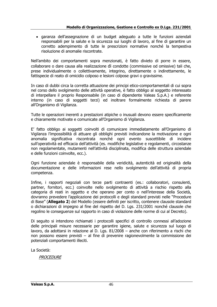• garanza dell'assegnazione di un budget adeguato a tutte le funzioni aziendali responsabili per la salute e la sicurezza sui luoghi di lavoro, al fine di garantire un corretto adempimento di tutte le prescrizioni normative nonché la tempestiva risoluzione di anomalie riscontrate.

Nell'ambito dei comportamenti sopra menzionati, è fatto divieto di porre in essere, collaborare o dare causa alla realizzazione di condotte (commissive od omissive) tali che, prese individualmente o collettivamente, integrino, direttamente o indirettamente, le fattispecie di reato di omicidio colposo e lesioni colpose gravi o gravissime.

In caso di dubbi circa la corretta attuazione dei principi etico-comportamentali di cui sopra nel corso dello svolgimento delle attività operative, è fatto obbligo al soggetto interessato di interpellare il proprio Responsabile (in caso di dipendente Valeas S.p.A.) e referente interno (in caso di soggetti terzi) ed inoltrare formalmente richiesta di parere all'Organismo di Vigilanza.

Tutte le operazioni inerenti a prestazioni atipiche o inusuali devono essere specificamente e chiaramente motivate e comunicate all'Organismo di Vigilanza.

E' fatto obbligo ai soggetti coinvolti di comunicare immediatamente all'Organismo di Vigilanza l'impossibilità di attuare gli obblighi previsti indicandone la motivazione e ogni anomalia significativa riscontrata nonché ogni evento suscettibile di incidere sull'operatività ed efficacia dell'attività (es. modifiche legislative e regolamenti, circostanze non regolamentate, mutamenti nell'attività disciplinata, modifica delle struttura aziendale e delle funzioni coinvolte, ecc.).

Ogni funzione aziendale è responsabile della veridicità, autenticità ed originalità della documentazione e delle informazioni rese nello svolgimento dell'attività di propria competenza.

Infine, i rapporti negoziali con terze parti contraenti (es.: collaboratori, consulenti, partner, fornitori, ecc.) coinvolte nello svolgimento di attività a rischio rispetto alla categoria di reati in oggetto e che operano per conto o nell'interesse della Società, dovranno prevedere l'applicazione dei protocolli e degli standard previsti nelle "Procedure di Base" (**Allegato 2**) del Modello (essere definiti per iscritto, contenere clausole standard o dichiarazioni di impegno al fine del rispetto del D. Lgs. 231/2001 nonché clausole che regolino le conseguenze sul rapporto in caso di violazione delle norme di cui al Decreto).

Di seguito si intendono richiamati i protocolli specifici di controllo connessi all'adozione delle principali misure necessarie per garantire igiene, salute e sicurezza sul luogo di lavoro, da adottarsi in relazione al D. Lgs. 81/2008 – anche con riferimento a rischi che non possono essere previsti – al fine di prevenire ragionevolmente la commissione dei potenziali comportamenti illeciti.

La Società:

**PROCEDURE**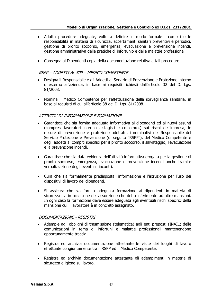#### **Modello di Organizzazione, Gestione e Controllo ex D.Lgs. 231/2001**

- Adotta procedure adeguate, volte a definire in modo formale i compiti e le responsabilità in materia di sicurezza, accertamenti sanitari preventivi e periodici, gestione di pronto soccorso, emergenza, evacuazione e prevenzione incendi, gestione amministrativa delle pratiche di infortunio e delle malattie professionali.
- Consegna ai Dipendenti copia della documentazione relativa a tali procedure.

## RSPP – ADDETTI AL SPP – MEDICO COMPETENTE

- Designa il Responsabile e gli Addetti al Servizio di Prevenzione e Protezione interno o esterno all'azienda, in base ai requisiti richiesti dall'articolo 32 del D. Lgs. 81/2008.
- Nomina il Medico Competente per l'effettuazione della sorveglianza sanitaria, in base ai requisiti di cui all'articolo 38 del D. Lgs. 81/2008.

# ATTIVITA' DI INFORMAZIONE E FORMAZIONE

- Garantisce che sia fornita adeguata informativa ai dipendenti ed ai nuovi assunti (compresi lavoratori interinali, stagisti e co.co.pro.) sui rischi dell'impresa, le misure di prevenzione e protezione adottate, i nominativi del Responsabile del Servizio Protezione e Prevenzione (di seguito "RSPP"), del Medico Competente e degli addetti ai compiti specifici per il pronto soccorso, il salvataggio, l'evacuazione e la prevenzione incendi.
- Garantisce che sia data evidenza dell'attività informativa erogata per la gestione di pronto soccorso, emergenza, evacuazione e prevenzione incendi anche tramite verbalizzazione degli eventuali incontri.
- Cura che sia formalmente predisposta l'informazione e l'istruzione per l'uso dei dispositivi di lavoro dei dipendenti.
- Si assicura che sia fornita adeguata formazione ai dipendenti in materia di sicurezza sia in occasione dell'assunzione che del trasferimento ad altre mansioni. In ogni caso la formazione deve essere adeguata agli eventuali rischi specifici della mansione cui il lavoratore è in concreto assegnato.

## DOCUMENTAZIONE - REGISTRI

- Adempie agli obblighi di trasmissione (telematica) agli enti preposti (INAIL) delle comunicazioni in tema di infortuni e malattie professionali mantenendone opportunamente traccia.
- Registra ed archivia documentazione attestante le visite dei luoghi di lavoro effettuate congiuntamente tra il RSPP ed il Medico Competente.
- Registra ed archivia documentazione attestante gli adempimenti in materia di sicurezza e igiene sul lavoro.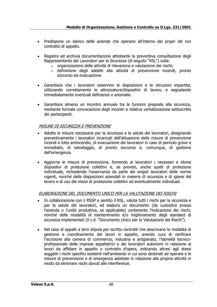- Predispone un elenco delle aziende che operano all'interno dei propri siti con contratto di appalto.
- Registra ed archivia documentazione attestante la preventiva consultazione degli Rappresentante dei Lavoratori per la Sicurezza (di seguito "RSL") sulla:
	- o organizzazione delle attività di rilevazione e valutazione dei rischi;
	- $\circ$  definizione degli addetti alla attività di prevenzione incendi, pronto soccorso ed evacuazione.
- Garantisce che i lavoratori osservino le disposizioni e le istruzioni impartite, utilizzando correttamente le attrezzature/dispositivi di lavoro, e segnalando immediatamente eventuali deficienze o anomalie.
- Garantisce almeno un incontro annuale tra le funzioni preposte alla sicurezza, mediante formale convocazione degli incontri e relativa verbalizzazione sottoscritta dei partecipanti.

#### MISURE DI SICUREZZA E PREVENZIONE

- Adotta le misure necessarie per la sicurezza e la salute dei lavoratori, designando preventivamente i lavoratori incaricati dell'attuazione delle misure di prevenzione incendi e lotta antincendio, di evacuazione dei lavoratori in caso di pericolo grave e immediato, di salvataggio, di pronto soccorso e, comunque, di gestione dell'emergenza.
- Aggiorna le misure di prevenzione, fornendo ai lavoratori i necessari e idonei dispositivi di protezione collettivi e, se previsti, anche quelli di protezione individuale, richiedendo l'osservanza da parte dei singoli lavoratori delle norme vigenti, nonché delle disposizioni aziendali in materia di sicurezza e di igiene del lavoro e di uso dei mezzi di protezione collettivi ed eventualmente individuali.

## ELABORAZIONE DEL DOCUMENTO UNICO PER LA VALUTAZIONE DEI RISCHI

- In collaborazione con il RSSP e sentito il RSL, valuta tutti i rischi per la sicurezza e per la salute dei lavoratori, ed elabora un documento (da custodirsi presso l'azienda o l'unità produttiva, se applicabile) contenente l'indicazione dei rischi, nonché delle modalità di mantenimento e/o miglioramento degli standard di sicurezza implementati (il c.d. "Documento Unico per la Valutazione dei Rischi").
- Nel caso di appalti a terzi stipula per iscritto contratti che descrivano le modalità di gestione e coordinamento dei lavori in appalto, avendo cura di verificare l'iscrizione alla camera di commercio, industria e artigianato, l'idoneità tecnicoprofessionale delle imprese appaltatrici o dei lavoratori autonomi in relazione ai lavori da affidare in appalto o contratto d'opera, indicando altresì agli stessi soggetti i rischi specifici esistenti nell'ambiente in cui sono destinati ad operare e le misure di prevenzione e di emergenza adottate in relazione alla propria attività in modo da eliminare rischi dovuti alle interferenze.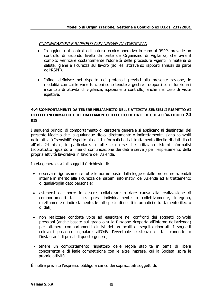# COMUNICAZIONI E RAPPORTI CON ORGANI DI CONTROLLO

- In aggiunta al controllo di natura tecnico-operativo in capo al RSPP, prevede un controllo di secondo livello da parte dell'Organismo di Vigilanza, che avrà il compito verificare costantemente l'idoneità delle procedure vigenti in materia di salute, igiene e sicurezza sul lavoro (ad. es. attraverso rapporti annuali da parte dell'RSPP).
- Infine, definisce nel rispetto dei protocolli previsti alla presente sezione, le modalità con cui le varie funzioni sono tenute a gestire i rapporti con i funzionari incaricati di attività di vigilanza, ispezione o controllo, anche nel caso di visite ispettive.

#### **4.4 COMPORTAMENTI DA TENERE NELL'AMBITO DELLE ATTIVITÀ SENSIBILI RISPETTO AI DELITTI INFORMATICI E DI TRATTAMENTO ILLECITO DI DATI DI CUI ALL'ARTICOLO 24 BIS**

I seguenti principi di comportamento di carattere generale si applicano ai destinatari del presente Modello che, a qualunque titolo, direttamente o indirettamente, siano coinvolti nelle attività "sensibili" rispetto ai delitti informatici ed al trattamento illecito di dati di cui all'art. 24 bis e, in particolare, a tutte le risorse che utilizzano sistemi informativi (soprattutto riguardo a linee di comunicazione dei dati e server) per l'espletamento della propria attività lavorativa in favore dell'Azienda.

In via generale, a tali soggetti è richiesto di:

- osservare rigorosamente tutte le norme poste dalla legge e dalle procedure aziendali interne in merito alla sicurezza dei sistemi informativi dell'Azienda ed al trattamento di qualsivoglia dato personale;
- astenersi dal porre in essere, collaborare o dare causa alla realizzazione di comportamenti tali che, presi individualmente o collettivamente, integrino, direttamente o indirettamente, le fattispecie di delitti informatici e trattamento illecito di dati;
- non realizzare condotte volte ad esercitare nei confronti dei soggetti coinvolti pressioni (anche basate sul grado o sulla funzione ricoperta all'interno dell'azienda) per ottenere comportamenti elusivi dei protocolli di seguito riportati. I soggetti coinvolti possono segnalare all'OdV l'eventuale esistenza di tali condotte o l'instaurarsi di prassi di questo genere;
- tenere un comportamento rispettoso delle regole stabilite in tema di libera concorrenza e di leale competizione con le altre imprese, cui la Società ispira le proprie attività.

È inoltre previsto l'espresso obbligo a carico dei sopraccitati soggetti di: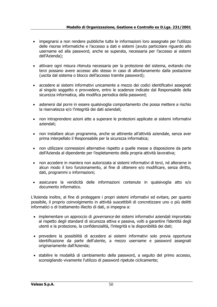- impegnarsi a non rendere pubbliche tutte le informazioni loro assegnate per l'utilizzo delle risorse informatiche e l'accesso a dati e sistemi (avuto particolare riguardo allo username ed alla password, anche se superata, necessaria per l'accesso ai sistemi dell'Azienda);
- attivare ogni misura ritenuta necessaria per la protezione del sistema, evitando che terzi possano avere accesso allo stesso in caso di allontanamento dalla postazione (uscita dal sistema o blocco dell'accesso tramite password);
- accedere ai sistemi informativi unicamente a mezzo dei codici identificativi assegnati al singolo soggetto e provvedere, entro le scadenze indicate dal Responsabile della sicurezza informatica, alla modifica periodica della password;
- astenersi dal porre in essere qualsivoglia comportamento che possa mettere a rischio la riservatezza e/o l'integrità dei dati aziendali;
- non intraprendere azioni atte a superare le protezioni applicate ai sistemi informativi aziendali;
- non installare alcun programma, anche se attinente all'attività aziendale, senza aver prima interpellato il Responsabile per la sicurezza informatica;
- non utilizzare connessioni alternative rispetto a quelle messe a disposizione da parte dell'Azienda al dipendente per l'espletamento della propria attività lavorativa;
- non accedere in maniera non autorizzata ai sistemi informativi di terzi, né alterarne in alcun modo il loro funzionamento, al fine di ottenere e/o modificare, senza diritto, dati, programmi o informazioni;
- assicurare la veridicità delle informazioni contenute in qualsivoglia atto e/o documento informatico.

L'Azienda inoltre, al fine di proteggere i propri sistemi informativi ed evitare, per quanto possibile, il proprio coinvolgimento in attività suscettibili di concretizzare uno o più delitti informatici o di trattamento illecito di dati, si impegna a:

- implementare un approccio di *governance* dei sistemi informativi aziendali improntato al rispetto degli standard di sicurezza attiva e passiva, volti a garantire l'identità degli utenti e la protezione, la confidenzialità, l'integrità e la disponibilità dei dati;
- prevedere la possibilità di accedere ai sistemi informativi solo previa opportuna identificazione da parte dell'utente, a mezzo username e password assegnati originariamente dall'Azienda;
- stabilire le modalità di cambiamento della password, a seguito del primo accesso, sconsigliando vivamente l'utilizzo di password ripetute ciclicamente;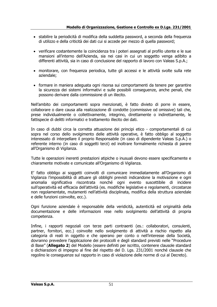- stabilire la periodicità di modifica della suddetta password, a seconda della frequenza di utilizzo e della criticità dei dati cui si accede per mezzo di quella password;
- verificare costantemente la coincidenza tra i poteri assegnati al profilo utente e le sue mansioni all'interno dell'Azienda, sia nei casi in cui un soggetto venga adibito a differenti attività, sia in caso di conclusione del rapporto di lavoro con Valeas S.p.A.;
- monitorare, con frequenza periodica, tutte gli accessi e le attività svolte sulla rete aziendale;
- formare in maniera adeguata ogni risorsa sui comportamenti da tenere per garantire la sicurezza dei sistemi informativi e sulle possibili conseguenze, anche penali, che possono derivare dalla commissione di un illecito.

Nell'ambito dei comportamenti sopra menzionati, è fatto divieto di porre in essere, collaborare o dare causa alla realizzazione di condotte (commissive od omissive) tali che, prese individualmente o collettivamente, integrino, direttamente o indirettamente, le fattispecie di delitti informatici e trattamento illecito dei dati.

In caso di dubbi circa la corretta attuazione dei principi etico - comportamentali di cui sopra nel corso dello svolgimento delle attività operative, è fatto obbligo al soggetto interessato di interpellare il proprio Responsabile (in caso di dipendente Valeas S.p.A.) o referente interno (in caso di soggetti terzi) ed inoltrare formalmente richiesta di parere all'Organismo di Vigilanza.

Tutte le operazioni inerenti prestazioni atipiche o inusuali devono essere specificamente e chiaramente motivate e comunicate all'Organismo di Vigilanza.

E' fatto obbligo ai soggetti coinvolti di comunicare immediatamente all'Organismo di Vigilanza l'impossibilità di attuare gli obblighi previsti indicandone la motivazione e ogni anomalia significativa riscontrata nonché ogni evento suscettibile di incidere sull'operatività ed efficacia dell'attività (es. modifiche legislative e regolamenti, circostanze non regolamentate, mutamenti nell'attività disciplinata, modifica della struttura aziendale e delle funzioni coinvolte, ecc.).

Ogni funzione aziendale è responsabile della veridicità, autenticità ed originalità della documentazione e delle informazioni rese nello svolgimento dell'attività di propria competenza.

Infine, i rapporti negoziali con terze parti contraenti (es.: collaboratori, consulenti, partner, fornitori, ecc.) coinvolte nello svolgimento di attività a rischio rispetto alla categoria di reati in oggetto e che operano per conto o nell'interesse della Società, dovranno prevedere l'applicazione dei protocolli e degli standard previsti nelle "Procedure di Base" (**Allegato 2**) del Modello (essere definiti per iscritto, contenere clausole standard o dichiarazioni di impegno al fine del rispetto del D. Lgs. 231/2001 nonché clausole che regolino le conseguenze sul rapporto in caso di violazione delle norme di cui al Decreto).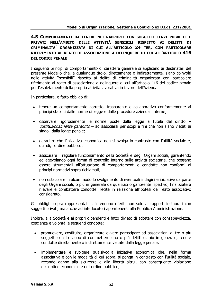## **4.5 COMPORTAMENTI DA TENERE NEI RAPPORTI CON SOGGETTI TERZI PUBBLICI E PRIVATI NELL'AMBITO DELLE ATTIVITÀ SENSIBILI RISPETTO AI DELITTI DI CRIMINALITA' ORGANIZZATA DI CUI ALL'ARTICOLO 24 TER, CON PARTICOLARE RIFERIMENTO AL REATO DI ASSOCIAZIONE A DELINQUERE DI CUI ALL'ARTICOLO 416 DEL CODICE PENALE**

I seguenti principi di comportamento di carattere generale si applicano ai destinatari del presente Modello che, a qualunque titolo, direttamente o indirettamente, siano coinvolti nelle attività "sensibili" rispetto ai delitti di criminalità organizzata con particolare riferimento al reato di associazione a delinquere di cui all'articolo 416 del codice penale per l'espletamento della propria attività lavorativa in favore dell'Azienda.

In particolare, è fatto obbligo di:

- tenere un comportamento corretto, trasparente e collaborativo conformemente ai principi stabiliti dalle norme di legge e dalle procedure aziendali interne;
- osservare rigorosamente le norme poste dalla legge a tutela del diritto costituzionalmente garantito – ad associarsi per scopi e fini che non siano vietati ai singoli dalla legge penale;
- garantire che l'iniziativa economica non si svolga in contrasto con l'utilità sociale e, quindi, l'ordine pubblico;
- assicurare il regolare funzionamento della Società e degli Organi sociali, garantendo ed agevolando ogni forma di controllo interno sulle attività societarie, che possano essere strumentali all'attuazione di comportamenti o condotte non conformi ai principi normativi sopra richiamati;
- non ostacolare in alcun modo lo svolgimento di eventuali indagini e iniziative da parte degli Organi sociali, o più in generale da qualsiasi organo/ente ispettivo, finalizzate a rilevare e combattere condotte illecite in relazione all'ipotesi del reato associativo considerato.

Gli obblighi sopra rappresentati si intendono riferiti non solo ai rapporti instaurati con soggetti privati, ma anche ad interlocutori appartenenti alla Pubblica Amministrazione.

Inoltre, alla Società e ai propri dipendenti è fatto divieto di adottare con consapevolezza, coscienza e volontà le seguenti condotte:

- promuovere, costituire, organizzare ovvero partecipare ad associazioni di tre o più soggetti con lo scopo di commettere uno o più delitti o, più in generale, tenere condotte direttamente o indirettamente vietate dalla legge penale;
- implementare e svolgere qualsivoglia iniziativa economica che, nella forma associativa e con le modalità di cui sopra, si ponga in contrasto con l'utilità sociale, recando danno alla sicurezza e alla libertà altrui, con conseguente violazione dell'ordine economico e dell'ordine pubblico;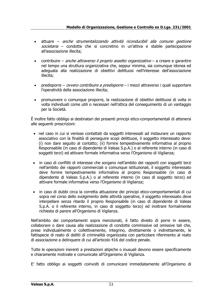- attuare anche strumentalizzando attività riconducibili alla comune gestione societaria – condotte che si concretino in un'attiva e stabile partecipazione all'associazione illecita;
- contribuire anche attraverso il proprio assetto organizzativo a creare e garantire nel tempo una struttura organizzativa che, seppur minima, sia comunque idonea ed adeguata alla realizzazione di obiettivi delittuosi nell'interesse dell'associazione illecita;
- predisporre *ovvero contribuire a predisporre* i mezzi attraverso i quali supportare l'operatività della associazione illecita;
- promuovere o comunque proporre, la realizzazione di obiettivi delittuosi di volta in volta individuati come utili o necessari nell'ottica del conseguimento di un vantaggio per la Società.

È inoltre fatto obbligo ai destinatari dei presenti principi etico-comportamentali di attenersi alle seguenti prescrizioni:

- nel caso in cui si venisse contattati da soggetti interessati ad instaurare un rapporto associativo con la finalità di perseguire scopi delittuosi, il soggetto interessato deve: (i) non dare seguito al contatto; (ii) fornire tempestivamente informativa al proprio Responsabile (in caso di dipendente di Valeas S.p.A.) o al referente interno (in caso di soggetti terzi) ed attivare formale informativa verso l'Organismo di Vigilanza;
- in caso di conflitti di interesse che sorgano nell'ambito dei rapporti con soggetti terzi nell'ambito dei rapporti commerciali o comunque istituzionali, il soggetto interessato deve fornire tempestivamente informativa al proprio Responsabile (in caso di dipendente di Valeas S.p.A.) o al referente interno (in caso di soggetto terzo) ed attivare formale informativa verso l'Organismo di Vigilanza;
- in caso di dubbi circa la corretta attuazione dei principi etico-comportamentali di cui sopra nel corso dello svolgimento delle attività operative, il soggetto interessato deve interpellare senza ritardo il proprio Responsabile (in caso di dipendente di Valeas S.p.A. o il referente interno, in caso di soggetto terzo) ed inoltrare formalmente richiesta di parere all'Organismo di Vigilanza.

Nell'ambito dei comportamenti sopra menzionati, è fatto divieto di porre in essere, collaborare o dare causa alla realizzazione di condotte commissive od omissive tali che, prese individualmente o collettivamente, integrino, direttamente o indirettamente, le fattispecie di reato di delitti di criminalità organizzata con particolare riferimento al reato di associazione a delinquere di cui all'articolo 416 del codice penale.

Tutte le operazioni inerenti a prestazioni atipiche o inusuali devono essere specificamente e chiaramente motivate e comunicate all'Organismo di Vigilanza.

E' fatto obbligo ai soggetti coinvolti di comunicare immediatamente all'Organismo di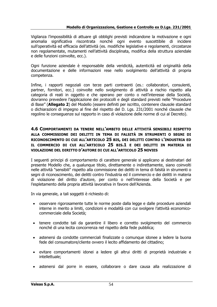Vigilanza l'impossibilità di attuare gli obblighi previsti indicandone la motivazione e ogni anomalia significativa riscontrata nonché ogni evento suscettibile di incidere sull'operatività ed efficacia dell'attività (es. modifiche legislative e regolamenti, circostanze non regolamentate, mutamenti nell'attività disciplinata, modifica della struttura aziendale e delle funzioni coinvolte, ecc.).

Ogni funzione aziendale è responsabile della veridicità, autenticità ed originalità della documentazione e delle informazioni rese nello svolgimento dell'attività di propria competenza.

Infine, i rapporti negoziali con terze parti contraenti (es.: collaboratori, consulenti, partner, fornitori, ecc.) coinvolte nello svolgimento di attività a rischio rispetto alla categoria di reati in oggetto e che operano per conto o nell'interesse della Società, dovranno prevedere l'applicazione dei protocolli e degli standard previsti nelle "Procedure di Base" (**Allegato 2**) del Modello (essere definiti per iscritto, contenere clausole standard o dichiarazioni di impegno al fine del rispetto del D. Lgs. 231/2001 nonché clausole che regolino le conseguenze sul rapporto in caso di violazione delle norme di cui al Decreto).

#### **4.6 COMPORTAMENTI DA TENERE NELL'AMBITO DELLE ATTIVITÀ SENSIBILI RISPETTO ALLA COMMISSIONE DEI DELITTI IN TEMA DI FALSITÀ IN STRUMENTI O SEGNI DI RICONOSCIMENTO DI CUI ALL'ARTICOLO 25 BIS, DEI DELITTI CONTRO L'INDUSTRIA ED IL COMMERCIO DI CUI ALL'ARTICOLO 25 BIS.1 E DEI DELITTI IN MATERIA DI VIOLAZIONE DEL DIRITTO D'AUTORE DI CUI ALL'ARTICOLO 25 NOVIES**

I seguenti principi di comportamento di carattere generale si applicano ai destinatari del presente Modello che, a qualunque titolo, direttamente o indirettamente, siano coinvolti nelle attività "sensibili" rispetto alla commissione dei delitti in tema di falsità in strumenti o segni di riconoscimento, dei delitti contro l'industria ed il commercio e dei delitti in materia di violazione del diritto d'autore, per conto o nell'interesse della Società e per l'espletamento della propria attività lavorativa in favore dell'Azienda.

In via generale, a tali soggetti è richiesto di:

- osservare rigorosamente tutte le norme poste dalla legge e dalle procedure aziendali interne in merito a limiti, condizioni e modalità con cui svolgere l'attività economicocommerciale della Società;
- tenere condotte tali da garantire il libero e corretto svolgimento del commercio nonché di una lecita concorrenza nel rispetto della fede pubblica;
- astenersi da condotte commerciali finalizzate o comunque idonee a ledere la buona fede del consumatore/cliente ovvero il lecito affidamento del cittadino;
- evitare comportamenti idonei a ledere gli altrui diritti di proprietà industriale e intellettuale;
- astenersi dal porre in essere, collaborare o dare causa alla realizzazione di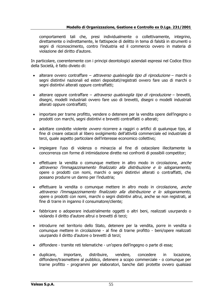comportamenti tali che, presi individualmente o collettivamente, integrino, direttamente o indirettamente, le fattispecie di delitto in tema di falsità in strumenti o segni di riconoscimento, contro l'industria ed il commercio ovvero in materia di violazione del diritto d'autore.

In particolare, coerentemente con i principi deontologici aziendali espressi nel Codice Etico della Società, è fatto divieto di:

- alterare ovvero contraffare *attraverso qualsivoglia tipo di riproduzione* marchi o segni distintivi nazionali ed esteri depositati/registrati ovvero fare uso di marchi o segni distintivi alterati oppure contraffatti;
- alterare oppure contraffare *attraverso qualsivoglia tipo di riproduzione* brevetti, disegni, modelli industriali ovvero fare uso di brevetti, disegni o modelli industriali alterati oppure contraffatti;
- importare per trarne profitto, vendere o detenere per la vendita opere dell'ingegno o prodotti con marchi, segni distintivi e brevetti contraffatti o alterati;
- adottare condotte violente *ovvero* ricorrere a raggiri o artifici di qualunque tipo, al fine di creare ostacoli al libero svolgimento dell'attività commerciale ed industriale di terzi, quale aspetto particolare dell'interesse economico collettivo;
- impiegare l'uso di violenza o minaccia al fine di ostacolare illecitamente la concorrenza con forme di intimidazione dirette nei confronti di possibili competitor;
- effettuare la vendita o comunque mettere in altro modo in circolazione, anche attraverso l'immagazzinamento finalizzato alla distribuzione e lo sdoganamento, opere o prodotti con nomi, marchi o segni distintivi alterati o contraffatti, che possano produrre un danno per l'industria;
- effettuare la vendita o comunque mettere in altro modo in circolazione, anche attraverso l'immagazzinamento finalizzato alla distribuzione e lo sdoganamento, opere o prodotti con nomi, marchi o segni distintivi altrui, anche se non registrati, al fine di trarre in inganno il consumatore/cliente;
- fabbricare o adoperare industrialmente oggetti o altri beni, realizzati usurpando o violando il diritto d'autore altrui o brevetti di terzi;
- introdurre nel territorio dello Stato, detenere per la vendita, porre in vendita o comunque mettere in circolazione - al fine di trarne profitto - beni/opere realizzati usurpando il diritto d'autore o brevetti di terzi;
- diffondere tramite reti telematiche un'opera dell'ingegno o parte di essa;
- duplicare, importare, distribuire, vendere, concedere in locazione, diffondere/trasmettere al pubblico, detenere a scopo commerciale - o comunque per trarne profitto - programmi per elaboratori, banche dati protette ovvero qualsiasi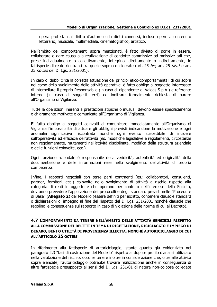opera protetta dal diritto d'autore e da diritti connessi, incluse opere a contenuto letterario, musicale, multimediale, cinematografico, artistico.

Nell'ambito dei comportamenti sopra menzionati, è fatto divieto di porre in essere, collaborare o dare causa alla realizzazione di condotte commissive od omissive tali che, prese individualmente o collettivamente, integrino, direttamente o indirettamente, le fattispecie di reato rientranti tra quelle sopra considerate (art. 25 bis, art. 25 bis.1 e art. 25 *novies* del D. Lgs. 231/2001).

In caso di dubbi circa la corretta attuazione dei principi etico-comportamentali di cui sopra nel corso dello svolgimento delle attività operative, è fatto obbligo al soggetto interessato di interpellare il proprio Responsabile (in caso di dipendente di Valeas S.p.A.) e referente interno (in caso di soggetti terzi) ed inoltrare formalmente richiesta di parere all'Organismo di Vigilanza.

Tutte le operazioni inerenti a prestazioni atipiche o inusuali devono essere specificamente e chiaramente motivate e comunicate all'Organismo di Vigilanza.

E' fatto obbligo ai soggetti coinvolti di comunicare immediatamente all'Organismo di Vigilanza l'impossibilità di attuare gli obblighi previsti indicandone la motivazione e ogni anomalia significativa riscontrata nonché ogni evento suscettibile di incidere sull'operatività ed efficacia dell'attività (es. modifiche legislative e regolamenti, circostanze non regolamentate, mutamenti nell'attività disciplinata, modifica della struttura aziendale e delle funzioni coinvolte, ecc.).

Ogni funzione aziendale è responsabile della veridicità, autenticità ed originalità della documentazione e delle informazioni rese nello svolgimento dell'attività di propria competenza.

Infine, i rapporti negoziali con terze parti contraenti (es.: collaboratori, consulenti, partner, fornitori, ecc.) coinvolte nello svolgimento di attività a rischio rispetto alla categoria di reati in oggetto e che operano per conto o nell'interesse della Società, dovranno prevedere l'applicazione dei protocolli e degli standard previsti nelle "Procedure di Base" (**Allegato 2**) del Modello (essere definiti per iscritto, contenere clausole standard o dichiarazioni di impegno al fine del rispetto del D. Lgs. 231/2001 nonché clausole che regolino le conseguenze sul rapporto in caso di violazione delle norme di cui al Decreto).

#### **4.7 COMPORTAMENTI DA TENERE NELL'AMBITO DELLE ATTIVITÀ SENSIBILI RISPETTO ALLA COMMISSIONE DEI DELITTI IN TEMA DI RICETTAZIONE, RICICLAGGIO E IMPIEGO DI DENARO, BENI O UTILITÀ DI PROVENIENZA ILLECITA, NONCHÉ AUTORICICLAGGIO DI CUI ALL'ARTICOLO 25 OCTIES**

In riferimento alla fattispecie di autoriciclaggio, stante quanto già evidenziato nel paragrafo 2.3 "fasi di costruzione del Modello" rispetto al duplice profilo d'analisi utilizzato nella valutazione del rischio, occorre tenere inoltre in considerazione che, oltre alle attività sopra elencate, l'autoriciclaggio potrebbe trovare realizzazione anche in conseguenza di altre fattispecie presupposto ai sensi del D. Lgs. 231/01 di natura non-colposa collegate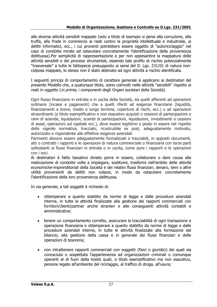alle diverse attività sensibili mappate (solo a titolo di esempio si pensi alla corruzione, alla truffa, alla frode in commercio ai reati contro la proprietà intellettuale e industriale, ai delitti informatici, ecc., i cui proventi potrebbero essere oggetto di "autoriciclaggio" nel caso di condotte mirate ad ostacolare concretamente l'identificazione della provenienza delittuosa).Per semplicità di rappresentazione e per non appesantire la mappatura delle attività sensibili e dei processi strumentali, essendo tale profilo di rischio potenzialmente "trasversale" a tutte le fattispecie presupposto ai sensi del D. Lgs. 231/01 di natura noncolposa mappate, lo stesso non è stato abbinato ad ogni attività a rischio identificata.

I seguenti principi di comportamento di carattere generale si applicano ai destinatari del presente Modello che, a qualunque titolo, siano coinvolti nelle attività "sensibili" rispetto ai reati in oggetto (*in primis*, i componenti degli Organi societari della Società).

Ogni flusso finanziario in entrata e in uscita della Società, sia quelli afferenti ad operazioni ordinarie (incassi e pagamenti) che a quelli riferiti ad esigenze finanziarie (liquidità, finanziamenti a breve, medio e lungo termine, coperture di rischi, ecc.) o ad operazioni straordinarie (a titolo esemplificativo e non esaustivo acquisti o cessioni di partecipazioni o rami di aziende, liquidazioni, scambi di partecipazioni, liquidazioni, investimenti o cessioni di asset, operazioni sul capitale ecc.), deve essere legittimo e posto in essere nel rispetto della vigente normativa, tracciato, ricostruibile ex post, adeguatamente motivato, autorizzato e rispondente alle effettive esigenze aziendali.

Parimenti devono essere adeguatamente formalizzati e tracciabili, in appositi documenti, atti o contratti i rapporti e le operazioni di natura commerciale o finanziaria con terze parti sottostanti ai flussi finanziari in entrata o in uscita, come pure i rapporti e le operazioni con i soci.

Ai destinatari è fatto tassativo divieto porre in essere, collaborare o dare causa alla realizzazione di condotte volte a impiegare, sostituire, trasferire nell'ambito delle attività economiche-imprenditoriali della Società e dei relativi flussi finanziari, denaro, beni o altre utilità provenienti da delitti non colposi, in modo da ostacolare concretamente l'identificazione della loro provenienza delittuosa.

In via generale, a tali soggetti è richiesto di:

- ottemperare a quanto stabilito da norme di legge e dalle procedure aziendali interne, in tutte le attività finalizzate alla gestione dei rapporti commerciali con fornitori/clienti/partner anche stranieri e alle conseguenti attività contabili e amministrative;
- tenere un comportamento corretto, assicurare la tracciabilità di ogni transazione e operazione finanziaria e ottemperare a quanto stabilito da norme di legge e dalle procedure aziendali interne, in tutte le attività finalizzate alla formazione del bilancio, alla gestione della cassa e in generale dei flussi finanziari e delle operazioni di tesoreria;
- non intrattenere rapporti commerciali con soggetti (fisici o giuridici) dei quali sia conosciuta o sospettata l'appartenenza ad organizzazioni criminali o comunque operanti al di fuori della liceità quali, a titolo esemplificativo ma non esaustivo, persone legate all'ambiente del riciclaggio, al traffico di droga, all'usura;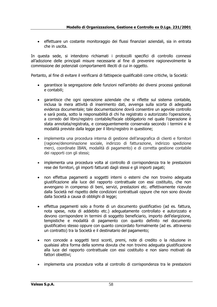• effettuare un costante monitoraggio dei flussi finanziari aziendali, sia in entrata che in uscita.

In questa sede, si intendono richiamati i protocolli specifici di controllo connessi all'adozione delle principali misure necessarie al fine di prevenire ragionevolmente la commissione dei potenziali comportamenti illeciti di cui in oggetto.

Pertanto, al fine di evitare il verificarsi di fattispecie qualificabili come critiche, la Società:

- garantisce la segregazione delle funzioni nell'ambito dei diversi processi gestionali e contabili;
- garantisce che ogni operazione aziendale che si riflette sul sistema contabile, inclusa la mera attività di inserimento dati, avvenga sulla scorta di adeguata evidenza documentale; tale documentazione dovrà consentire un agevole controllo e sarà posta, sotto la responsabilità di chi ha registrato o autorizzato l'operazione, a corredo del libro/registro contabile/fiscale obbligatorio nel quale l'operazione è stata annotata/registrata, e conseguentemente conservata secondo i termini e le modalità previste dalla legge per il libro/registro in questione;
- implementa una procedura interna di gestione dell'anagrafica di clienti e fornitori (ragione/denominazione sociale, indirizzo di fatturazione, indirizzo spedizione merci, coordinate IBAN, modalità di pagamento) e di corretta gestione contabile dei rapporti con gli stessi;
- implementa una procedura volta al controllo di corrispondenza tra le prestazioni rese dei fornitori, gli importi fatturati dagli stessi e gli importi pagati;
- non effettua pagamenti a soggetti interni o esterni che non trovino adeguata giustificazione alla luce del rapporto contrattuale con essi costituito, che non avvengano in compenso di beni, servizi, prestazioni etc. effettivamente ricevute dalla Società nel rispetto delle condizioni contrattuali oppure che non sono dovute dalla Società a causa di obblighi di legge;
- effettua pagamenti solo a fronte di un documento giustificativo (ad es. fattura, nota spese, nota di addebito etc.) adeguatamente controllato e autorizzato e devono corrispondere in termini di soggetto beneficiario, importo dell'elargizione, tempistiche e modalità di pagamento con quanto definito nel documento giustificativo stesso oppure con quanto concordato formalmente (ad es. attraverso un contratto) tra la Società e il destinatario del pagamento;
- non concede a soggetti terzi sconti, premi, note di credito o la riduzione in qualsiasi altra forma della somma dovuta che non trovino adeguata giustificazione alla luce del rapporto contrattuale con essi costituito e non siano motivati da fattori obiettivi;
- implementa una procedura volta al controllo di corrispondenza tra le prestazioni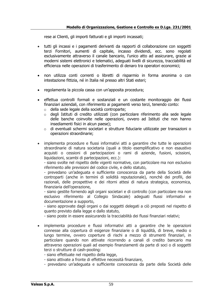rese ai Clienti, gli importi fatturati e gli importi incassati;

- tutti gli incassi e i pagamenti derivanti da rapporti di collaborazione con soggetti terzi Fornitori, aumenti di capitale, incasso dividendi, ecc. sono regolati esclusivamente attraverso il canale bancario, l'unico atto ad assicurare, grazie ai moderni sistemi elettronici e telematici, adeguati livelli di sicurezza, tracciabilità ed efficienza nelle operazioni di trasferimento di denaro tra operatori economici;
- non utilizza conti correnti o libretti di risparmio in forma anonima o con intestazione fittizia, né in Italia né presso altri Stati esteri;
- regolamenta la piccola cassa con un'apposita procedura;
- effettua controlli formali e sostanziali e un costante monitoraggio dei flussi finanziari aziendali, con riferimento ai pagamenti verso terzi, tenendo conto:
	- o della sede legale della società controparte;
	- o degli Istituti di credito utilizzati (con particolare riferimento alla sede legale delle banche coinvolte nelle operazioni, ovvero ad Istituti che non hanno insediamenti fisici in alcun paese);
	- $\circ$  di eventuali schermi societari e strutture fiduciarie utilizzate per transazioni o operazioni straordinarie;
- implementa procedure e flussi informativi atti a garantire che tutte le operazioni straordinarie di natura societaria (quali a titolo esemplificativo e non esaustivo acquisti o cessioni di partecipazioni o rami di aziende, fusioni, scissioni, liquidazioni, scambi di partecipazioni, ecc.):

- siano svolte nel rispetto delle vigenti normative, con particolare ma non esclusivo riferimento alle previsioni del codice civile, e dello statuto,

- prevedano un'adeguata e sufficiente conoscenza da parte della Società delle controparti (anche in termini di solidità reputazionale), nonchè dei profili, dei razionali, delle prospettive e dei ritorni attesi di natura strategica, economica, finanziaria dell'operazione,

- siano gestite fornendo agli organi societari e di controllo (con particolare ma non esclusivo riferimento al Collegio Sindacale) adeguati flussi informativi e documentazione a supporto,

- siano approvate dagli organi o dai soggetti delegati a ciò preposti nel rispetto di quanto previsto dalla legge e dallo statuto,

- siano poste in essere assicurando la tracciabilità dei flussi finanziari relativi;
- implementa procedure e flussi informativi atti a garantire che le operazioni connesse alla copertura di esigenze finanziarie o di liquidità, di breve, medio o lungo termine, ovvero coperture di rischi a mezzo di strumenti finanziari, in particolare quando non attivate ricorrendo a canali di credito bancario ma attraverso operazioni quali ad esempio finanziamenti da parte di soci o di soggetti terzi o strutture di cash-pooling:

- siano effettuate nel rispetto della legge,

- siano attivate a fronte di effettive necessità finanziare,
- prevedano un'adeguata e sufficiente conoscenza da parte della Società delle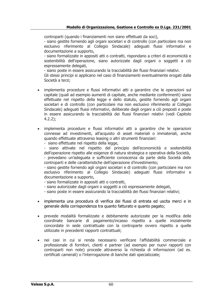controparti (quando i finanziamenti non siano effettuati da soci),

- siano gestite fornendo agli organi societari e di controllo (con particolare ma non esclusivo riferimento al Collegio Sindacale) adeguati flussi informativi e documentazione a supporto,

- siano formalizzate in appositi atti o contratti, rispondano a criteri di economicità e sostenibilità dell'operazione, siano autorizzate dagli organi o soggetti a ciò espressamente delegati,

- siano poste in essere assicurando la tracciabilità dei flussi finanziari relativi.

Gli stessi principi si applicano nel caso di finanziamenti eventualmente erogati dalla Società a terzi;

• implementa procedure e flussi informativi atti a garantire che le operazioni sul capitale (quali ad esempio aumenti di capitale, anche mediante conferimenti) siano effettuate nel rispetto della legge e dello statuto, gestite fornendo agli organi societari e di controllo (con particolare ma non esclusivo riferimento al Collegio Sindacale) adeguati flussi informativi, deliberate dagli organi a ciò preposti e poste in essere assicurando la tracciabilità dei flussi finanziari relativi (vedi Capitolo 4.2.2);

• implementa procedure e flussi informativi atti a garantire che le operazioni connesse ad investimenti, all'acquisto di asset materiali o immateriali, anche quando effettuate attraverso leasing o altri strumenti finanziari:

- siano effettuate nel rispetto della legge,

- siano attivate nel rispetto del principio dell'economicità e sostenibilità dell'operazione rispetto alle esigenze di natura strategica e operativa della Società,

- prevedano un'adeguata e sufficiente conoscenza da parte della Società delle controparti e delle caratteristiche dell'operazione d'investimento;

- siano gestite fornendo agli organi societari e di controllo (con particolare ma non esclusivo riferimento al Collegio Sindacale) adeguati flussi informativi e documentazione a supporto,

- siano formalizzate in appositi atti o contratti,
- siano autorizzate dagli organi o soggetti a ciò espressamente delegati,
- siano poste in essere assicurando la tracciabilità dei flussi finanziari relativi;
- implementa una procedura di verifica dei flussi di entrata ed uscita merci e in generale della corrispondenza tra quanto fatturato e quanto pagato;
- prevede modalità formalizzate e debitamente autorizzate per la modifica delle coordinate bancarie di pagamento/incasso rispetto a quelle inizialmente concordate in sede contrattuale con la controparte ovvero rispetto a quelle utilizzate in precedenti rapporti contrattuali;
- nei casi in cui si renda necessario verificare l'affidabilità commerciale e professionale di fornitori, clienti e partner (ad esempio per nuovi rapporti con controparti non note) procede attraverso la richiesta di informazioni (ad es. certificati camerali) o l'interrogazione di banche dati specializzate;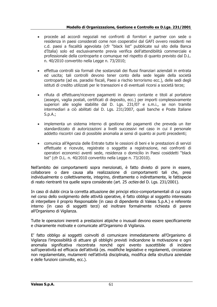#### **Modello di Organizzazione, Gestione e Controllo ex D.Lgs. 231/2001**

- procede ad accordi negoziali nei confronti di fornitori e partner con sede o residenza in paesi considerati come non cooperativi dal GAFI ovvero residenti nei c.d. paesi a fiscalità agevolata (cfr "black list" pubblicate sul sito della Banca d'Italia) solo ed esclusivamente previa verifica dell'attendibilità commerciale e professionale della controparte e comunque nel rispetto di quanto previsto dal D.L. n. 40/2010 convertito nella Legge n. 73/2010;
- effettua controlli sia formali che sostanziali dei flussi finanziari aziendali in entrata ed uscita; tali controlli devono tener conto della sede legale della società controparte (ad es. paradisi fiscali, Paesi a rischio terrorismo ecc.), delle sedi degli istituti di credito utilizzati per le transazioni e di eventuali ricorsi a società terze;
- rifiuta di effettuare/ricevere pagamenti in denaro contante e titoli al portatore (assegni, vaglia postali, certificati di deposito, ecc.) per importi complessivamente superiori alle soglie stabilite dal D. Lgs. 231/07 e s.m.i., se non tramite intermediari a ciò abilitati dal D. Lgs. 231/2007, quali banche e Poste Italiane S.p.A.;
- implementa un sistema interno di gestione dei pagamenti che preveda un iter standardizzato di autorizzazioni a livelli successivi nel caso in cui il personale addetto riscontri casi di possibile anomalia ai sensi di quanto ai punti precedenti;
- comunica all'Agenzia delle Entrate tutte le cessioni di beni e le prestazioni di servizi effettuate e ricevute, registrate o soggette a registrazione, nei confronti di operatori economici aventi sede, residenza o domicilio in Paesi cosiddetti "black list" (cfr D.L. n. 40/2010 convertito nella Legge n. 73/2010).

Nell'ambito dei comportamenti sopra menzionati, è fatto divieto di porre in essere, collaborare o dare causa alla realizzazione di comportamenti tali che, presi individualmente o collettivamente, integrino, direttamente o indirettamente, le fattispecie di reato rientranti tra quelle sopra considerate (art. 25 *octies* del D. Lgs. 231/2001).

In caso di dubbi circa la corretta attuazione dei principi etico-comportamentali di cui sopra nel corso dello svolgimento delle attività operative, è fatto obbligo al soggetto interessato di interpellare il proprio Responsabile (in caso di dipendente di Valeas S.p.A.) e referente interno (in caso di soggetti terzi) ed inoltrare formalmente richiesta di parere all'Organismo di Vigilanza.

Tutte le operazioni inerenti a prestazioni atipiche o inusuali devono essere specificamente e chiaramente motivate e comunicate all'Organismo di Vigilanza.

E' fatto obbligo ai soggetti coinvolti di comunicare immediatamente all'Organismo di Vigilanza l'impossibilità di attuare gli obblighi previsti indicandone la motivazione e ogni anomalia significativa riscontrata nonché ogni evento suscettibile di incidere sull'operatività ed efficacia dell'attività (es. modifiche legislative e regolamenti, circostanze non regolamentate, mutamenti nell'attività disciplinata, modifica della struttura aziendale e delle funzioni coinvolte, ecc.).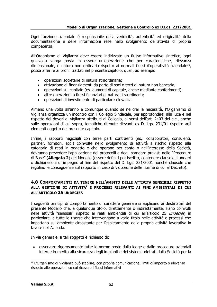Ogni funzione aziendale è responsabile della veridicità, autenticità ed originalità della documentazione e delle informazioni rese nello svolgimento dell'attività di propria competenza.

All'Organismo di Vigilanza deve essere indirizzato un flusso informativo sintetico, ogni qualvolta venga posta in essere un'operazione che per caratteristiche, rilevanza dimensionale, o natura non ordinaria rispetto ai normali flussi d'operatività aziendale<sup>10</sup>, possa afferire ai profili trattati nel presente capitolo, quali, ad esempio:

- operazioni societarie di natura straordinaria;
- attivazione di finanziamenti da parte di soci o terzi di natura non bancaria;
- operazioni sul capitale (es. aumenti di capitale, anche mediante conferimenti);
- altre operazioni o flussi finanziari di natura straordinaria;
- operazioni di investimento di particolare rilevanza.

Almeno una volta all'anno e comunque quando se ne crei la necessità, l'Organismo di Vigilanza organizza un incontro con il Collegio Sindacale, per approfondire, alla luce e nel rispetto dei doveri di vigilanza attribuiti al Collegio, ai sensi dell'art. 2403 del c.c., anche sulle operazioni di cui sopra, tematiche ritenute rilevanti ex D. Lgs. 231/01 rispetto agli elementi oggetto del presente capitolo.

Infine, i rapporti negoziali con terze parti contraenti (es.: collaboratori, consulenti, partner, fornitori, ecc.) coinvolte nello svolgimento di attività a rischio rispetto alla categoria di reati in oggetto e che operano per conto o nell'interesse della Società, dovranno prevedere l'applicazione dei protocolli e degli standard previsti nelle "Procedure di Base" (**Allegato 2**) del Modello (essere definiti per iscritto, contenere clausole standard o dichiarazioni di impegno al fine del rispetto del D. Lgs. 231/2001 nonché clausole che regolino le conseguenze sul rapporto in caso di violazione delle norme di cui al Decreto).

#### **4.8 COMPORTAMENTI DA TENERE NELL'AMBITO DELLE ATTIVITÀ SENSIBILI RISPETTO ALLA GESTIONE DI ATTIVITA' E PROCESSI RILEVANTI AI FINI AMBIENTALI DI CUI ALL'ARTICOLO 25 UNDECIES**

I seguenti principi di comportamento di carattere generale si applicano ai destinatari del presente Modello che, a qualunque titolo, direttamente o indirettamente, siano coinvolti nelle attività "sensibili" rispetto ai reati ambientali di cui all'articolo 25 undecies, in particolare, a tutte le risorse che intervengano a vario titolo nelle attività e processi che impattano sull'ambiente circostante per l'espletamento della propria attività lavorativa in favore dell'Azienda.

In via generale, a tali soggetti è richiesto di:

• osservare rigorosamente tutte le norme poste dalla legge e dalle procedure aziendali interne in merito alla sicurezza degli impianti e dei sistemi adottati dalla Società per la

<sup>10</sup> L'Organismo di Vigilanza può stabilire, con propria comunicazione, limiti di importo o rilevanza rispetto alle operazioni su cui ricevere i flussi informativi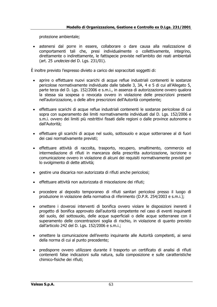protezione ambientale;

• astenersi dal porre in essere, collaborare o dare causa alla realizzazione di comportamenti tali che, presi individualmente o collettivamente, integrino, direttamente o indirettamente, le fattispecie previste nell'ambito dei reati ambientali (art. 25 undecies del D. Lgs. 231/01).

È inoltre previsto l'espresso divieto a carico dei sopraccitati soggetti di:

- aprire o effettuare nuovi scarichi di acque reflue industriali contenenti le sostanze pericolose normativamente individuate dalle tabelle 3, 3A, 4 e 5 di cui all'Allegato 5, parte terza del D. Lgs. 152/2006 e s.m.i., in assenza di autorizzazione ovvero qualora la stessa sia sospesa o revocata ovvero in violazione delle prescrizioni presenti nell'autorizzazione, o delle altre prescrizioni dell'Autorità competente;
- effettuare scarichi di acque reflue industriali contenenti le sostanze pericolose di cui sopra con superamento dei limiti normativamente individuati dal D. Lgs. 152/2006 e s.m.i. ovvero dei limiti più restrittivi fissati dalle regioni o dalle province autonome o dall'Autorità;
- effettuare gli scarichi di acque nel suolo, sottosuolo e acque sotterranee al di fuori dei casi normativamente previsti;
- effettuare attività di raccolta, trasporto, recupero, smaltimento, commercio ed intermediazione di rifiuti in mancanza della prescritta autorizzazione, iscrizione o comunicazione ovvero in violazione di alcuni dei requisiti normativamente previsti per lo svolgimento di dette attività;
- gestire una discarica non autorizzata di rifiuti anche pericolosi;
- effettuare attività non autorizzata di miscelazione dei rifiuti;
- procedere al deposito temporaneo di rifiuti sanitari pericolosi presso il luogo di produzione in violazione della normativa di riferimento (D.P.R. 254/2003 e s.m.i.);
- omettere i doverosi interventi di bonifica ovvero violare le disposizioni inerenti il progetto di bonifica approvato dall'autorità competente nel caso di eventi inquinanti del suolo, del sottosuolo, delle acque superficiali o delle acque sotterranee con il superamento delle concentrazioni soglia di rischio, in violazione di quanto previsto dall'articolo 242 del D. Lgs. 152/2006 e s.m.i.;
- omettere la comunicazione dell'evento inquinante alle Autorità competenti, ai sensi della norma di cui al punto precedente;
- predisporre ovvero utilizzare durante il trasporto un certificato di analisi di rifiuti contenenti false indicazioni sulla natura, sulla composizione e sulle caratteristiche chimico-fisiche dei rifiuti;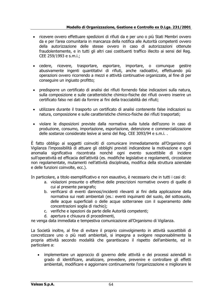#### **Modello di Organizzazione, Gestione e Controllo ex D.Lgs. 231/2001**

- ricevere ovvero effettuare spedizioni di rifiuti da e per uno o più Stati Membri ovvero da e per l'area comunitaria in mancanza della notifica alle Autorità competenti ovvero della autorizzazione delle stesse ovvero in caso di autorizzazioni ottenute fraudolentemente, e in tutti gli altri casi costituenti traffico illecito ai sensi del Reg. CEE 259/1993 e s.m.i.;
- cedere, ricevere, trasportare, esportare, importare, o comunque gestire abusivamente ingenti quantitativi di rifiuti, anche radioattivi, effettuando più operazioni ovvero ricorrendo a mezzi e attività continuative organizzate, al fine di per conseguire un ingiusto profitto;
- predisporre un certificato di analisi dei rifiuti fornendo false indicazioni sulla natura, sulla composizione e sulle caratteristiche chimico-fisiche dei rifiuti ovvero inserire un certificato falso nei dati da fornire ai fini della tracciabilità dei rifiuti;
- utilizzare durante il trasporto un certificato di analisi contenente false indicazioni su natura, composizione e sulle caratteristiche chimico-fisiche dei rifiuti trasportati;
- violare le disposizioni previste dalla normativa sulla tutela dell'ozono in caso di produzione, consumo, importazione, esportazione, detenzione e commercializzazione delle sostanze considerate lesive ai sensi del Reg. CEE 3093/94 e s.m.i. .

È fatto obbligo ai soggetti coinvolti di comunicare immediatamente all'Organismo di Vigilanza l'impossibilità di attuare gli obblighi previsti indicandone la motivazione e ogni anomalia significativa riscontrata nonché ogni evento suscettibile di incidere sull'operatività ed efficacia dell'attività (es. modifiche legislative e regolamenti, circostanze non regolamentate, mutamenti nell'attività disciplinata, modifica della struttura aziendale e delle funzioni coinvolte, ecc.).

In particolare, a titolo esemplificativo e non esaustivo, è necessario che in tutti i casi di:

- a. violazioni presunte o effettive delle prescrizioni normative ovvero di quelle di cui al presente paragrafo;
- b. verificarsi di eventi dannosi/incidenti rilevanti ai fini della applicazione della normativa sui reati ambientali (es.: eventi inquinanti del suolo, del sottosuolo, delle acque superficiali o delle acque sotterranee con il superamento delle concentrazioni soglia di rischio);
- c. verifiche e ispezioni da parte delle Autorità competenti;
- d. apertura e chiusura di procedimenti,

ne venga data immediata e tempestiva comunicazione all'Organismo di Vigilanza.

La Società inoltre, al fine di evitare il proprio coinvolgimento in attività suscettibili di concretizzare uno o più reati ambientali, si impegna a svolgere responsabilmente la propria attività secondo modalità che garantiscano il rispetto dell'ambiente, ed in particolare a:

• implementare un approccio di governo delle attività e dei processi aziendali in grado di identificare, analizzare, prevedere, prevenire e controllare gli effetti ambientali, modificare e aggiornare continuamente l'organizzazione e migliorare le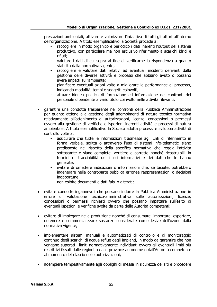prestazioni ambientali, attivare e valorizzare l'iniziativa di tutti gli attori all'interno dell'organizzazione. A titolo esemplificativo la Società procede a:

- raccogliere in modo organico e periodico i dati inerenti l'output del sistema produttivo, con particolare ma non esclusivo riferimento a scarichi idrici e rifiuti;
- valutare i dati di cui sopra al fine di verificarne la rispondenza a quanto stabilito dalla normativa vigente;
- raccogliere e valutare dati relativi ad eventuali incidenti derivanti dalla gestione delle diverse attività e processi che abbiano avuto o possano avere impatti sull'ambiente;
- pianificare eventuali azioni volte a migliorare le performance di processo, indicando modalità, tempi e soggetti coinvolti;
- attuare idonea politica di formazione ed informazione nei confronti del personale dipendente a vario titolo coinvolto nelle attività rilevanti;
- garantire una condotta trasparente nei confronti della Pubblica Amministrazione per quanto attiene alla gestione degli adempimenti di natura tecnico-normativa relativamente all'ottenimento di autorizzazioni, licenze, concessioni o permessi ovvero alla gestione di verifiche e ispezioni inerenti attività e processi di natura ambientale. A titolo esemplificativo la Società adotta processi e sviluppa attività di controllo volte a:
	- assicurare che tutte le informazioni trasmesse agli Enti di riferimento in forma verbale, scritta o attraverso l'uso di sistemi info-telematici siano predisposte nel rispetto della specifica normativa che regola l'attività sottostante e siano complete, veritiere e corrette nonché ricostruibili, in termini di tracciabilità dei flussi informativi e dei dati che le hanno generate;
	- evitare di omettere indicazioni o informazioni che, se taciute, potrebbero ingenerare nella controparte pubblica erronee rappresentazioni o decisioni inopportune;
	- non esibire documenti e dati falsi o alterati;
- evitare condotte ingannevoli che possano indurre la Pubblica Amministrazione in errore di valutazione tecnico-amministrativa sulle autorizzazioni, licenze, concessioni o permessi richiesti ovvero che possano impattare sull'esito di eventuali ispezioni e verifiche svolte da parte delle Autorità competenti;
- evitare di impiegare nella produzione nonché di consumare, importare, esportare, detenere e commercializzare sostanze considerate come lesive dell'ozono dalla normativa vigente;
- implementare sistemi manuali e automatizzati di controllo e di monitoraggio continuo degli scarichi di acque reflue degli impianti, in modo da garantire che non vengano superati i limiti normativamente individuati ovvero gli eventuali limiti più restrittivi fissati dalle regioni o dalle province autonome o dall'Autorità competente al momento del rilascio delle autorizzazioni;
- adempiere tempestivamente agli obblighi di messa in sicurezza dei siti e procedere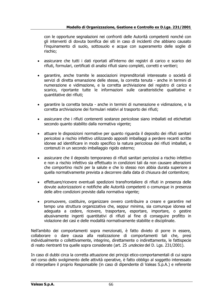con le opportune segnalazioni nei confronti delle Autorità competenti nonché con gli interventi di dovuta bonifica dei siti in caso di incidenti che abbiano causato l'inquinamento di suolo, sottosuolo e acque con superamento delle soglie di rischio;

- assicurare che tutti i dati riportati all'interno dei registri di carico e scarico dei rifiuti, formulari, certificati di analisi rifiuti siano completi, corretti e veritieri;
- garantire, anche tramite le associazioni imprenditoriali interessate o società di servizi di diretta emanazione delle stesse, la corretta tenuta - anche in termini di numerazione e vidimazione, e la corretta archiviazione del registro di carico e scarico, riportante tutte le informazioni sulle caratteristiche qualitative e quantitative dei rifiuti;
- garantire la corretta tenuta anche in termini di numerazione e vidimazione, e la corretta archiviazione dei formulari relativi al trasporto dei rifiuti;
- assicurare che i rifiuti contenenti sostanze pericolose siano imballati ed etichettati secondo quanto stabilito dalla normativa vigente;
- attuare le disposizioni normative per quanto riguarda il deposito dei rifiuti sanitari pericolosi a rischio infettivo utilizzando appositi imballaggi a perdere recanti scritte idonee ad identificare in modo specifico la natura pericolosa dei rifiuti imballati, e contenuti in un secondo imballaggio rigido esterno;
- assicurare che il deposito temporaneo di rifiuti sanitari pericolosi a rischio infettivo e non a rischio infettivo sia effettuato in condizioni tali da non causare alterazioni che comportino rischi per la salute e che lo stesso non abbia durata superiore a quella normativamente prevista a decorrere dalla data di chiusura del contenitore;
- effettuare/ricevere eventuali spedizioni transfrontaliere di rifiuti in presenza delle dovute autorizzazioni e notifiche alle Autorità competenti o comunque in presenza delle altre condizioni previste dalla normativa vigente;
- promuovere, costituire, organizzare ovvero contribuire a creare e garantire nel tempo una struttura organizzativa che, seppur minima, sia comunque idonea ed adeguata a cedere, ricevere, trasportare, esportare, importare, o gestire abusivamente ingenti quantitativi di rifiuti al fine di conseguire profitto in violazione dei casi e delle modalità normativamente stabilite e disciplinate.

Nell'ambito dei comportamenti sopra menzionati, è fatto divieto di porre in essere, collaborare o dare causa alla realizzazione di comportamenti tali che, presi individualmente o collettivamente, integrino, direttamente o indirettamente, le fattispecie di reato rientranti tra quelle sopra considerate (art. 25 undecies del D. Lgs. 231/2001).

In caso di dubbi circa la corretta attuazione dei principi etico-comportamentali di cui sopra nel corso dello svolgimento delle attività operative, è fatto obbligo al soggetto interessato di interpellare il proprio Responsabile (in caso di dipendente di Valeas S.p.A.) e referente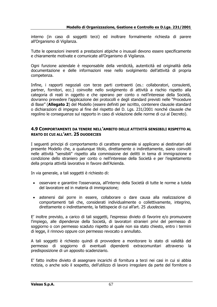interno (in caso di soggetti terzi) ed inoltrare formalmente richiesta di parere all'Organismo di Vigilanza.

Tutte le operazioni inerenti a prestazioni atipiche o inusuali devono essere specificamente e chiaramente motivate e comunicate all'Organismo di Vigilanza.

Ogni funzione aziendale è responsabile della veridicità, autenticità ed originalità della documentazione e delle informazioni rese nello svolgimento dell'attività di propria competenza.

Infine, i rapporti negoziali con terze parti contraenti (es.: collaboratori, consulenti, partner, fornitori, ecc.) coinvolte nello svolgimento di attività a rischio rispetto alla categoria di reati in oggetto e che operano per conto o nell'interesse della Società, dovranno prevedere l'applicazione dei protocolli e degli standard previsti nelle "Procedure di Base" (**Allegato 2**) del Modello (essere definiti per iscritto, contenere clausole standard o dichiarazioni di impegno al fine del rispetto del D. Lgs. 231/2001 nonché clausole che regolino le conseguenze sul rapporto in caso di violazione delle norme di cui al Decreto).

#### **4.9 COMPORTAMENTI DA TENERE NELL'AMBITO DELLE ATTIVITÀ SENSIBILI RISPETTO AL REATO DI CUI ALL'ART. 25 DUODECIES**

I seguenti principi di comportamento di carattere generale si applicano ai destinatari del presente Modello che, a qualunque titolo, direttamente o indirettamente, siano coinvolti nelle attività "sensibili" rispetto alla commissione dei delitti in tema di immigrazione e condizione dello straniero per conto o nell'interesse della Società e per l'espletamento della propria attività lavorativa in favore dell'Azienda.

In via generale, a tali soggetti è richiesto di:

- osservare e garantire l'osservanza, all'interno della Società di tutte le norme a tutela del lavoratore ed in materia di immigrazione;
- astenersi dal porre in essere, collaborare o dare causa alla realizzazione di comportamenti tali che, considerati individualmente o collettivamente, integrino, direttamente o indirettamente, la fattispecie di cui all'art. 25 duodecies.

E' inoltre previsto, a carico di tali soggetti, l'espresso divieto di favorire e/o promuovere l'impiego, alle dipendenze della Società, di lavoratori stranieri privi del permesso di soggiorno o con permesso scaduto rispetto al quale non sia stato chiesto, entro i termini di legge, il rinnovo oppure con permesso revocato o annullato.

A tali soggetti è richiesto quindi di provvedere a monitorare lo stato di validità del permesso di soggiorno di eventuali dipendenti extracomunitari attraverso la predisposizione di un apposito scadenziario.

E' fatto inoltre divieto di assegnare incarichi di fornitura a terzi nei casi in cui si abbia notizia, o anche solo il sospetto, dell'utilizzo di lavoro irregolare da parte del fornitore o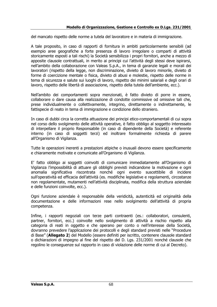del mancato rispetto delle norme a tutela del lavoratore e in materia di immigrazione.

A tale proposito, in caso di rapporti di fornitura in ambiti particolarmente sensibili (ad esempio aree geografiche a forte presenza di lavoro irregolare o comparti di attività storicamente esposti a tali rischi) la Società sensibilizza i propri fornitori, anche a mezzo di apposite clausole contrattuali, in merito ai principi cui l'attività degli stessi deve ispirarsi, nell'ambito della collaborazione con Valeas S.p.A., in tema di garanzie legali e morali dei lavoratori (rispetto della legge, non discriminazione, divieto di lavoro minorile, divieto di forme di coercizione mentale o fisica, divieto di abusi e molestie, rispetto delle norme in tema di sicurezza e salute sui luoghi di lavoro, rispetto dei minimi salariali e degli orari di lavoro, rispetto delle libertà di associazione, rispetto della tutela dell'ambiente, ecc.).

Nell'ambito dei comportamenti sopra menzionati, è fatto divieto di porre in essere, collaborare o dare causa alla realizzazione di condotte commissive od omissive tali che, prese individualmente o collettivamente, integrino, direttamente o indirettamente, le fattispecie di reato in tema di immigrazione e condizione dello straniero.

In caso di dubbi circa la corretta attuazione dei principi etico-comportamentali di cui sopra nel corso dello svolgimento delle attività operative, è fatto obbligo al soggetto interessato di interpellare il proprio Responsabile (in caso di dipendente della Società) e referente interno (in caso di soggetti terzi) ed inoltrare formalmente richiesta di parere all'Organismo di Vigilanza.

Tutte le operazioni inerenti a prestazioni atipiche o inusuali devono essere specificamente e chiaramente motivate e comunicate all'Organismo di Vigilanza.

E' fatto obbligo ai soggetti coinvolti di comunicare immediatamente all'Organismo di Vigilanza l'impossibilità di attuare gli obblighi previsti indicandone la motivazione e ogni anomalia significativa riscontrata nonché ogni evento suscettibile di incidere sull'operatività ed efficacia dell'attività (es. modifiche legislative e regolamenti, circostanze non regolamentate, mutamenti nell'attività disciplinata, modifica della struttura aziendale e delle funzioni coinvolte, ecc.).

Ogni funzione aziendale è responsabile della veridicità, autenticità ed originalità della documentazione e delle informazioni rese nello svolgimento dell'attività di propria competenza.

Infine, i rapporti negoziali con terze parti contraenti (es.: collaboratori, consulenti, partner, fornitori, ecc.) coinvolte nello svolgimento di attività a rischio rispetto alla categoria di reati in oggetto e che operano per conto o nell'interesse della Società, dovranno prevedere l'applicazione dei protocolli e degli standard previsti nelle "Procedure di Base" (**Allegato 2**) del Modello (essere definiti per iscritto, contenere clausole standard o dichiarazioni di impegno al fine del rispetto del D. Lgs. 231/2001 nonché clausole che regolino le conseguenze sul rapporto in caso di violazione delle norme di cui al Decreto).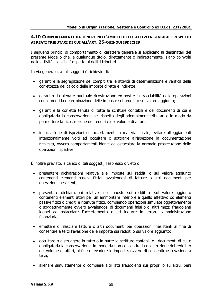#### **4.10 COMPORTAMENTI DA TENERE NELL'AMBITO DELLE ATTIVITÀ SENSIBILI RISPETTO AI REATI TRIBUTARI DI CUI ALL'ART. 25-QUINQUIESDECIES**

I seguenti principi di comportamento di carattere generale si applicano ai destinatari del presente Modello che, a qualunque titolo, direttamente o indirettamente, siano coinvolti nelle attività "sensibili" rispetto ai delitti tributari.

In via generale, a tali soggetti è richiesto di:

- garantire la segregazione dei compiti tra le attività di determinazione e verifica della correttezza del calcolo delle imposte dirette e indirette;
- garantire la piena e puntuale ricostruzione ex post e la tracciabilità delle operazioni concernenti la determinazione delle imposte sui redditi o sul valore aggiunto;
- garantire la corretta tenuta di tutte le scritture contabili e dei documenti di cui è obbligatoria la conservazione nel rispetto degli adempimenti tributari e in modo da permettere la ricostruzione dei redditi e del volume di affari;
- in occasione di ispezioni ed accertamenti in materia fiscale, evitare atteggiamenti intenzionalmente volti ad occultare o sottrarre all'ispezione la documentazione richiesta, ovvero comportamenti idonei ad ostacolare la normale prosecuzione delle operazioni ispettive.

È inoltre previsto, a carico di tali soggetti, l'espresso divieto di:

- presentare dichiarazioni relative alle imposte sui redditi o sul valore aggiunto contenenti elementi passivi fittizi, avvalendosi di fatture o altri documenti per operazioni inesistenti;
- presentare dichiarazioni relative alle imposte sui redditi o sul valore aggiunto contenenti elementi attivi per un ammontare inferiore a quello effettivo od elementi passivi fittizi o crediti e ritenute fittizi, compiendo operazioni simulate oggettivamente o soggettivamente ovvero avvalendosi di documenti falsi o di altri mezzi fraudolenti idonei ad ostacolare l'accertamento e ad indurre in errore l'amministrazione finanziaria;
- emettere o rilasciare fatture o altri documenti per operazioni inesistenti al fine di consentire a terzi l'evasione delle imposte sui redditi o sul valore aggiunto;
- occultare o distruggere in tutto o in parte le scritture contabili o i documenti di cui è obbligatoria la conservazione, in modo da non consentire la ricostruzione dei redditi o del volume di affari, al fine di evadere le imposte, ovvero di consentirne l'evasione a terzi;
- alienare simulatamente o compiere altri atti fraudolenti sui propri o su altrui beni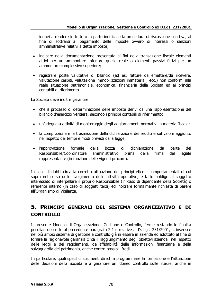idonei a rendere in tutto o in parte inefficace la procedura di riscossione coattiva, al fine di sottrarsi al pagamento delle imposte ovvero di interessi o sanzioni amministrative relativi a dette imposte;

- indicare nella documentazione presentata ai fini della transazione fiscale elementi attivi per un ammontare inferiore quello reale o elementi passivi fittizi per un ammontare complessivo superiore;
- registrare poste valutative di bilancio (ad es. fatture da emettere/da ricevere, valutazione cespiti, valutazione immobilizzazioni immateriali, ecc.) non conformi alla reale situazione patrimoniale, economica, finanziaria della Società ed ai principi contabili di riferimento.

La Società deve inoltre garantire:

- che il processo di determinazione delle imposte derivi da una rappresentazione del bilancio d'esercizio veritiera, secondo i principi contabili di riferimento;
- un'adeguata attività di monitoraggio degli aggiornamenti normativi in materia fiscale;
- la compilazione e la trasmissione della dichiarazione dei redditi e sul valore aggiunto nel rispetto dei tempi e modi previsti dalla legge;
- l'approvazione formale della bozza di dichiarazione da parte del Responsabile/Coordinatore amministrativo prima della firma del legale rappresentante (in funzione delle vigenti procure).

In caso di dubbi circa la corretta attuazione dei principi etico - comportamentali di cui sopra nel corso dello svolgimento delle attività operative, è fatto obbligo al soggetto interessato di interpellare il proprio Responsabile (in caso di dipendente della Società) o referente interno (in caso di soggetti terzi) ed inoltrare formalmente richiesta di parere all'Organismo di Vigilanza.

# **5. PRINCIPI GENERALI DEL SISTEMA ORGANIZZATIVO E DI CONTROLLO**

Il presente Modello di Organizzazione, Gestione e Controllo, ferme restando le finalità peculiari descritte al precedente paragrafo 2.1 e relative al D. Lgs. 231/2001, si inserisce nel più ampio sistema di gestione e controllo già in essere in azienda ed adottato al fine di fornire la ragionevole garanzia circa il raggiungimento degli obiettivi aziendali nel rispetto delle leggi e dei regolamenti, dell'affidabilità delle informazioni finanziarie e della salvaguardia del patrimonio, anche contro possibili frodi.

In particolare, quali specifici strumenti diretti a programmare la formazione e l'attuazione delle decisioni della Società e a garantire un idoneo controllo sulle stesse, anche in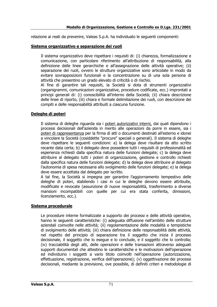relazione ai reati da prevenire, Valeas S.p.A. ha individuato le seguenti componenti:

# **Sistema organizzativo e separazione dei ruoli**

Il sistema organizzativo deve rispettare i requisiti di: (i) chiarezza, formalizzazione e comunicazione, con particolare riferimento all'attribuzione di responsabilità, alla definizione delle linee gerarchiche e all'assegnazione delle attività operative; (ii) separazione dei ruoli, ovvero le strutture organizzative sono articolate in modo da evitare sovrapposizioni funzionali e la concentrazione su di una sola persona di attività che presentino un grado elevato di criticità o di rischio.

Al fine di garantire tali requisiti, la Società si dota di strumenti organizzativi (organigrammi, comunicazioni organizzative, procedure codificate, ecc.) improntati a principi generali di: (i) conoscibilità all'interno della Società; (ii) chiara descrizione delle linee di riporto; (iii) chiara e formale delimitazione dei ruoli, con descrizione dei compiti e delle responsabilità attribuiti a ciascuna funzione.

# **Deleghe di poteri**

Il sistema di deleghe riguarda sia i poteri autorizzativi interni, dai quali dipendono i processi decisionali dell'azienda in merito alle operazioni da porre in essere, sia i poteri di rappresentanza per la firma di atti o documenti destinati all'esterno e idonei a vincolare la Società (cosiddette "procure" speciali o generali). Il sistema di deleghe deve rispettare le seguenti condizioni: a) la delega deve risultare da atto scritto recante data certa; b) il delegato deve possedere tutti i requisiti di professionalità ed esperienza richiesti dalla specifica natura delle funzioni delegate; c) la delega deve attribuire al delegato tutti i poteri di organizzazione, gestione e controllo richiesti dalla specifica natura delle funzioni delegate; d) la delega deve attribuire al delegato l'autonomia di spesa necessaria allo svolgimento delle funzioni delegate; e) la delega deve essere accettata dal delegato per iscritto.

A tal fine, la Società si impegna per garantire l'aggiornamento tempestivo delle deleghe di poteri, stabilendo i casi in cui le deleghe devono essere attribuite, modificate e revocate (assunzione di nuove responsabilità, trasferimento a diverse mansioni incompatibili con quelle per cui era stata conferita, dimissioni, licenziamento, ecc.).

## **Sistema procedurale**

Le procedure interne formalizzate a supporto dei processi e delle attività operative, hanno le seguenti caratteristiche: (i) adeguata diffusione nell'ambito delle strutture aziendali coinvolte nelle attività; (ii) regolamentazione delle modalità e tempistiche di svolgimento delle attività; (iii) chiara definizione delle responsabilità delle attività, nel rispetto del principio di separazione tra il soggetto che inizia il processo decisionale, il soggetto che lo esegue e lo conclude, e il soggetto che lo controlla; (iv) tracciabilità degli atti, delle operazioni e delle transazioni attraverso adeguati supporti documentali che attestino le caratteristiche e le motivazioni dell'operazione ed individuino i soggetti a vario titolo coinvolti nell'operazione (autorizzazione, effettuazione, registrazione, verifica dell'operazione); (v) oggettivazione dei processi decisionali, mediante la previsione, ove possibile, di definiti criteri e metodologie di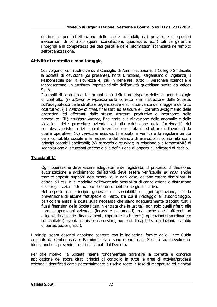riferimento per l'effettuazione delle scelte aziendali; (vi) previsione di specifici meccanismi di controllo (quali riconciliazioni, quadrature, ecc.) tali da garantire l'integrità e la completezza dei dati gestiti e delle informazioni scambiate nell'ambito dell'organizzazione.

# **Attività di controllo e monitoraggio**

Coinvolgono, con ruoli diversi: il Consiglio di Amministrazione, il Collegio Sindacale, la Società di Revisione (se presente), l'Alta Direzione, l'Organismo di Vigilanza, il Responsabile per la sicurezza e, più in generale, tutto il personale aziendale e rappresentano un attributo imprescindibile dell'attività quotidiana svolta da Valeas S.p.A..

I compiti di controllo di tali organi sono definiti nel rispetto delle seguenti tipologie di controllo: (i) *attività di vigilanza* sulla corretta amministrazione della Società, sull'adeguatezza delle strutture organizzative e sull'osservanza della legge e dell'atto costitutivo; (ii) *controlli di linea*, finalizzati ad assicurare il corretto svolgimento delle operazioni ed effettuati dalle stesse strutture produttive o incorporati nelle procedure; (iii) revisione interna, finalizzata alla rilevazione delle anomalie e delle violazioni delle procedure aziendali ed alla valutazione della funzionalità del complessivo sistema dei controlli interni ed esercitata da strutture indipendenti da quelle operative; (iv) revisione esterna, finalizzata a verificare la regolare tenuta della contabilità sociale e la redazione del bilancio di esercizio in conformità con i principi contabili applicabili; (v) *controllo e gestione*, in relazione alla tempestività di segnalazione di situazioni critiche e alla definizione di opportuni indicatori di rischio.

# **Tracciabilità**

Ogni operazione deve essere adeguatamente registrata. Il processo di decisione, autorizzazione e svolgimento dell'attività deve essere verificabile ex post, anche tramite appositi supporti documentali e, in ogni caso, devono essere disciplinati in dettaglio i casi e le modalità dell'eventuale possibilità di cancellazione o distruzione delle registrazioni effettuate o della documentazione giustificativa.

Nel rispetto del principio generale di tracciabilità di ogni operazione, per la prevenzione di alcune fattispecie di reato, tra cui il riciclaggio e l'autoriciclaggio, particolare enfasi è posta sulla necessità che siano adeguatamente tracciati tutti i flussi finanziari della Società (sia in entrata che in uscita), non solo quelli riferiti alle normali operazioni aziendali (incassi e pagamenti), ma anche quelli afferenti ad esigenze finanziarie (finanziamenti, coperture rischi, ecc.), operazioni straordinarie o sul capitale (fusioni, acquisizioni, cessioni, aumenti di capitale, liquidazioni, scambio di partecipazioni, ecc.).

I principi sopra descritti appaiono coerenti con le indicazioni fornite dalle Linee Guida emanate da Confindustria e Farmindustria e sono ritenuti dalla Società ragionevolmente idonei anche a prevenire i reati richiamati dal Decreto.

Per tale motivo, la Società ritiene fondamentale garantire la corretta e concreta applicazione dei sopra citati principi di controllo in tutte le aree di attività/processi aziendali identificati come potenzialmente a rischio-reato in fase di mappatura ed elencati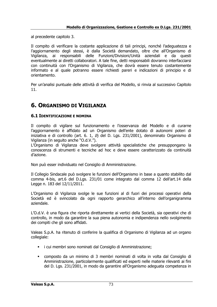al precedente capitolo 3.

Il compito di verificare la costante applicazione di tali principi, nonché l'adeguatezza e l'aggiornamento degli stessi, è dalla Società demandato, oltre che all'Organismo di Vigilanza, ai responsabili delle Funzioni/Divisioni/Unità aziendali e da questi eventualmente ai diretti collaboratori. A tale fine, detti responsabili dovranno interfacciarsi con continuità con l'Organismo di Vigilanza, che dovrà essere tenuto costantemente informato e al quale potranno essere richiesti pareri e indicazioni di principio e di orientamento.

Per un'analisi puntuale delle attività di verifica del Modello, si rinvia al successivo Capitolo 11.

# **6. ORGANISMO DI VIGILANZA**

### **6.1 IDENTIFICAZIONE E NOMINA**

Il compito di vigilare sul funzionamento e l'osservanza del Modello e di curarne l'aggiornamento è affidato ad un Organismo dell'ente dotato di autonomi poteri di iniziativa e di controllo (art. 6. 1, b) del D. Lgs. 231/2001), denominato Organismo di Vigilanza (in seguito anche "O.d.V.").

L'Organismo di Vigilanza deve svolgere attività specialistiche che presuppongano la conoscenza di strumenti e tecniche ad hoc e deve essere caratterizzato da continuità d'azione.

Non può esser individuato nel Consiglio di Amministrazione.

Il Collegio Sindacale può svolgere le funzioni dell'Organismo in base a quanto stabilito dal comma 4-bis, art.6 del D.Lgs. 231/01 come integrato dal comma 12 dell'art.14 della Legge n. 183 del 12/11/2011.

L'Organismo di Vigilanza svolge le sue funzioni al di fuori dei processi operativi della Società ed è svincolato da ogni rapporto gerarchico all'interno dell'organigramma aziendale.

L'O.d.V. è una figura che riporta direttamente ai vertici della Società, sia operativi che di controllo, in modo da garantire la sua piena autonomia e indipendenza nello svolgimento dei compiti che gli sono affidati.

Valeas S.p.A. ha ritenuto di conferire la qualifica di Organismo di Vigilanza ad un organo collegiale:

- i cui membri sono nominati dal Consiglio di Amministrazione;
- composto da un minimo di 3 membri nominati di volta in volta dal Consiglio di Amministrazione, particolarmente qualificati ed esperti nelle materie rilevanti ai fini del D. Lgs. 231/2001, in modo da garantire all'Organismo adeguata competenza in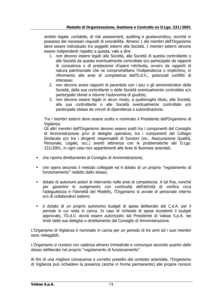ambito legale, contabile, di risk assessment, auditing e giuslavoristico, nonché in possesso dei necessari requisiti di onorabilità. Almeno 1 dei membri dell'Organismo deve essere individuato tra soggetti esterni alla Società. I membri esterni devono essere indipendenti rispetto a questa, vale a dire:

- 1. non devono essere legati alla Società, alla Società di questa controllante o alle Società da questa eventualmente controllate e/o partecipate da rapporti di consulenza o di prestazione d'opera retribuita, ovvero da rapporti di natura patrimoniale che ne compromettano l'indipendenza o implichino, in riferimento alle aree di competenza dell'O.d.V., potenziali conflitti di interesse;
- 2. non devono avere rapporti di parentela con i soci o gli amministratori della Società, della sua controllante o delle Società eventualmente controllate e/o partecipate idonei a ridurne l'autonomia di giudizio;
- 3. non devono essere legati in alcun modo, a qualsivoglia titolo, alla Società, alla sua controllante o alle Società eventualmente controllate e/o partecipate stessa da vincoli di dipendenza o subordinazione.

Tra i membri esterni deve essere scelto e nominato il Presidente dell'Organismo di Vigilanza.

Gli altri membri dell'Organismo devono essere scelti tra i componenti del Consiglio di Amministrazione privi di deleghe operative, tra i componenti del Collegio Sindacale e/o tra i dirigenti responsabili di funzioni (es.: Assicurazione Qualità, Personale, Legale, ecc.) aventi attinenza con le problematiche del D.Lgs. 231/2001, in ogni caso non appartenenti alle Aree di Business aziendali.

- che riporta direttamente al Consiglio di Amministrazione;
- che opera secondo il metodo collegiale ed è dotato di un proprio "regolamento di funzionamento" redatto dallo stesso;
- dotato di autonomi poteri di intervento nelle aree di competenza. A tal fine, nonché per garantire lo svolgimento con continuità dell'attività di verifica circa l'adeguatezza e l'idoneità del Modello, l'Organismo si avvale di personale interno e/o di collaboratori esterni;
- è dotato di un proprio autonomo budget di spesa deliberato dal C.d.A. per il periodo in cui resta in carica. In caso di richieste di spese eccedenti il budget approvato, l'O.d.V. dovrà essere autorizzato dal Presidente di Valeas S.p.A. nei limiti delle sue deleghe o direttamente dal Consiglio di Amministrazione.

L'Organismo di Vigilanza è nominato in carica per un periodo di tre anni ed i suoi membri sono rieleggibili.

L'Organismo si riunisce con cadenza almeno trimestrale e comunque secondo quanto dallo stesso deliberato nel proprio "regolamento di funzionamento".

Ai fini di una migliore conoscenza e corretto presidio del contesto aziendale, l'Organismo di Vigilanza può richiedere la presenza (anche in forma permanente) alle proprie riunioni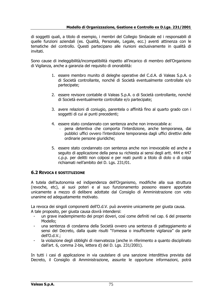di soggetti quali, a titolo di esempio, i membri del Collegio Sindacale ed i responsabili di quelle funzioni aziendali (es. Qualità, Personale, Legale, ecc.) aventi attinenza con le tematiche del controllo. Questi partecipano alle riunioni esclusivamente in qualità di invitati.

Sono cause di ineleggibilità/incompatibilità rispetto all'incarico di membro dell'Organismo di Vigilanza, anche a garanzia del requisito di onorabilità:

- 1. essere membro munito di deleghe operative del C.d.A. di Valeas S.p.A. o di Società controllante, nonché di Società eventualmente controllate e/o partecipate;
- 2. essere revisore contabile di Valeas S.p.A. o di Società controllante, nonché di Società eventualmente controllate e/o partecipate;
- 3. avere relazioni di coniugio, parentela o affinità fino al quarto grado con i soggetti di cui ai punti precedenti;
- 4. essere stato condannato con sentenza anche non irrevocabile a:
	- pena detentiva che comporta l'interdizione, anche temporanea, dai pubblici uffici ovvero l'interdizione temporanea dagli uffici direttivi delle ordinarie persone giuridiche;
- 5. essere stato condannato con sentenza anche non irrevocabile ed anche a seguito di applicazione della pena su richiesta ai sensi degli artt. 444 e 447 c.p.p. per delitti non colposi e per reati puniti a titolo di dolo o di colpa richiamati nell'ambito del D. Lgs. 231/01.

### **6.2 REVOCA E SOSTITUZIONE**

A tutela dell'autonomia ed indipendenza dell'Organismo, modifiche alla sua struttura (revoche, etc), ai suoi poteri e al suo funzionamento possono essere apportate unicamente a mezzo di delibere adottate dal Consiglio di Amministrazione con voto unanime ed adeguatamente motivato.

La revoca dei singoli componenti dell'O.d.V. può avvenire unicamente per giusta causa. A tale proposito, per giusta causa dovrà intendersi:

- un grave inadempimento dei propri doveri, così come definiti nel cap. 6 del presente Modello;
- una sentenza di condanna della Società ovvero una sentenza di patteggiamento ai sensi del Decreto, dalla quale risulti "l'omessa o insufficiente vigilanza" da parte dell'O.d.V.;
- la violazione degli obblighi di riservatezza (anche in riferimento a quanto disciplinato dall'art. 6, comma 2-bis, lettera d) del D. Lgs. 231/2001).

In tutti i casi di applicazione in via cautelare di una sanzione interdittiva prevista dal Decreto, il Consiglio di Amministrazione, assunte le opportune informazioni, potrà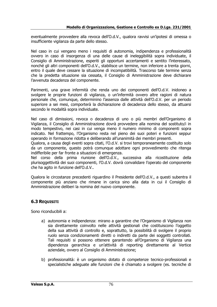eventualmente provvedere alla revoca dell'O.d.V., qualora ravvisi un'ipotesi di omessa o insufficiente vigilanza da parte dello stesso.

Nel caso in cui vengano meno i requisiti di autonomia, indipendenza e professionalità ovvero in caso di insorgenza di una delle cause di ineleggibilità sopra individuate, il Consiglio di Amministrazione, esperiti gli opportuni accertamenti e sentito l'interessato, nonché gli altri componenti dell'O.d.V., stabilisce un termine, non inferiore a trenta giorni, entro il quale deve cessare la situazione di incompatibilità. Trascorso tale termine senza che la predetta situazione sia cessata, il Consiglio di Amministrazione deve dichiarare l'avvenuta decadenza del componente.

Parimenti, una grave infermità che renda uno dei componenti dell'O.d.V. inidoneo a svolgere le proprie funzioni di vigilanza, o un'infermità ovvero altre ragioni di natura personale che, comunque, determinino l'assenza dalle attività dell'O.d.V. per un periodo superiore a sei mesi, comporterà la dichiarazione di decadenza dello stesso, da attuarsi secondo le modalità sopra individuate.

Nel caso di dimissioni, revoca o decadenza di uno o più membri dell'Organismo di Vigilanza, il Consiglio di Amministrazione dovrà provvedere alla nomina del sostituto/i in modo tempestivo, nei casi in cui venga meno il numero minimo di componenti sopra indicato. Nel frattempo, l'Organismo resta nel pieno dei suoi poteri e funzioni seppur operando in formazione ridotta e deliberando all'unanimità dei membri presenti.

Qualora, a causa degli eventi sopra citati, l'O.d.V. si trovi temporaneamente costituito solo da un componente, questo potrà comunque adottare ogni provvedimento che ritenga indifferibile per far fronte a situazioni di emergenza.

Nel corso della prima riunione dell'O.d.V., successiva alla ricostituzione della plurisoggettività dei suoi componenti, l'O.d.V. dovrà convalidare l'operato del componente che ha agito in funzione dell'O.d.V..

Qualora le circostanze precedenti riguardino il Presidente dell'O.d.V., a questi subentra il componente più anziano che rimane in carica sino alla data in cui il Consiglio di Amministrazione deliberi la nomina del nuovo componente.

### **6.3 REQUISITI**

Sono riconducibili a:

- a) autonomia e indipendenza: mirano a garantire che l'Organismo di Vigilanza non sia direttamente coinvolto nelle attività gestionali che costituiscono l'oggetto della sua attività di controllo e, soprattutto, la possibilità di svolgere il proprio ruolo senza condizionamenti diretti o indiretti da parte dei soggetti controllati. Tali requisiti si possono ottenere garantendo all'Organismo di Vigilanza una dipendenza gerarchica e un'attività di reporting direttamente al Vertice aziendale, ovvero al Consiglio di Amministrazione;
- b) professionalità: è un organismo dotato di competenze tecnico-professionali e specialistiche adeguate alle funzioni che è chiamato a svolgere (es. tecniche di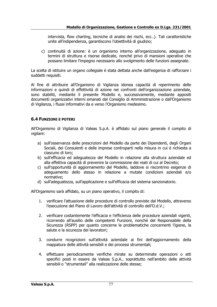intervista, flow charting, tecniche di analisi dei rischi, ecc..). Tali caratteristiche unite all'indipendenza, garantiscono l'obiettività di giudizio;

c) continuità di azione: è un organismo interno all'organizzazione, adeguato in termini di struttura e risorse dedicate, nonché privo di mansioni operative che possano limitare l'impegno necessario allo svolgimento delle funzioni assegnate.

La scelta di istituire un organo collegiale è stata dettata anche dall'esigenza di rafforzare i suddetti requisiti.

Al fine di attribuire all'Organismo di Vigilanza idonea capacità di reperimento delle informazioni e quindi di effettività di azione nei confronti dell'organizzazione aziendale, sono stabiliti, mediante il presente Modello e, successivamente, mediante appositi documenti organizzativi interni emanati dal Consiglio di Amministrazione o dall'Organismo di Vigilanza, i flussi informativi da e verso l'Organismo medesimo.

## **6.4 FUNZIONI E POTERI**

All'Organismo di Vigilanza di Valeas S.p.A. è affidato sul piano generale il compito di vigilare:

- a) sull'osservanza delle prescrizioni del Modello da parte dei Dipendenti, degli Organi Sociali, dei Consulenti e delle imprese controparti nella misura in cui è richiesta a ciascuno di loro;
- b) sull'efficacia ed adeguatezza del Modello in relazione alla struttura aziendale ed alla effettiva capacità di prevenire la commissione dei reati di cui al Decreto;
- c) sull'opportunità di aggiornamento del Modello, laddove si riscontrino esigenze di adeguamento dello stesso in relazione a mutate condizioni aziendali e/o normative;
- d) sull'adeguatezza, sull'applicazione e sull'efficacia del sistema sanzionatorio.

All'Organismo sarà affidato, su un piano operativo, il compito di:

- 1. verificare l'attuazione delle procedure di controllo previste dal Modello, attraverso l'esecuzione del Piano di Lavoro dell'attività di controllo dell'O.d.V.;
- 2. verificare costantemente l'efficacia e l'efficienza delle procedure aziendali vigenti, ricorrendo all'ausilio delle competenti Funzioni, nonché del Responsabile della Sicurezza (RSPP) per quanto concerne le problematiche concernenti l'igiene, la salute e la sicurezza dei lavoratori;
- 3. condurre ricognizioni sull'attività aziendale ai fini dell'aggiornamento della mappatura delle attività sensibili e dei processi strumentali;
- 4. effettuare periodicamente verifiche mirate su determinate operazioni o atti specifici posti in essere da Valeas S.p.A., soprattutto nell'ambito delle attività sensibili o "strumentali" alla realizzazione delle stesse;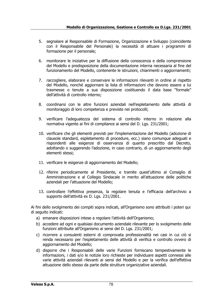- 5. segnalare al Responsabile di Formazione, Organizzazione e Sviluppo (coincidente con il Responsabile del Personale) la necessità di attuare i programmi di formazione per il personale;
- 6. monitorare le iniziative per la diffusione della conoscenza e della comprensione del Modello e predisposizione della documentazione interna necessaria al fine del funzionamento del Modello, contenente le istruzioni, chiarimenti o aggiornamenti;
- 7. raccogliere, elaborare e conservare le informazioni rilevanti in ordine al rispetto del Modello, nonché aggiornare la lista di informazioni che devono essere a lui trasmesse o tenute a sua disposizione costituendo il data base "formale" dell'attività di controllo interno;
- 8. coordinarsi con le altre funzioni aziendali nell'espletamento delle attività di monitoraggio di loro competenza e previste nei protocolli;
- 9. verificare l'adeguatezza del sistema di controllo interno in relazione alla normativa vigente ai fini di compliance ai sensi del D. Lgs. 231/2001;
- 10. verificare che gli elementi previsti per l'implementazione del Modello (adozione di clausole standard, espletamento di procedure, ecc.) siano comunque adeguati e rispondenti alle esigenze di osservanza di quanto prescritto dal Decreto, adottando o suggerendo l'adozione, in caso contrario, di un aggiornamento degli elementi stessi;
- 11. verificare le esigenze di aggiornamento del Modello;
- 12. riferire periodicamente al Presidente, e tramite quest'ultimo al Consiglio di Amministrazione e al Collegio Sindacale in merito all'attuazione delle politiche aziendali per l'attuazione del Modello;
- 13. controllare l'effettiva presenza, la regolare tenuta e l'efficacia dell'archivio a supporto dell'attività ex D. Lgs. 231/2001.

Ai fini dello svolgimento dei compiti sopra indicati, all'Organismo sono attribuiti i poteri qui di seguito indicati:

- a) emanare disposizioni intese a regolare l'attività dell'Organismo;
- b) accedere ad ogni e qualsiasi documento aziendale rilevante per lo svolgimento delle funzioni attribuite all'Organismo ai sensi del D. Lgs. 231/2001;
- c) ricorrere a consulenti esterni di comprovata professionalità nei casi in cui ciò si renda necessario per l'espletamento delle attività di verifica e controllo ovvero di aggiornamento del Modello;
- d) disporre che i Responsabili delle varie Funzioni forniscano tempestivamente le informazioni, i dati e/o le notizie loro richieste per individuare aspetti connessi alle varie attività aziendali rilevanti ai sensi del Modello e per la verifica dell'effettiva attuazione dello stesso da parte delle strutture organizzative aziendali.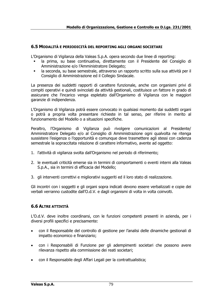#### **6.5 MODALITÀ E PERIODICITÀ DEL REPORTING AGLI ORGANI SOCIETARI**

L'Organismo di Vigilanza della Valeas S.p.A. opera secondo due linee di reporting:

- la prima, su base continuativa, direttamente con il Presidente del Consiglio di Amministrazione e/o l'Amministratore Delegato;
- la seconda, su base semestrale, attraverso un rapporto scritto sulla sua attività per il Consiglio di Amministrazione ed il Collegio Sindacale.

La presenza dei suddetti rapporti di carattere funzionale, anche con organismi privi di compiti operativi e quindi svincolati da attività gestionali, costituisce un fattore in grado di assicurare che l'incarico venga espletato dall'Organismo di Vigilanza con le maggiori garanzie di indipendenza.

L'Organismo di Vigilanza potrà essere convocato in qualsiasi momento dai suddetti organi o potrà a propria volta presentare richieste in tal senso, per riferire in merito al funzionamento del Modello o a situazioni specifiche.

Peraltro, l'Organismo di Vigilanza può rivolgere comunicazioni al Presidente/ Amministratore Delegato e/o al Consiglio di Amministrazione ogni qualvolta ne ritenga sussistere l'esigenza o l'opportunità e comunque deve trasmettere agli stessi con cadenza semestrale la sopraccitata relazione di carattere informativo, avente ad oggetto:

- 1. l'attività di vigilanza svolta dall'Organismo nel periodo di riferimento;
- 2. le eventuali criticità emerse sia in termini di comportamenti o eventi interni alla Valeas S.p.A., sia in termini di efficacia del Modello;
- 3. gli interventi correttivi e migliorativi suggeriti ed il loro stato di realizzazione.

Gli incontri con i soggetti e gli organi sopra indicati devono essere verbalizzati e copie dei verbali verranno custodite dall'O.d.V. e dagli organismi di volta in volta coinvolti.

### **6.6 ALTRE ATTIVITÀ**

L'O.d.V. deve inoltre coordinarsi, con le funzioni competenti presenti in azienda, per i diversi profili specifici e precisamente:

- con il Responsabile del controllo di gestione per l'analisi delle dinamiche gestionali di impatto economico e finanziario;
- con i Responsabili di Funzione per gli adempimenti societari che possono avere rilevanza rispetto alla commissione dei reati societari;
- con il Responsabile degli Affari Legali per la contrattualistica;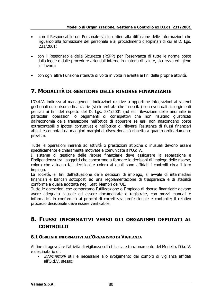- con il Responsabile del Personale sia in ordine alla diffusione delle informazioni che riguardo alla formazione del personale e ai procedimenti disciplinari di cui al D. Lgs. 231/2001;
- con il Responsabile della Sicurezza (RSPP) per l'osservanza di tutte le norme poste dalla legge e dalle procedure aziendali interne in materia di salute, sicurezza ed igiene sul lavoro;
- con ogni altra Funzione ritenuta di volta in volta rilevante ai fini delle proprie attività.

## **7. MODALITÀ DI GESTIONE DELLE RISORSE FINANZIARIE**

L'O.d.V. indirizza al management indicazioni relative a opportune integrazioni ai sistemi gestionali delle risorse finanziarie (sia in entrata che in uscita) con eventuali accorgimenti pensati ai fini del rispetto del D. Lgs. 231/2001 (ad es. rilevazione delle anomalie in particolari operazioni o pagamenti di corrispettivi che non risultino giustificati dall'economia della transazione nell'ottica di appurare se essi non nascondano poste extracontabili o ipotesi corruttive) e nell'ottica di rilevare l'esistenza di flussi finanziari atipici e connotati da maggiori margini di discrezionalità rispetto a quanto ordinariamente previsto.

Tutte le operazioni inerenti ad attività o prestazioni atipiche o inusuali devono essere specificamente e chiaramente motivate e comunicate all'O.d.V..

Il sistema di gestione delle risorse finanziarie deve assicurare la separazione e l'indipendenza tra i soggetti che concorrono a formare le decisioni di impiego delle risorse, coloro che attuano tali decisioni e coloro ai quali sono affidati i controlli circa il loro impiego.

La società, ai fini dell'attuazione delle decisioni di impiego, si avvale di intermediari finanziari e bancari sottoposti ad una regolamentazione di trasparenza e di stabilità conforme a quella adottata negli Stati Membri dell'UE.

Tutte le operazioni che comportano l'utilizzazione o l'impiego di risorse finanziarie devono avere adeguata causale ed essere documentate e registrate, con mezzi manuali e informatici, in conformità ai principi di correttezza professionale e contabile; il relativo processo decisionale deve essere verificabile.

## **8. FLUSSI INFORMATIVI VERSO GLI ORGANISMI DEPUTATI AL CONTROLLO**

#### **8.1 OBBLIGHI INFORMATIVI ALL'ORGANISMO DI VIGILANZA**

Al fine di agevolare l'attività di vigilanza sull'efficacia e funzionamento del Modello, l'O.d.V. è destinatario di:

• informazioni utili e necessarie allo svolgimento dei compiti di vigilanza affidati all'O.d.V. stesso;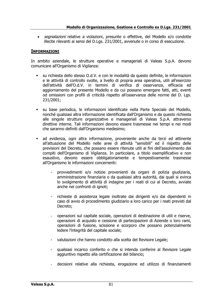• *segnalazioni* relative a violazioni, presunte o effettive, del Modello e/o condotte illecite rilevanti ai sensi del D.Lgs. 231/2001, avvenute o in corso di esecuzione.

#### **INFORMAZIONI**

In ambito aziendale, le strutture operative e manageriali di Valeas S.p.A. devono comunicare all'Organismo di Vigilanza:

- su richiesta dello stesso O.d.V. e con le modalità da questo definite, le informazioni e le attività di controllo svolte, a livello di propria area operativa, utili all'esercizio dell'attività dell'O.d.V. in termini di verifica di osservanza, efficacia ed aggiornamento del presente Modello e da cui possano emergere fatti, atti, eventi od omissioni con profili di criticità rispetto all'osservanza delle norme del D. Lgs. 231/2001;
- su base periodica, le informazioni identificate nella Parte Speciale del Modello, nonché qualsiasi altra informazione identificata dall'Organismo e da questo richiesta alle singole strutture organizzative e manageriali di Valeas S.p.A. attraverso direttive interne. Tali informazioni devono essere trasmesse nei tempi e nei modi che saranno definiti dall'Organismo medesimo;
- ad evidenza, ogni altra informazione, proveniente anche da terzi ed attinente all'attuazione del Modello nelle aree di attività "sensibili" ed il rispetto delle previsioni del Decreto, che possano essere ritenute utili ai fini dell'assolvimento dei compiti dell'Organismo di Vigilanza. In particolare, a titolo esemplificativo e non esaustivo, devono essere obbligatoriamente e tempestivamente trasmesse all'Organismo le informazioni concernenti:
	- provvedimenti e/o notizie provenienti da organi di polizia giudiziaria, amministrazione finanziaria o da qualsiasi altra autorità, dai quali si evinca lo svolgimento di attività di indagine per i reati di cui al Decreto, avviate anche nei confronti di ignoti;
	- richieste di assistenza legale inoltrate dai dirigenti e/o dai dipendenti in caso di avvio di procedimento giudiziario a loro carico per i reati previsti dal Decreto;
	- operazioni sul capitale sociale, operazioni di destinazione di utili e riserve, operazioni di acquisto e cessione di partecipazioni di Aziende o loro rami, operazioni di fusione, scissione e scorporo che possano potenzialmente ledere l'integrità del capitale sociale;
	- valutazioni che hanno condotto alla scelta del Revisore Legale;
	- qualsiasi incarico conferito o che si intenda conferire al Revisore Legale aggiuntivo rispetto alla certificazione del bilancio;
	- decisioni relative alla richiesta, erogazione ed utilizzo di finanziamenti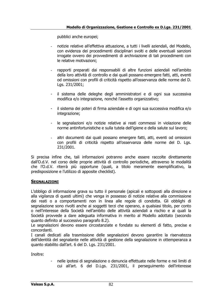pubblici anche europei;

- notizie relative all'effettiva attuazione, a tutti i livelli aziendali, del Modello, con evidenza dei procedimenti disciplinari svolti e delle eventuali sanzioni irrogate ovvero dei provvedimenti di archiviazione di tali procedimenti con le relative motivazioni;
- rapporti preparati dai responsabili di altre funzioni aziendali nell'ambito della loro attività di controllo e dai quali possano emergere fatti, atti, eventi od omissioni con profili di criticità rispetto all'osservanza delle norme del D. Lgs. 231/2001;
- il sistema delle deleghe degli amministratori e di ogni sua successiva modifica e/o integrazione, nonché l'assetto organizzativo;
- il sistema dei poteri di firma aziendale e di ogni sua successiva modifica e/o integrazione;
- le segnalazioni e/o notizie relative ai reati commessi in violazione delle norme antinfortunistiche e sulla tutela dell'igiene e della salute sul lavoro;
- altri documenti dai quali possano emergere fatti, atti, eventi od omissioni con profili di criticità rispetto all'osservanza delle norme del D. Lgs. 231/2001.

Si precisa infine che, tali informazioni potranno anche essere raccolte direttamente dall'O.d.V. nel corso delle proprie attività di controllo periodiche, attraverso le modalità che l'O.d.V. riterrà più opportune (quali, a titolo meramente esemplificativo, la predisposizione e l'utilizzo di apposite checklist).

#### **SEGNALAZIONI**

L'obbligo di informazione grava su tutto il personale (apicali e sottoposti alla direzione e alla vigilanza di questi ultimi) che venga in possesso di notizie relative alla commissione dei reati o a comportamenti non in linea alle regole di condotta. Gli obblighi di segnalazione sono rivolti anche ai soggetti terzi che operano, a qualsiasi titolo, per conto o nell'interesse della Società nell'ambito delle attività aziendali a rischio e ai quali la Società provvede a dare adeguata informativa in merito al Modello adottato (secondo quanto definito al successivo paragrafo 8.2).

Le segnalazioni devono essere circostanziate e fondate su elementi di fatto, precise e concordanti.

I canali dedicati alla trasmissione delle segnalazioni devono garantire la riservatezza dell'identità del segnalante nelle attività di gestione della segnalazione in ottemperanza a quanto stabilito dall'art. 6 del D. Lgs. 231/2001.

Inoltre:

nelle ipotesi di segnalazione o denuncia effettuate nelle forme e nei limiti di cui all'art. 6 del D.Lgs. 231/2001, il perseguimento dell'interesse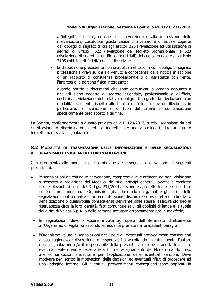#### **Modello di Organizzazione, Gestione e Controllo ex D.Lgs. 231/2001**

all'integrità dell'ente, nonché alla prevenzione e alla repressione delle malversazioni, costituisce giusta causa di rivelazione di notizie coperte dall'obbligo di segreto di cui agli articoli 326 (Rivelazione ed utilizzazione di segreti di ufficio), 622 (rivelazione del segreto professionale) e 623 (rivelazione di segreti scientifici o industriali) del codice penale e all'articolo 2105 (obbligo di fedeltà) del codice civile;

- la disposizione precedente non si applica nel caso in cui l'obbligo di segreto professionale gravi su chi sia venuto a conoscenza della notizia in ragione di un rapporto di consulenza professionale o di assistenza con l'ente, l'impresa o la persona fisica interessata;
- quando notizie e documenti che sono comunicati all'organo deputato a riceverli siano oggetto di segreto aziendale, professionale o d'ufficio, costituisce violazione del relativo obbligo di segreto la rivelazione con modalità eccedenti rispetto alle finalità dell'eliminazione dell'illecito e, in particolare, la rivelazione al di fuori del canale di comunicazione specificamente predisposto a tal fine.

La Società, conformemente a quanto previsto dalla L. 179/2017, tutela i segnalanti da atti di ritorsione o discriminatori, diretti o indiretti, per motivi collegati, direttamente o indirettamente, alla segnalazione.

#### **8.2 MODALITÀ DI TRASMISSIONE DELLE INFORMAZIONI E DELLE SEGNALAZIONI ALL'ORGANISMO DI VIGILANZA E LORO VALUTAZIONE**

Con riferimento alle modalità di trasmissione delle segnalazioni, valgono le seguenti prescrizioni:

- le segnalazioni da chiunque pervengano, comprese quelle attinenti ad ogni violazione o sospetto di violazione del Modello, dei suoi principi generali, ovvero a condotte illecite rilevanti ai sensi del D. Lgs. 231/2001, devono essere effettuate per iscritto e in forma non anonima. L'Organismo agisce in modo da garantire gli autori delle segnalazioni contro qualsiasi forma di ritorsione, discriminazione, diretta o indiretta, o penalizzazione o qualsivoglia conseguenza derivante dalle stesse, assicurando loro la riservatezza circa la loro identità, fatti comunque salvi gli obblighi di legge e la tutela dei diritti di Valeas S.p.A. o delle persone accusate erroneamente e/o in malafede;
- le segnalazioni devono essere inviate ad opera dell'interessato direttamente all'Organismo di Vigilanza secondo le modalità previste nei precedenti paragrafi;
- l'Organismo valuta le segnalazioni ricevute e gli eventuali provvedimenti conseguenti a sua ragionevole discrezione e responsabilità ascoltando eventualmente l'autore della segnalazione e/o il responsabile della presunta violazione e adotta le misure eventualmente ritenute necessarie ai fini dell'adeguamento del Modello dando corso alle comunicazioni necessarie per l'applicazione delle eventuali sanzioni. Deve motivare per iscritto le motivazioni delle decisioni ed eventuali rifiuti di procedere ad una indagine interna. Gli eventuali provvedimenti conseguenti sono applicati in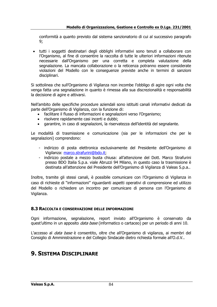conformità a quanto previsto dal sistema sanzionatorio di cui al successivo paragrafo 9;

• tutti i soggetti destinatari degli obblighi informativi sono tenuti a collaborare con l'Organismo, al fine di consentire la raccolta di tutte le ulteriori informazioni ritenute necessarie dall'Organismo per una corretta e completa valutazione della segnalazione. La mancata collaborazione o la reticenza potranno essere considerate violazioni del Modello con le conseguenze previste anche in termini di sanzioni disciplinari.

Si sottolinea che sull'Organismo di Vigilanza non incombe l'obbligo di agire ogni volta che venga fatta una segnalazione in quanto è rimessa alla sua discrezionalità e responsabilità la decisione di agire e attivarsi.

Nell'ambito delle specifiche procedure aziendali sono istituiti canali informativi dedicati da parte dell'Organismo di Vigilanza, con la funzione di:

- facilitare il flusso di informazioni e segnalazioni verso l'Organismo;
- risolvere rapidamente casi incerti e dubbi;
- garantire, in caso di segnalazioni, la riservatezza dell'identità del segnalante.

Le modalità di trasmissione e comunicazione (sia per le informazioni che per le segnalazioni) comprendono:

- indirizzo di posta elettronica esclusivamente del Presidente dell'Organismo di Vigilanza: [marco.strafurini@bdo.it;](mailto:marco.strafurini@bdo.it)
- indirizzo postale a mezzo busta chiusa: all'attenzione del Dott. Marco Strafurini presso BDO Italia S.p.a. viale Abruzzi 94 Milano, in questo caso la trasmissione è destinata all'attenzione del Presidente dell'Organismo di Vigilanza di Valeas S.p.a..

Inoltre, tramite gli stessi canali, è possibile comunicare con l'Organismo di Vigilanza in caso di richieste di "informazioni" riguardanti aspetti operativi di comprensione ed utilizzo del Modello o richiedere un incontro per comunicare di persona con l'Organismo di Vigilanza.

#### **8.3 RACCOLTA E CONSERVAZIONE DELLE INFORMAZIONI**

Ogni informazione, segnalazione, report inviato all'Organismo è conservato da quest'ultimo in un apposito *data base* (informatico o cartaceo) per un periodo di anni 10.

L'accesso al *data base* è consentito, oltre che all'Organismo di vigilanza, ai membri del Consiglio di Amministrazione e del Collegio Sindacale dietro richiesta formale all'O.d.V..

## **9. SISTEMA DISCIPLINARE**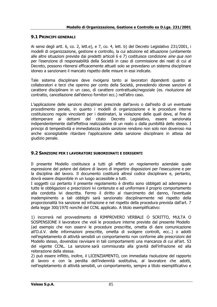### **9.1 PRINCIPI GENERALI**

Ai sensi degli artt. 6, co. 2, lett.e), e 7, co. 4, lett. b) del Decreto Legislativo 231/2001, i modelli di organizzazione, gestione e controllo, la cui adozione ed attuazione (unitamente alle altre situazioni previste dai predetti articoli 6 e 7) costituisce condizione *sine qua non* per l'esenzione di responsabilità della Società in caso di commissione dei reati di cui al Decreto, possono ritenersi efficacemente attuati solo se prevedano un sistema disciplinare idoneo a sanzionare il mancato rispetto delle misure in essi indicate.

Tale sistema disciplinare deve rivolgersi tanto ai lavoratori dipendenti quanto ai collaboratori e terzi che operino per conto della Società, prevedendo idonee sanzioni di carattere disciplinare in un caso, di carattere contrattuale/negoziale (es. risoluzione del contratto, cancellazione dall'elenco fornitori ecc.) nell'altro caso.

L'applicazione delle sanzioni disciplinari prescinde dall'avvio o dall'esito di un eventuale procedimento penale, in quanto i modelli di organizzazione e le procedure interne costituiscono regole vincolanti per i destinatari, la violazione delle quali deve, al fine di ottemperare ai dettami del citato Decreto Legislativo, essere sanzionata indipendentemente dall'effettiva realizzazione di un reato o dalla punibilità dello stesso. I principi di tempestività e immediatezza della sanzione rendono non solo non doveroso ma anche sconsigliabile ritardare l'applicazione della sanzione disciplinare in attesa del giudizio penale.

### **9.2 SANZIONI PER I LAVORATORI SUBORDINATI E DIRIGENTI**

Il presente Modello costituisce a tutti gli effetti un regolamento aziendale quale espressione del potere del datore di lavoro di impartire disposizioni per l'esecuzione e per la disciplina del lavoro. Il documento costituirà altresì codice disciplinare e, pertanto, dovrà essere disponibile in un luogo accessibile a tutti.

I soggetti cui pertanto il presente regolamento è diretto sono obbligati ad adempiere a tutte le obbligazioni e prescrizioni ivi contenute e ad uniformare il proprio comportamento alla condotta ivi descritta. Fermo il diritto al risarcimento del danno, l'eventuale inadempimento a tali obblighi sarà sanzionato disciplinarmente nel rispetto della proporzionalità tra sanzione ed infrazione e nel rispetto della procedura prevista dall'art. 7 della legge 300/1970 nonché del CCNL applicato. A titolo esemplificativo:

1) incorrerà nel provvedimento di RIMPROVERO VERBALE O SCRITTO, MULTA O SOSPENSIONE il lavoratore che violi le procedure interne previste dal presente Modello (ad esempio che non osservi le procedure prescritte, ometta di dare comunicazione all'O.d.V. delle informazioni prescritte, ometta di svolgere controlli, ecc..) o adotti nell'espletamento di attività sensibili un comportamento non conforme alle prescrizioni del Modello stesso, dovendosi ravvisare in tali comportamenti una mancanza di cui all'art. 53 del vigente CCNL. La sanzione sarà commisurata alla gravità dell'infrazione ed alla reiterazione della stessa.

2) può essere inflitto, inoltre, il LICENZIAMENTO, con immediata risoluzione del rapporto di lavoro e con la perdita dell'indennità sostitutiva, al lavoratore che adotti, nell'espletamento di attività sensibili, un comportamento, sempre a titolo esemplificativo e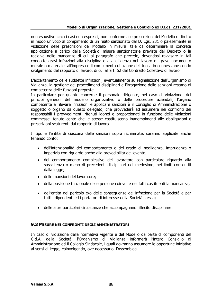non esaustivo circa i casi non espressi, non conforme alle prescrizioni del Modello o diretto in modo univoco al compimento di un reato sanzionato dal D. Lgs. 231 o palesemente in violazione delle prescrizioni del Modello in misura tale da determinare la concreta applicazione a carico della Società di misure sanzionatorie previste dal Decreto o la recidiva nelle mancanze di cui al paragrafo che precede, dovendosi ravvisare in tali condotte gravi infrazioni alla disciplina o alla diligenza nel lavoro o grave nocumento morale o materiale all'impresa o il compimento di azione delittuosa in connessione con lo svolgimento del rapporto di lavoro, di cui all'art. 52 del Contratto Collettivo di lavoro.

L'accertamento delle suddette infrazioni, eventualmente su segnalazione dell'Organismo di Vigilanza, la gestione dei procedimenti disciplinari e l'irrogazione delle sanzioni restano di competenza delle funzioni preposte.

In particolare per quanto concerne il personale dirigente, nel caso di violazione dei principi generali del modello organizzativo o delle procedure aziendali, l'organo competente a rilevare infrazioni e applicare sanzioni è il Consiglio di Amministrazione o soggetto o organo da questo delegato, che provvederà ad assumere nei confronti dei responsabili i provvedimenti ritenuti idonei e proporzionati in funzione delle violazioni commesse, tenuto conto che le stesse costituiscono inadempimenti alle obbligazioni e prescrizioni scaturenti dal rapporto di lavoro.

Il tipo e l'entità di ciascuna delle sanzioni sopra richiamate, saranno applicate anche tenendo conto:

- dell'intenzionalità del comportamento o del grado di negligenza, imprudenza o imperizia con riguardo anche alla prevedibilità dell'evento;
- del comportamento complessivo del lavoratore con particolare riguardo alla sussistenza o meno di precedenti disciplinari del medesimo, nei limiti consentiti dalla legge;
- delle mansioni del lavoratore;
- della posizione funzionale delle persone coinvolte nei fatti costituenti la mancanza;
- dell'entità del pericolo e/o delle conseguenze dell'infrazione per la Società e per tutti i dipendenti ed i portatori di interesse della Società stessa;
- delle altre particolari circostanze che accompagnano l'illecito disciplinare.

### **9.3 MISURE NEI CONFRONTI DEGLI AMMINISTRATORI**

In caso di violazione della normativa vigente e del Modello da parte di componenti del C.d.A. della Società, l'Organismo di Vigilanza informerà l'intero Consiglio di Amministrazione ed il Collegio Sindacale, i quali dovranno assumere le opportune iniziative ai sensi di legge, coinvolgendo, ove necessario, l'Assemblea.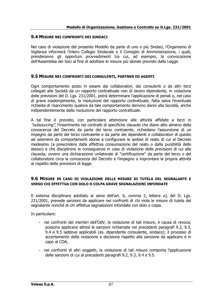#### **9.4 MISURE NEI CONFRONTI DEI SINDACI**

Nel caso di violazione del presente Modello da parte di uno o più Sindaci, l'Organismo di Vigilanza informerà l'intero Collegio Sindacale e il Consiglio di Amministrazione, i quali, prenderanno gli opportuni provvedimenti tra cui, ad esempio, la convocazione dell'Assemblea dei Soci al fine di adottare le misure più idonee previste dalla Legge.

#### **9.5 MISURE NEI CONFRONTI DEI CONSULENTI, PARTNER ED AGENTI**

Ogni comportamento posto in essere dai collaboratori, dai consulenti o da altri terzi collegati alla Società da un rapporto contrattuale non di lavoro dipendente, in violazione delle previsioni del D. Lgs. 231/2001, potrà determinare l'applicazione di penali o, nel caso di grave inadempimento, la risoluzione del rapporto contrattuale, fatta salva l'eventuale richiesta di risarcimento qualora da tale comportamento derivino danni alla Società, anche indipendentemente dalla risoluzione del rapporto contrattuale.

A tal fine è previsto, con particolare attenzione alle attività affidate a terzi in "outsourcing", l'inserimento nei contratti di specifiche clausole che diano atto almeno della conoscenza del Decreto da parte del terzo contraente, richiedano l'assunzione di un impegno da parte del terzo contraente e da parte dei dipendenti e collaboratori di questo ad astenersi da comportamenti idonei a configurare le ipotesi di reato di cui al Decreto medesimo (a prescindere dalla effettiva consumazione del reato o dalla punibilità dello stesso) e che disciplinino le conseguenze in caso di violazione delle previsioni di cui alla clausola; ovvero una dichiarazione unilaterale di "certificazione" da parte del terzo o del collaboratore circa la conoscenza del Decreto e l'impegno a improntare la propria attività al rispetto delle previsioni di legge.

#### **9.6 MISURE IN CASO DI VIOLAZIONE DELLE MISURE DI TUTELA DEL SEGNALANTE E VERSO CHI EFFETTUA CON DOLO O COLPA GRAVE SEGNALAZIONI INFONDATE**

Il sistema disciplinare adottato ai sensi dell'art. 6, comma 2, lettera  $e$ ), del D. Lgs. 231/2001, prevede sanzioni da applicare nei confronti di chi viola le misure di tutela del segnalante nonché di chi effettua segnalazioni infondate con dolo o colpa.

In particolare:

- nei confronti dei membri dell'OdV, la violazione di tali misure, è causa di revoca; possono applicarsi altresì le sanzioni richiamate nei precedenti paragrafi 9.2, 9.3, 9.4 e 9.5 laddove applicabili (es. dipendente consulente, sindaco); il processo di accertamento della violazione e decisione rispetto alla sanzione da applicare è in capo al CDA;
- nei confronti di altri soggetti, la violazione di tali misure comporta l'applicazione delle sanzioni di cui ai precedenti paragrafi 9.2, 9.3, 9.4 e 9.5.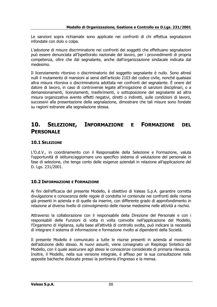Le sanzioni sopra richiamate sono applicate nei confronti di chi effettua segnalazioni infondate con dolo o colpa.

L'adozione di misure discriminatorie nei confronti dei soggetti che effettuano segnalazioni può essere denunciata all'Ispettorato nazionale del lavoro, per i provvedimenti di propria competenza, oltre che dal segnalante, anche dall'organizzazione sindacale indicata dal medesimo.

Il licenziamento ritorsivo o discriminatorio del soggetto segnalante è nullo. Sono altresì nulli il mutamento di mansioni ai sensi del[l'articolo 2103 del codice civile,](http://www.normattiva.it/uri-res/N2Ls?urn:nir:stato:codice.civile:1942-03-16;262#art2103) nonché qualsiasi altra misura ritorsiva o discriminatoria adottata nei confronti del segnalante. È onere del datore di lavoro, in caso di controversie legate all'irrogazione di sanzioni disciplinari, o a demansionamenti, licenziamenti, trasferimenti, o sottoposizione del segnalante ad altra misura organizzativa avente effetti negativi, diretti o indiretti, sulle condizioni di lavoro, successivi alla presentazione della segnalazione, dimostrare che tali misure sono fondate su ragioni estranee alla segnalazione stessa.

## **10. SELEZIONE, INFORMAZIONE E FORMAZIONE DEL PERSONALE**

## **10.1 SELEZIONE**

L'O.d.V., in coordinamento con il Responsabile della Selezione e Formazione, valuta l'opportunità di istituire/aggiornare uno specifico sistema di valutazione del personale in fase di selezione, che tenga conto delle esigenze aziendali in relazione all'applicazione del D. Lgs. 231/2001.

### **10.2 INFORMAZIONE E FORMAZIONE**

Ai fini dell'efficacia del presente Modello, è obiettivo di Valeas S.p.A. garantire corretta divulgazione e conoscenza delle regole di condotta ivi contenute nei confronti delle risorse già presenti in azienda e di quelle da inserire, con differente grado di approfondimento in relazione al diverso livello di coinvolgimento delle risorse medesime nelle attività a rischio.

Attraverso la collaborazione con il responsabile della Direzione del Personale e con i responsabili delle Funzioni di volta in volta coinvolte nell'applicazione del Modello, l'Organismo di Vigilanza, sulla base all'attività di controllo svolta, può indicare la necessità di integrare il sistema di informazione e formazione rivolto ai dipendenti della Società.

Il presente Modello è comunicato a tutte le risorse presenti in azienda al momento dell'adozione dello stesso. Ai nuovi assunti, viene consegnato un Riepilogo Sintetico del Modello, con il quale assicurare agli stessi le conoscenze considerate di primaria rilevanza. Inoltre, il Modello, nella sua versione integrale, è affisso per la sua consultazione nelle apposite bacheche dislocate presso la portineria d'ingresso e la mensa.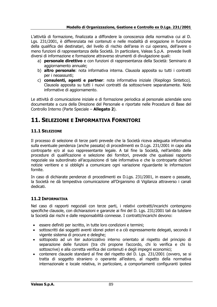#### **Modello di Organizzazione, Gestione e Controllo ex D.Lgs. 231/2001**

L'attività di formazione, finalizzata a diffondere la conoscenza della normativa cui al D. Lgs. 231/2001, è differenziata nei contenuti e nelle modalità di erogazione in funzione della qualifica dei destinatari, del livello di rischio dell'area in cui operano, dell'avere o meno funzioni di rappresentanza della Società. In particolare, Valeas S.p.A. prevede livelli diversi di informazione e formazione attraverso strumenti di divulgazione quali:

- a) **personale direttivo** e con funzioni di rappresentanza della Società: Seminario di aggiornamento annuale;
- b) **altro personale**: nota informativa interna. Clausola apposita su tutti i contratti per i neoassunti;
- c) **consulenti, agenti e partner**: nota informativa iniziale (Riepilogo Sintetico). Clausola apposita su tutti i nuovi contratti da sottoscrivere separatamente. Note informative di aggiornamento.

Le attività di comunicazione iniziale e di formazione periodica al personale aziendale sono documentate a cura della Direzione del Personale e riportate nelle Procedure di Base del Controllo Interno (Parte Speciale – **Allegato 2**).

# **11. SELEZIONE E INFORMATIVA FORNITORI**

### **11.1 SELEZIONE**

Il processo di selezione di terze parti prevede che la Società riceva adeguata informativa sulla eventuale pendenza (anche passata) di procedimenti ex D.Lgs. 231/2001 in capo alla controparte e/o al suo rappresentante legale. A tal fine la Società, nell'ambito delle procedure di qualificazione e selezione dei fornitori, prevede che qualsiasi rapporto negoziale sia subordinato all'acquisizione di tale informativa e che la controparte dichiari notizie veritiere e si obblighi a comunicare ogni variazione riguardante le informazioni fornite.

In caso di dichiarate pendenze di procedimenti ex D.Lgs. 231/2001, in essere o passate, la Società ne dà tempestiva comunicazione all'Organismo di Vigilanza attraverso i canali dedicati.

### **11.2 INFORMATIVA**

Nel caso di rapporti negoziali con terze parti, i relativi contratti/incarichi contengono specifiche clausole, con dichiarazioni e garanzie ai fini del D. Lgs. 231/2001 tali da tutelare la Società dai rischi e dalle responsabilità connesse. I contratti/incarichi devono:

- essere definiti per iscritto, in tutte loro condizioni e termini;
- sottoscritti dai soggetti aventi idonei poteri e a ciò espressamente delegati, secondo il vigente sistema di procure e deleghe;
- sottoposto ad un iter autorizzativo interno orientato al rispetto del principio di separazione delle funzioni (tra chi propone l'accordo, chi lo verifica e chi lo sottoscrive) e alla corretta verifica dei contenuti e degli impegni economici;
- contenere clausole standard al fine del rispetto del D. Lgs. 231/2001 (ovvero, se si tratta di soggetto straniero o operante all'estero, al rispetto della normativa internazionale e locale relativa, in particolare, a comportamenti configuranti ipotesi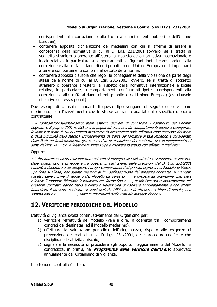corrispondenti alla corruzione e alla truffa ai danni di enti pubblici o dell'Unione Europea);

- contenere apposita dichiarazione dei medesimi con cui si affermi di essere a conoscenza della normativa di cui al D. Lgs. 231/2001 (ovvero, se si tratta di soggetto straniero o operante all'estero, al rispetto della normativa internazionale e locale relativa, in particolare, a comportamenti configuranti ipotesi corrispondenti alla corruzione e alla truffa ai danni di enti pubblici o dell'Unione Europea) e di impegnarsi a tenere comportamenti conformi al dettato della norma;
- contenere apposita clausola che regoli le conseguenze della violazione da parte degli stessi delle norme di cui al D. Lgs. 231/2001 (ovvero, se si tratta di soggetto straniero o operante all'estero, al rispetto della normativa internazionale e locale relativa, in particolare, a comportamenti configuranti ipotesi corrispondenti alla corruzione e alla truffa ai danni di enti pubblici o dell'Unione Europea) (es. clausole risolutive espresse, penali).

Due esempi di clausola standard di questo tipo vengono di seguito esposte come riferimento, con l'avvertimento che le stesse andranno adattate allo specifico rapporto contrattuale:

*« Il* fornitore/consulente/collaboratore esterno dichiara di conoscere il contenuto del Decreto Legislativo 8 giugno 2001 n. 231 e si impegna ad astenersi da comportamenti idonei a configurare le ipotesi di reato di cui al Decreto medesimo (a prescindere dalla effettiva consumazione del reato o dalla punibilità dello stesso). L'inosservanza da parte del fornitore di tale impegno è considerato dalle Parti un inadempimento grave e motivo di risoluzione del contratto per inadempimento ai sensi dell'art. 1453 c.c. e legittimerà Valeas Spa a risolvere lo stesso con effetto immediato ».

#### Oppure:

« *Il* fornitore/consulente/collaboratore esterno si impegna alla più attenta e scrupolosa osservanza delle vigenti norme di legge e tra queste, in particolare, delle previsioni del D. Lgs. 231/2001 nonché a rispettare e ad adeguare i propri comportamenti ai principi espressi nel Modello di Valeas Spa (che si allega) per quanto rilevanti ai fini dell'esecuzione del presente contratto. Il mancato rispetto delle norme di legge o del Modello da parte di ….. è circostanza gravissima che, oltre <sup>a</sup> ledere il rapporto fiduciario instauratosi tra Valeas Spa e ….., costituisce grave inadempienza del presente contratto dando titolo e diritto a Valeas Spa di risolvere anticipatamente e con effetto immediato il presente contratto ai sensi dell'art. 1456 c.c. e di ottenere, a titolo di penale, una somma pari a  $\epsilon$  ................., salva la risarcibilità dell'eventuale maggior danno ».

## **12. VERIFICHE PERIODICHE DEL MODELLO**

L'attività di vigilanza svolta continuativamente dall'Organismo per:

- 1) verificare l'effettività del Modello (vale a dire, la coerenza tra i comportamenti concreti dei destinatari ed il Modello medesimo),
- 2) effettuare la valutazione periodica dell'adeguatezza, rispetto alle esigenze di prevenzione dei reati di cui al D. Lgs. 231/2001, delle procedure codificate che disciplinano le attività a rischio,
- 3) segnalare la necessità di procedere agli opportuni aggiornamenti del Modello, si concretizza, in primis, nel **Programma delle verifiche dell'O.d.V.** approvato annualmente dall'Organismo di Vigilanza.

Il sistema di controllo è atto a: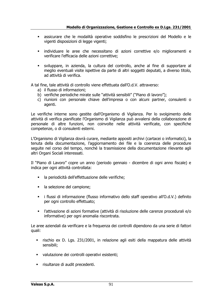- assicurare che le modalità operative soddisfino le prescrizioni del Modello e le vigenti disposizioni di legge vigenti;
- individuare le aree che necessitano di azioni correttive e/o miglioramenti e verificare l'efficacia delle azioni correttive;
- sviluppare, in azienda, la cultura del controllo, anche al fine di supportare al meglio eventuali visite ispettive da parte di altri soggetti deputati, a diverso titolo, ad attività di verifica.

A tal fine, tale attività di controllo viene effettuata dall'O.d.V. attraverso:

- a) il flusso di informazioni;
- b) verifiche periodiche mirate sulle "attività sensibili" ("Piano di lavoro");
- c) riunioni con personale chiave dell'impresa o con alcuni partner, consulenti o agenti.

Le verifiche interne sono gestite dall'Organismo di Vigilanza. Per lo svolgimento delle attività di verifica pianificate l'Organismo di Vigilanza può avvalersi della collaborazione di personale di altre funzioni, non coinvolte nelle attività verificate, con specifiche competenze, o di consulenti esterni.

L'Organismo di Vigilanza dovrà curare, mediante appositi archivi (cartacei o informatici), la tenuta della documentazione, l'aggiornamento dei file e la coerenza delle procedure seguite nel corso del tempo, nonché la trasmissione della documentazione rilevante agli altri Organi Sociali interessati.

Il "Piano di Lavoro" copre un anno (periodo gennaio - dicembre di ogni anno fiscale) e indica per ogni attività controllata:

- la periodicità dell'effettuazione delle verifiche;
- la selezione del campione;
- i flussi di informazione (flusso informativo dello staff operativo all'O.d.V.) definito per ogni controllo effettuato;
- l'attivazione di azioni formative (attività di risoluzione delle carenze procedurali e/o informative) per ogni anomalia riscontrata.

Le aree aziendali da verificare e la frequenza dei controlli dipendono da una serie di fattori quali:

- rischio ex D. Lgs. 231/2001, in relazione agli esiti della mappatura delle attività sensibili;
- valutazione dei controlli operativi esistenti;
- risultanze di audit precedenti.